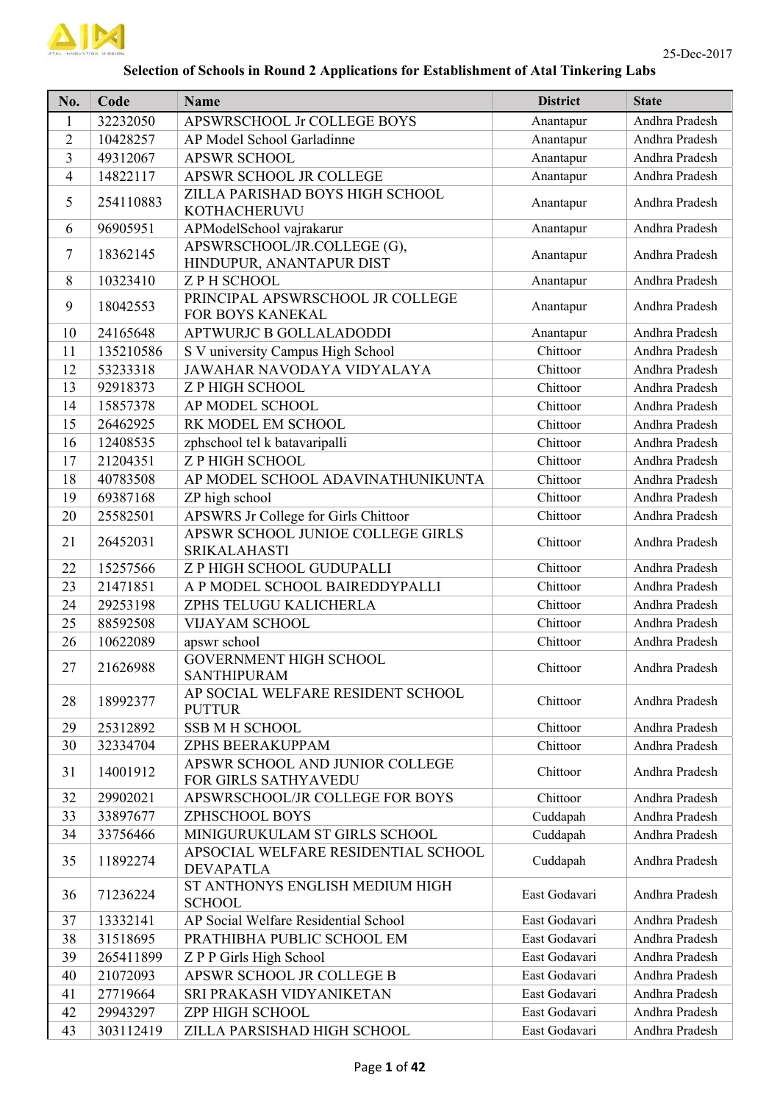

## **Selection of Schools in Round 2 Applications for Establishment of Atal Tinkering Labs**

| No.            | Code      | <b>Name</b>                                              | <b>District</b> | <b>State</b>   |
|----------------|-----------|----------------------------------------------------------|-----------------|----------------|
| $\mathbf{1}$   | 32232050  | APSWRSCHOOL Jr COLLEGE BOYS                              | Anantapur       | Andhra Pradesh |
| $\overline{2}$ | 10428257  | AP Model School Garladinne                               | Anantapur       | Andhra Pradesh |
| 3              | 49312067  | <b>APSWR SCHOOL</b>                                      | Anantapur       | Andhra Pradesh |
| 4              | 14822117  | APSWR SCHOOL JR COLLEGE                                  | Anantapur       | Andhra Pradesh |
| 5              | 254110883 | ZILLA PARISHAD BOYS HIGH SCHOOL<br>KOTHACHERUVU          | Anantapur       | Andhra Pradesh |
| 6              | 96905951  | APModelSchool vajrakarur                                 | Anantapur       | Andhra Pradesh |
| 7              | 18362145  | APSWRSCHOOL/JR.COLLEGE (G),<br>HINDUPUR, ANANTAPUR DIST  | Anantapur       | Andhra Pradesh |
| 8              | 10323410  | <b>ZPH SCHOOL</b>                                        | Anantapur       | Andhra Pradesh |
| 9              | 18042553  | PRINCIPAL APSWRSCHOOL JR COLLEGE<br>FOR BOYS KANEKAL     | Anantapur       | Andhra Pradesh |
| 10             | 24165648  | APTWURJC B GOLLALADODDI                                  | Anantapur       | Andhra Pradesh |
| 11             | 135210586 | S V university Campus High School                        | Chittoor        | Andhra Pradesh |
| 12             | 53233318  | JAWAHAR NAVODAYA VIDYALAYA                               | Chittoor        | Andhra Pradesh |
| 13             | 92918373  | <b>Z P HIGH SCHOOL</b>                                   | Chittoor        | Andhra Pradesh |
| 14             | 15857378  | AP MODEL SCHOOL                                          | Chittoor        | Andhra Pradesh |
| 15             | 26462925  | RK MODEL EM SCHOOL                                       | Chittoor        | Andhra Pradesh |
| 16             | 12408535  | zphschool tel k batavaripalli                            | Chittoor        | Andhra Pradesh |
| 17             | 21204351  | <b>Z P HIGH SCHOOL</b>                                   | Chittoor        | Andhra Pradesh |
| 18             | 40783508  | AP MODEL SCHOOL ADAVINATHUNIKUNTA                        | Chittoor        | Andhra Pradesh |
| 19             | 69387168  | ZP high school                                           | Chittoor        | Andhra Pradesh |
| 20             | 25582501  | APSWRS Jr College for Girls Chittoor                     | Chittoor        | Andhra Pradesh |
| 21             | 26452031  | APSWR SCHOOL JUNIOE COLLEGE GIRLS<br><b>SRIKALAHASTI</b> | Chittoor        | Andhra Pradesh |
| 22             | 15257566  | Z P HIGH SCHOOL GUDUPALLI                                | Chittoor        | Andhra Pradesh |
| 23             | 21471851  | A P MODEL SCHOOL BAIREDDYPALLI                           | Chittoor        | Andhra Pradesh |
| 24             | 29253198  | ZPHS TELUGU KALICHERLA                                   | Chittoor        | Andhra Pradesh |
| 25             | 88592508  | <b>VIJAYAM SCHOOL</b>                                    | Chittoor        | Andhra Pradesh |
| 26             | 10622089  | apswr school                                             | Chittoor        | Andhra Pradesh |
| 27             | 21626988  | <b>GOVERNMENT HIGH SCHOOL</b><br>SANTHIPURAM             | Chittoor        | Andhra Pradesh |
| 28             | 18992377  | AP SOCIAL WELFARE RESIDENT SCHOOL<br><b>PUTTUR</b>       | Chittoor        | Andhra Pradesh |
| 29             | 25312892  | <b>SSB M H SCHOOL</b>                                    | Chittoor        | Andhra Pradesh |
| 30             | 32334704  | ZPHS BEERAKUPPAM                                         | Chittoor        | Andhra Pradesh |
| 31             | 14001912  | APSWR SCHOOL AND JUNIOR COLLEGE<br>FOR GIRLS SATHYAVEDU  | Chittoor        | Andhra Pradesh |
| 32             | 29902021  | APSWRSCHOOL/JR COLLEGE FOR BOYS                          | Chittoor        | Andhra Pradesh |
| 33             | 33897677  | ZPHSCHOOL BOYS                                           | Cuddapah        | Andhra Pradesh |
| 34             | 33756466  | MINIGURUKULAM ST GIRLS SCHOOL                            | Cuddapah        | Andhra Pradesh |
| 35             | 11892274  | APSOCIAL WELFARE RESIDENTIAL SCHOOL<br><b>DEVAPATLA</b>  | Cuddapah        | Andhra Pradesh |
| 36             | 71236224  | ST ANTHONYS ENGLISH MEDIUM HIGH<br><b>SCHOOL</b>         | East Godavari   | Andhra Pradesh |
| 37             | 13332141  | AP Social Welfare Residential School                     | East Godavari   | Andhra Pradesh |
| 38             | 31518695  | PRATHIBHA PUBLIC SCHOOL EM                               | East Godavari   | Andhra Pradesh |
| 39             | 265411899 | Z P P Girls High School                                  | East Godavari   | Andhra Pradesh |
| 40             | 21072093  | APSWR SCHOOL JR COLLEGE B                                | East Godavari   | Andhra Pradesh |
| 41             | 27719664  | SRI PRAKASH VIDYANIKETAN                                 | East Godavari   | Andhra Pradesh |
| 42             | 29943297  | ZPP HIGH SCHOOL                                          | East Godavari   | Andhra Pradesh |
| 43             | 303112419 | ZILLA PARSISHAD HIGH SCHOOL                              | East Godavari   | Andhra Pradesh |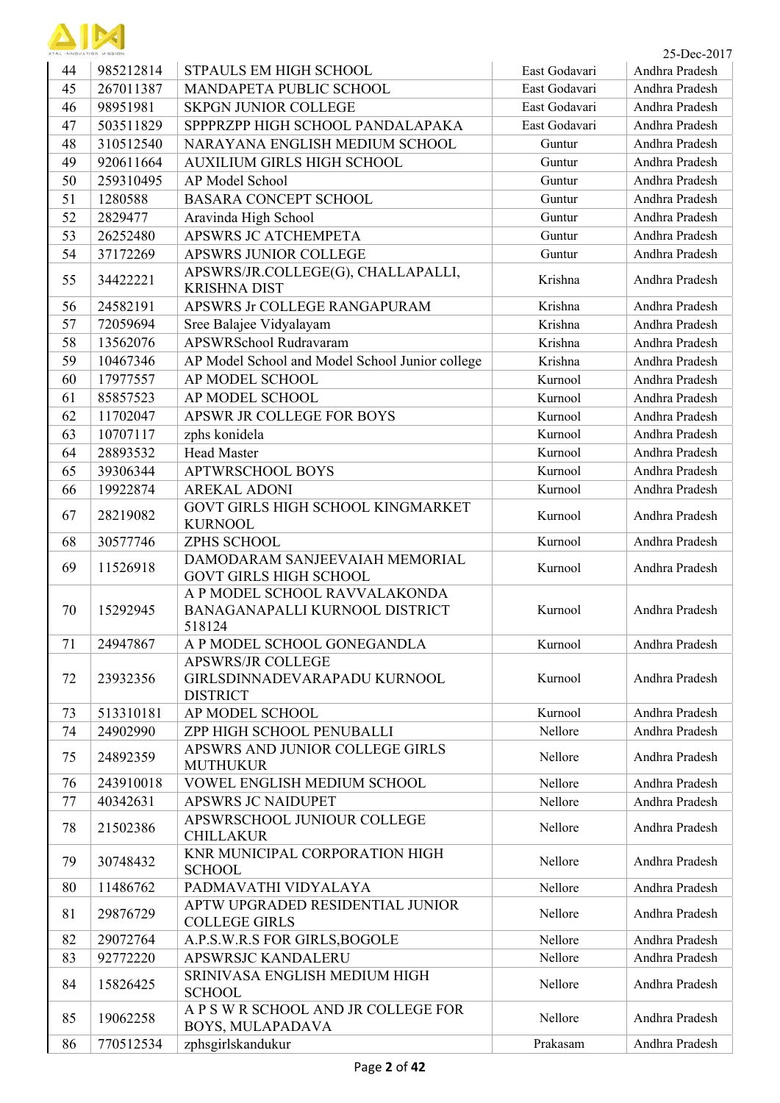

| ATAL INNOVATION MISSION |           |                                                                             |               | 25-Dec-2017    |
|-------------------------|-----------|-----------------------------------------------------------------------------|---------------|----------------|
| 44                      | 985212814 | STPAULS EM HIGH SCHOOL                                                      | East Godavari | Andhra Pradesh |
| 45                      | 267011387 | MANDAPETA PUBLIC SCHOOL                                                     | East Godavari | Andhra Pradesh |
| 46                      | 98951981  | <b>SKPGN JUNIOR COLLEGE</b>                                                 | East Godavari | Andhra Pradesh |
| 47                      | 503511829 | SPPPRZPP HIGH SCHOOL PANDALAPAKA                                            | East Godavari | Andhra Pradesh |
| 48                      | 310512540 | NARAYANA ENGLISH MEDIUM SCHOOL                                              | Guntur        | Andhra Pradesh |
| 49                      | 920611664 | AUXILIUM GIRLS HIGH SCHOOL                                                  | Guntur        | Andhra Pradesh |
| 50                      | 259310495 | AP Model School                                                             | Guntur        | Andhra Pradesh |
| 51                      | 1280588   | <b>BASARA CONCEPT SCHOOL</b>                                                | Guntur        | Andhra Pradesh |
| 52                      | 2829477   | Aravinda High School                                                        | Guntur        | Andhra Pradesh |
| 53                      | 26252480  | APSWRS JC ATCHEMPETA                                                        | Guntur        | Andhra Pradesh |
| 54                      | 37172269  | APSWRS JUNIOR COLLEGE                                                       | Guntur        | Andhra Pradesh |
| 55                      | 34422221  | APSWRS/JR.COLLEGE(G), CHALLAPALLI,<br><b>KRISHNA DIST</b>                   | Krishna       | Andhra Pradesh |
| 56                      | 24582191  | APSWRS Jr COLLEGE RANGAPURAM                                                | Krishna       | Andhra Pradesh |
| 57                      | 72059694  | Sree Balajee Vidyalayam                                                     | Krishna       | Andhra Pradesh |
| 58                      | 13562076  | APSWRSchool Rudravaram                                                      | Krishna       | Andhra Pradesh |
| 59                      | 10467346  | AP Model School and Model School Junior college                             | Krishna       | Andhra Pradesh |
| 60                      | 17977557  | AP MODEL SCHOOL                                                             | Kurnool       | Andhra Pradesh |
| 61                      | 85857523  | AP MODEL SCHOOL                                                             | Kurnool       | Andhra Pradesh |
| 62                      | 11702047  | APSWR JR COLLEGE FOR BOYS                                                   | Kurnool       | Andhra Pradesh |
| 63                      | 10707117  | zphs konidela                                                               | Kurnool       | Andhra Pradesh |
| 64                      | 28893532  | <b>Head Master</b>                                                          | Kurnool       | Andhra Pradesh |
| 65                      | 39306344  | <b>APTWRSCHOOL BOYS</b>                                                     | Kurnool       | Andhra Pradesh |
| 66                      | 19922874  | <b>AREKAL ADONI</b>                                                         | Kurnool       | Andhra Pradesh |
| 67                      | 28219082  | GOVT GIRLS HIGH SCHOOL KINGMARKET<br><b>KURNOOL</b>                         | Kurnool       | Andhra Pradesh |
| 68                      | 30577746  | ZPHS SCHOOL                                                                 | Kurnool       | Andhra Pradesh |
| 69                      | 11526918  | DAMODARAM SANJEEVAIAH MEMORIAL<br><b>GOVT GIRLS HIGH SCHOOL</b>             | Kurnool       | Andhra Pradesh |
| 70                      | 15292945  | A P MODEL SCHOOL RAVVALAKONDA<br>BANAGANAPALLI KURNOOL DISTRICT<br>518124   | Kurnool       | Andhra Pradesh |
| 71                      | 24947867  | A P MODEL SCHOOL GONEGANDLA                                                 | Kurnool       | Andhra Pradesh |
| 72                      | 23932356  | <b>APSWRS/JR COLLEGE</b><br>GIRLSDINNADEVARAPADU KURNOOL<br><b>DISTRICT</b> | Kurnool       | Andhra Pradesh |
| 73                      | 513310181 | AP MODEL SCHOOL                                                             | Kurnool       | Andhra Pradesh |
| 74                      | 24902990  | ZPP HIGH SCHOOL PENUBALLI                                                   | Nellore       | Andhra Pradesh |
| 75                      | 24892359  | APSWRS AND JUNIOR COLLEGE GIRLS<br><b>MUTHUKUR</b>                          | Nellore       | Andhra Pradesh |
| 76                      | 243910018 | VOWEL ENGLISH MEDIUM SCHOOL                                                 | Nellore       | Andhra Pradesh |
| 77                      | 40342631  | <b>APSWRS JC NAIDUPET</b>                                                   | Nellore       | Andhra Pradesh |
| 78                      | 21502386  | APSWRSCHOOL JUNIOUR COLLEGE<br><b>CHILLAKUR</b>                             | Nellore       | Andhra Pradesh |
| 79                      | 30748432  | KNR MUNICIPAL CORPORATION HIGH<br><b>SCHOOL</b>                             | Nellore       | Andhra Pradesh |
| 80                      | 11486762  | PADMAVATHI VIDYALAYA                                                        | Nellore       | Andhra Pradesh |
| 81                      | 29876729  | APTW UPGRADED RESIDENTIAL JUNIOR<br><b>COLLEGE GIRLS</b>                    | Nellore       | Andhra Pradesh |
| 82                      | 29072764  | A.P.S.W.R.S FOR GIRLS, BOGOLE                                               | Nellore       | Andhra Pradesh |
| 83                      | 92772220  | APSWRSJC KANDALERU                                                          | Nellore       | Andhra Pradesh |
| 84                      | 15826425  | SRINIVASA ENGLISH MEDIUM HIGH<br><b>SCHOOL</b>                              | Nellore       | Andhra Pradesh |
| 85                      | 19062258  | A P S W R SCHOOL AND JR COLLEGE FOR<br>BOYS, MULAPADAVA                     | Nellore       | Andhra Pradesh |
| 86                      | 770512534 | zphsgirlskandukur                                                           | Prakasam      | Andhra Pradesh |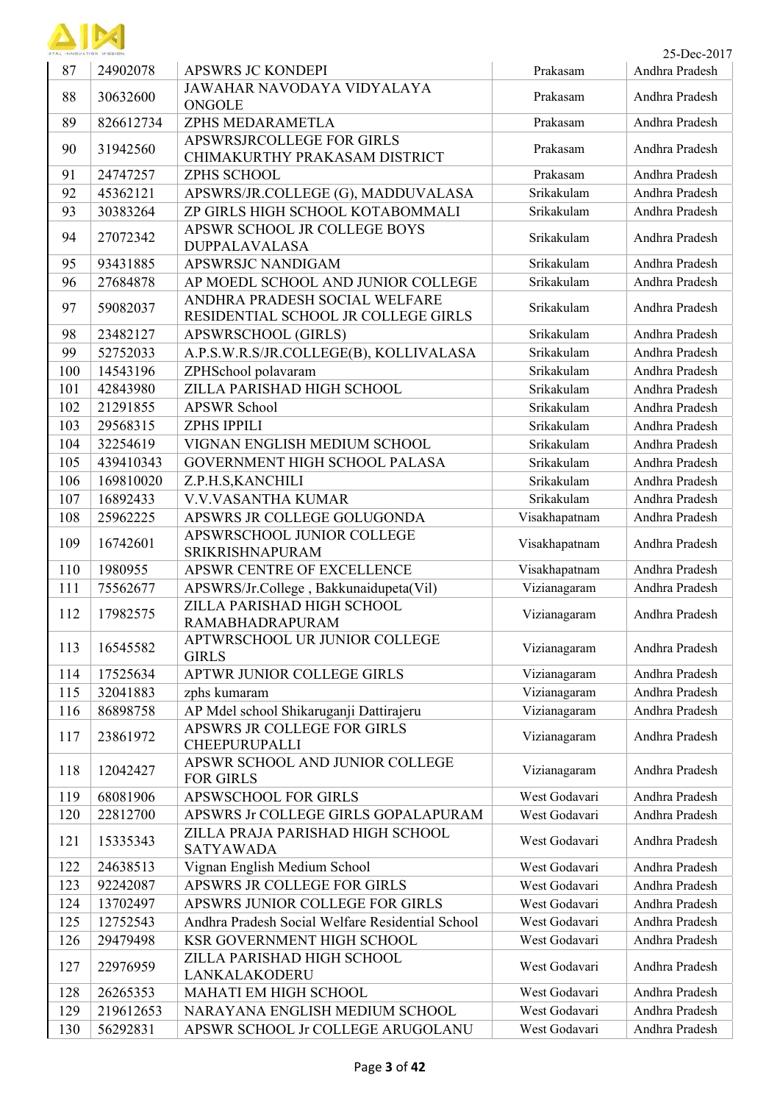

| ATAL INNOVATION MISSION |           |                                                                      |               | 25-Dec-2017    |
|-------------------------|-----------|----------------------------------------------------------------------|---------------|----------------|
| 87                      | 24902078  | <b>APSWRS JC KONDEPI</b>                                             | Prakasam      | Andhra Pradesh |
| 88                      | 30632600  | JAWAHAR NAVODAYA VIDYALAYA<br><b>ONGOLE</b>                          | Prakasam      | Andhra Pradesh |
| 89                      | 826612734 | ZPHS MEDARAMETLA                                                     | Prakasam      | Andhra Pradesh |
| 90                      | 31942560  | APSWRSJRCOLLEGE FOR GIRLS<br>CHIMAKURTHY PRAKASAM DISTRICT           | Prakasam      | Andhra Pradesh |
| 91                      | 24747257  | ZPHS SCHOOL                                                          | Prakasam      | Andhra Pradesh |
| 92                      | 45362121  | APSWRS/JR.COLLEGE (G), MADDUVALASA                                   | Srikakulam    | Andhra Pradesh |
| 93                      | 30383264  | ZP GIRLS HIGH SCHOOL KOTABOMMALI                                     | Srikakulam    | Andhra Pradesh |
| 94                      | 27072342  | APSWR SCHOOL JR COLLEGE BOYS<br><b>DUPPALAVALASA</b>                 | Srikakulam    | Andhra Pradesh |
| 95                      | 93431885  | APSWRSJC NANDIGAM                                                    | Srikakulam    | Andhra Pradesh |
| 96                      | 27684878  | AP MOEDL SCHOOL AND JUNIOR COLLEGE                                   | Srikakulam    | Andhra Pradesh |
| 97                      | 59082037  | ANDHRA PRADESH SOCIAL WELFARE<br>RESIDENTIAL SCHOOL JR COLLEGE GIRLS | Srikakulam    | Andhra Pradesh |
| 98                      | 23482127  | <b>APSWRSCHOOL (GIRLS)</b>                                           | Srikakulam    | Andhra Pradesh |
| 99                      | 52752033  | A.P.S.W.R.S/JR.COLLEGE(B), KOLLIVALASA                               | Srikakulam    | Andhra Pradesh |
| 100                     | 14543196  | ZPHSchool polavaram                                                  | Srikakulam    | Andhra Pradesh |
| 101                     | 42843980  | ZILLA PARISHAD HIGH SCHOOL                                           | Srikakulam    | Andhra Pradesh |
| 102                     | 21291855  | APSWR School                                                         | Srikakulam    | Andhra Pradesh |
| 103                     | 29568315  | <b>ZPHS IPPILI</b>                                                   | Srikakulam    | Andhra Pradesh |
| 104                     | 32254619  | VIGNAN ENGLISH MEDIUM SCHOOL                                         | Srikakulam    | Andhra Pradesh |
| 105                     | 439410343 | GOVERNMENT HIGH SCHOOL PALASA                                        | Srikakulam    | Andhra Pradesh |
| 106                     | 169810020 | Z.P.H.S, KANCHILI                                                    | Srikakulam    | Andhra Pradesh |
| 107                     | 16892433  | V.V.VASANTHA KUMAR                                                   | Srikakulam    | Andhra Pradesh |
| 108                     | 25962225  | APSWRS JR COLLEGE GOLUGONDA                                          | Visakhapatnam | Andhra Pradesh |
| 109                     | 16742601  | APSWRSCHOOL JUNIOR COLLEGE<br>SRIKRISHNAPURAM                        | Visakhapatnam | Andhra Pradesh |
| 110                     | 1980955   | APSWR CENTRE OF EXCELLENCE                                           | Visakhapatnam | Andhra Pradesh |
| 111                     | 75562677  | APSWRS/Jr.College, Bakkunaidupeta(Vil)                               | Vizianagaram  | Andhra Pradesh |
| 112                     | 17982575  | ZILLA PARISHAD HIGH SCHOOL<br>RAMABHADRAPURAM                        | Vizianagaram  | Andhra Pradesh |
| 113                     | 16545582  | APTWRSCHOOL UR JUNIOR COLLEGE<br><b>GIRLS</b>                        | Vizianagaram  | Andhra Pradesh |
| 114                     | 17525634  | APTWR JUNIOR COLLEGE GIRLS                                           | Vizianagaram  | Andhra Pradesh |
| 115                     | 32041883  | zphs kumaram                                                         | Vizianagaram  | Andhra Pradesh |
| 116                     | 86898758  | AP Mdel school Shikaruganji Dattirajeru                              | Vizianagaram  | Andhra Pradesh |
| 117                     | 23861972  | APSWRS JR COLLEGE FOR GIRLS<br>CHEEPURUPALLI                         | Vizianagaram  | Andhra Pradesh |
| 118                     | 12042427  | APSWR SCHOOL AND JUNIOR COLLEGE<br><b>FOR GIRLS</b>                  | Vizianagaram  | Andhra Pradesh |
| 119                     | 68081906  | <b>APSWSCHOOL FOR GIRLS</b>                                          | West Godavari | Andhra Pradesh |
| 120                     | 22812700  | APSWRS Jr COLLEGE GIRLS GOPALAPURAM                                  | West Godavari | Andhra Pradesh |
| 121                     | 15335343  | ZILLA PRAJA PARISHAD HIGH SCHOOL<br><b>SATYAWADA</b>                 | West Godavari | Andhra Pradesh |
| 122                     | 24638513  | Vignan English Medium School                                         | West Godavari | Andhra Pradesh |
| 123                     | 92242087  | APSWRS JR COLLEGE FOR GIRLS                                          | West Godavari | Andhra Pradesh |
| 124                     | 13702497  | APSWRS JUNIOR COLLEGE FOR GIRLS                                      | West Godavari | Andhra Pradesh |
| 125                     | 12752543  | Andhra Pradesh Social Welfare Residential School                     | West Godavari | Andhra Pradesh |
| 126                     | 29479498  | KSR GOVERNMENT HIGH SCHOOL                                           | West Godavari | Andhra Pradesh |
| 127                     | 22976959  | ZILLA PARISHAD HIGH SCHOOL<br>LANKALAKODERU                          | West Godavari | Andhra Pradesh |
| 128                     | 26265353  | MAHATI EM HIGH SCHOOL                                                | West Godavari | Andhra Pradesh |
| 129                     | 219612653 | NARAYANA ENGLISH MEDIUM SCHOOL                                       | West Godavari | Andhra Pradesh |
| 130                     | 56292831  | APSWR SCHOOL Jr COLLEGE ARUGOLANU                                    | West Godavari | Andhra Pradesh |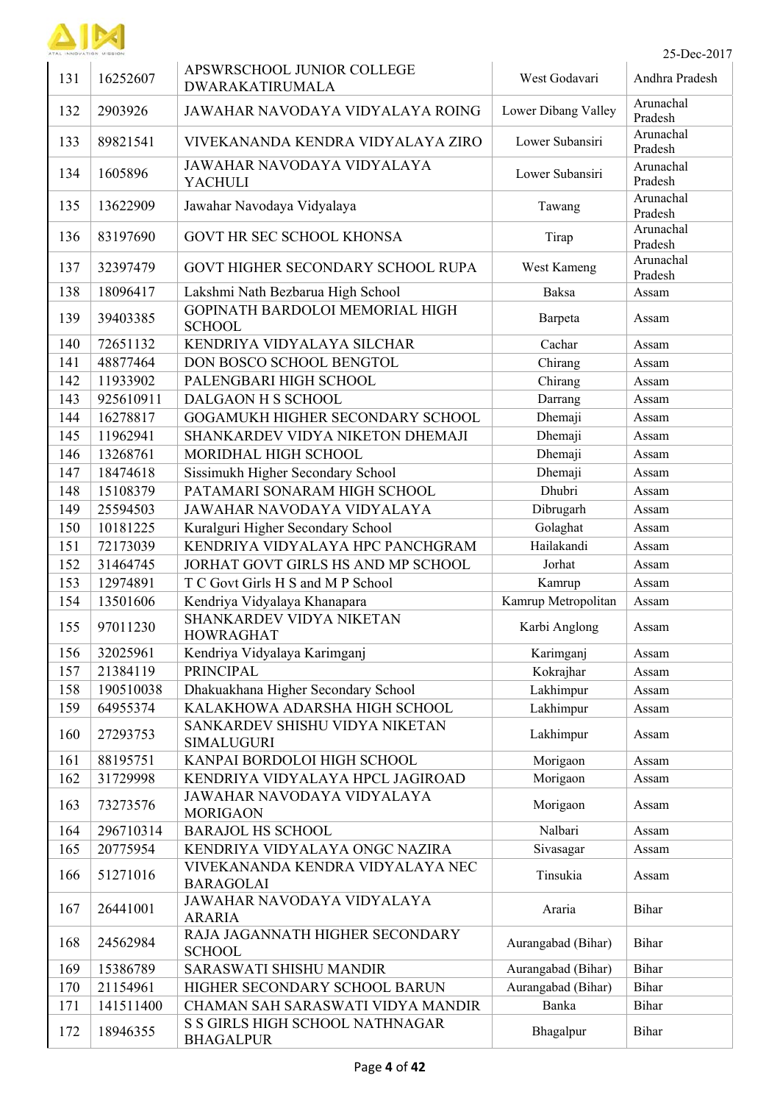

| 131 | 16252607  | APSWRSCHOOL JUNIOR COLLEGE<br>DWARAKATIRUMALA        | West Godavari       | Andhra Pradesh       |
|-----|-----------|------------------------------------------------------|---------------------|----------------------|
| 132 | 2903926   | JAWAHAR NAVODAYA VIDYALAYA ROING                     | Lower Dibang Valley | Arunachal<br>Pradesh |
| 133 | 89821541  | VIVEKANANDA KENDRA VIDYALAYA ZIRO                    | Lower Subansiri     | Arunachal<br>Pradesh |
| 134 | 1605896   | JAWAHAR NAVODAYA VIDYALAYA<br><b>YACHULI</b>         | Lower Subansiri     | Arunachal<br>Pradesh |
| 135 | 13622909  | Jawahar Navodaya Vidyalaya                           | Tawang              | Arunachal<br>Pradesh |
| 136 | 83197690  | GOVT HR SEC SCHOOL KHONSA                            | Tirap               | Arunachal<br>Pradesh |
| 137 | 32397479  | GOVT HIGHER SECONDARY SCHOOL RUPA                    | West Kameng         | Arunachal<br>Pradesh |
| 138 | 18096417  | Lakshmi Nath Bezbarua High School                    | <b>Baksa</b>        | Assam                |
| 139 | 39403385  | GOPINATH BARDOLOI MEMORIAL HIGH<br><b>SCHOOL</b>     | Barpeta             | Assam                |
| 140 | 72651132  | KENDRIYA VIDYALAYA SILCHAR                           | Cachar              | Assam                |
| 141 | 48877464  | DON BOSCO SCHOOL BENGTOL                             | Chirang             | Assam                |
| 142 | 11933902  | PALENGBARI HIGH SCHOOL                               | Chirang             | Assam                |
| 143 | 925610911 | DALGAON H S SCHOOL                                   | Darrang             | Assam                |
| 144 | 16278817  | GOGAMUKH HIGHER SECONDARY SCHOOL                     | Dhemaji             | Assam                |
|     |           | SHANKARDEV VIDYA NIKETON DHEMAJI                     |                     |                      |
| 145 | 11962941  |                                                      | Dhemaji             | Assam                |
| 146 | 13268761  | MORIDHAL HIGH SCHOOL                                 | Dhemaji             | Assam                |
| 147 | 18474618  | Sissimukh Higher Secondary School                    | Dhemaji             | Assam                |
| 148 | 15108379  | PATAMARI SONARAM HIGH SCHOOL                         | Dhubri              | Assam                |
| 149 | 25594503  | JAWAHAR NAVODAYA VIDYALAYA                           | Dibrugarh           | Assam                |
| 150 | 10181225  | Kuralguri Higher Secondary School                    | Golaghat            | Assam                |
| 151 | 72173039  | KENDRIYA VIDYALAYA HPC PANCHGRAM                     | Hailakandi          | Assam                |
| 152 | 31464745  | JORHAT GOVT GIRLS HS AND MP SCHOOL                   | Jorhat              | Assam                |
| 153 | 12974891  | T C Govt Girls H S and M P School                    | Kamrup              | Assam                |
| 154 | 13501606  | Kendriya Vidyalaya Khanapara                         | Kamrup Metropolitan | Assam                |
| 155 | 97011230  | SHANKARDEV VIDYA NIKETAN<br><b>HOWRAGHAT</b>         | Karbi Anglong       | Assam                |
| 156 | 32025961  | Kendriya Vidyalaya Karimganj                         | Karimganj           | Assam                |
| 157 | 21384119  | <b>PRINCIPAL</b>                                     | Kokrajhar           | Assam                |
| 158 | 190510038 | Dhakuakhana Higher Secondary School                  | Lakhimpur           | Assam                |
| 159 | 64955374  | KALAKHOWA ADARSHA HIGH SCHOOL                        | Lakhimpur           | Assam                |
| 160 | 27293753  | SANKARDEV SHISHU VIDYA NIKETAN<br><b>SIMALUGURI</b>  | Lakhimpur           | Assam                |
| 161 | 88195751  | KANPAI BORDOLOI HIGH SCHOOL                          | Morigaon            | Assam                |
| 162 | 31729998  | KENDRIYA VIDYALAYA HPCL JAGIROAD                     | Morigaon            | Assam                |
| 163 | 73273576  | JAWAHAR NAVODAYA VIDYALAYA<br><b>MORIGAON</b>        | Morigaon            | Assam                |
| 164 | 296710314 | <b>BARAJOL HS SCHOOL</b>                             | Nalbari             | Assam                |
| 165 | 20775954  | KENDRIYA VIDYALAYA ONGC NAZIRA                       | Sivasagar           | Assam                |
| 166 | 51271016  | VIVEKANANDA KENDRA VIDYALAYA NEC<br><b>BARAGOLAI</b> | Tinsukia            | Assam                |
| 167 | 26441001  | JAWAHAR NAVODAYA VIDYALAYA<br><b>ARARIA</b>          | Araria              | Bihar                |
| 168 | 24562984  | RAJA JAGANNATH HIGHER SECONDARY<br><b>SCHOOL</b>     | Aurangabad (Bihar)  | <b>Bihar</b>         |
| 169 | 15386789  | <b>SARASWATI SHISHU MANDIR</b>                       | Aurangabad (Bihar)  | Bihar                |
| 170 | 21154961  | HIGHER SECONDARY SCHOOL BARUN                        | Aurangabad (Bihar)  | Bihar                |
| 171 | 141511400 | CHAMAN SAH SARASWATI VIDYA MANDIR                    | Banka               | Bihar                |
| 172 | 18946355  | S S GIRLS HIGH SCHOOL NATHNAGAR<br><b>BHAGALPUR</b>  | Bhagalpur           | Bihar                |
|     |           |                                                      |                     |                      |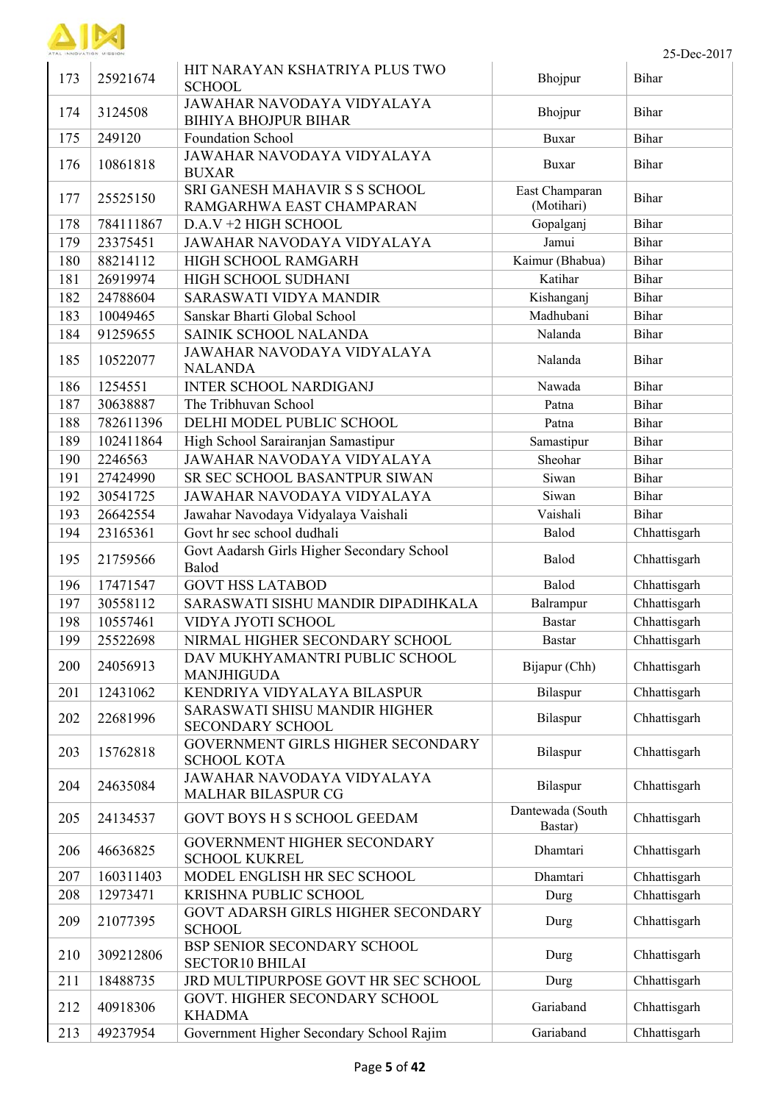

| 173 | 25921674  | HIT NARAYAN KSHATRIYA PLUS TWO<br><b>SCHOOL</b>           | Bhojpur                      | Bihar        |
|-----|-----------|-----------------------------------------------------------|------------------------------|--------------|
| 174 | 3124508   | JAWAHAR NAVODAYA VIDYALAYA<br><b>BIHIYA BHOJPUR BIHAR</b> | Bhojpur                      | Bihar        |
| 175 | 249120    | Foundation School                                         | <b>Buxar</b>                 | Bihar        |
| 176 | 10861818  | JAWAHAR NAVODAYA VIDYALAYA<br><b>BUXAR</b>                | Buxar                        | Bihar        |
| 177 | 25525150  | SRI GANESH MAHAVIR S S SCHOOL<br>RAMGARHWA EAST CHAMPARAN | East Champaran<br>(Motihari) | Bihar        |
| 178 | 784111867 | D.A.V +2 HIGH SCHOOL                                      | Gopalganj                    | Bihar        |
| 179 | 23375451  | JAWAHAR NAVODAYA VIDYALAYA                                | Jamui                        | Bihar        |
| 180 | 88214112  | HIGH SCHOOL RAMGARH                                       | Kaimur (Bhabua)              | Bihar        |
| 181 | 26919974  | HIGH SCHOOL SUDHANI                                       | Katihar                      | Bihar        |
| 182 | 24788604  | SARASWATI VIDYA MANDIR                                    | Kishanganj                   | Bihar        |
| 183 | 10049465  | Sanskar Bharti Global School                              | Madhubani                    | Bihar        |
| 184 | 91259655  | SAINIK SCHOOL NALANDA                                     | Nalanda                      | Bihar        |
| 185 | 10522077  | JAWAHAR NAVODAYA VIDYALAYA<br><b>NALANDA</b>              | Nalanda                      | Bihar        |
| 186 | 1254551   | <b>INTER SCHOOL NARDIGANJ</b>                             | Nawada                       | Bihar        |
| 187 | 30638887  | The Tribhuvan School                                      | Patna                        | Bihar        |
| 188 | 782611396 | DELHI MODEL PUBLIC SCHOOL                                 | Patna                        | Bihar        |
| 189 | 102411864 | High School Sarairanjan Samastipur                        | Samastipur                   | Bihar        |
| 190 | 2246563   | JAWAHAR NAVODAYA VIDYALAYA                                | Sheohar                      | Bihar        |
| 191 | 27424990  | SR SEC SCHOOL BASANTPUR SIWAN                             | Siwan                        | Bihar        |
| 192 | 30541725  | JAWAHAR NAVODAYA VIDYALAYA                                | Siwan                        | Bihar        |
| 193 | 26642554  | Jawahar Navodaya Vidyalaya Vaishali                       | Vaishali                     | Bihar        |
| 194 | 23165361  | Govt hr sec school dudhali                                | Balod                        | Chhattisgarh |
| 195 | 21759566  | Govt Aadarsh Girls Higher Secondary School<br>Balod       | Balod                        | Chhattisgarh |
| 196 | 17471547  | <b>GOVT HSS LATABOD</b>                                   | Balod                        | Chhattisgarh |
| 197 | 30558112  | SARASWATI SISHU MANDIR DIPADIHKALA                        | Balrampur                    | Chhattisgarh |
| 198 | 10557461  | VIDYA JYOTI SCHOOL                                        | <b>Bastar</b>                | Chhattisgarh |
| 199 | 25522698  | NIRMAL HIGHER SECONDARY SCHOOL                            | <b>Bastar</b>                | Chhattisgarh |
|     |           | DAV MUKHYAMANTRI PUBLIC SCHOOL                            |                              |              |
| 200 | 24056913  | <b>MANJHIGUDA</b>                                         | Bijapur (Chh)                | Chhattisgarh |
| 201 | 12431062  | KENDRIYA VIDYALAYA BILASPUR                               | Bilaspur                     | Chhattisgarh |
| 202 | 22681996  | SARASWATI SHISU MANDIR HIGHER<br><b>SECONDARY SCHOOL</b>  | Bilaspur                     | Chhattisgarh |
| 203 | 15762818  | GOVERNMENT GIRLS HIGHER SECONDARY<br><b>SCHOOL KOTA</b>   | Bilaspur                     | Chhattisgarh |
| 204 | 24635084  | JAWAHAR NAVODAYA VIDYALAYA<br><b>MALHAR BILASPUR CG</b>   | Bilaspur                     | Chhattisgarh |
| 205 | 24134537  | <b>GOVT BOYS H S SCHOOL GEEDAM</b>                        | Dantewada (South<br>Bastar)  | Chhattisgarh |
| 206 | 46636825  | GOVERNMENT HIGHER SECONDARY<br><b>SCHOOL KUKREL</b>       | Dhamtari                     | Chhattisgarh |
| 207 | 160311403 | MODEL ENGLISH HR SEC SCHOOL                               | Dhamtari                     | Chhattisgarh |
| 208 | 12973471  | KRISHNA PUBLIC SCHOOL                                     | Durg                         | Chhattisgarh |
| 209 | 21077395  | GOVT ADARSH GIRLS HIGHER SECONDARY<br><b>SCHOOL</b>       | Durg                         | Chhattisgarh |
| 210 | 309212806 | BSP SENIOR SECONDARY SCHOOL<br><b>SECTOR10 BHILAI</b>     | Durg                         | Chhattisgarh |
| 211 | 18488735  | JRD MULTIPURPOSE GOVT HR SEC SCHOOL                       | Durg                         | Chhattisgarh |
| 212 | 40918306  | GOVT. HIGHER SECONDARY SCHOOL<br><b>KHADMA</b>            | Gariaband                    | Chhattisgarh |
| 213 | 49237954  | Government Higher Secondary School Rajim                  | Gariaband                    | Chhattisgarh |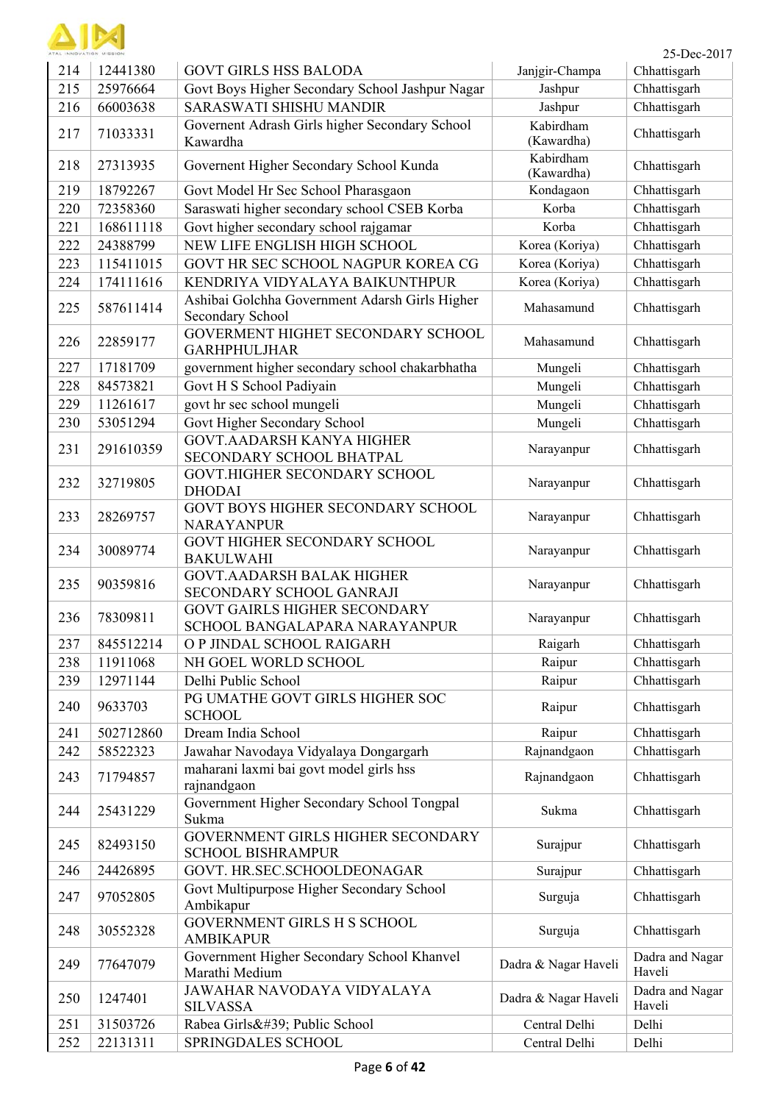

| TAL INNOVATION MISSION |           |                                                                      |                         | 25-Dec-2017               |
|------------------------|-----------|----------------------------------------------------------------------|-------------------------|---------------------------|
| 214                    | 12441380  | <b>GOVT GIRLS HSS BALODA</b>                                         | Janjgir-Champa          | Chhattisgarh              |
| 215                    | 25976664  | Govt Boys Higher Secondary School Jashpur Nagar                      | Jashpur                 | Chhattisgarh              |
| 216                    | 66003638  | <b>SARASWATI SHISHU MANDIR</b>                                       | Jashpur                 | Chhattisgarh              |
| 217                    | 71033331  | Governent Adrash Girls higher Secondary School<br>Kawardha           | Kabirdham<br>(Kawardha) | Chhattisgarh              |
| 218                    | 27313935  | Governent Higher Secondary School Kunda                              | Kabirdham<br>(Kawardha) | Chhattisgarh              |
| 219                    | 18792267  | Govt Model Hr Sec School Pharasgaon                                  | Kondagaon               | Chhattisgarh              |
| 220                    | 72358360  | Saraswati higher secondary school CSEB Korba                         | Korba                   | Chhattisgarh              |
| 221                    | 168611118 | Govt higher secondary school rajgamar                                | Korba                   | Chhattisgarh              |
| 222                    | 24388799  | NEW LIFE ENGLISH HIGH SCHOOL                                         | Korea (Koriya)          | Chhattisgarh              |
| 223                    | 115411015 | GOVT HR SEC SCHOOL NAGPUR KOREA CG                                   | Korea (Koriya)          | Chhattisgarh              |
| 224                    | 174111616 | KENDRIYA VIDYALAYA BAIKUNTHPUR                                       | Korea (Koriya)          | Chhattisgarh              |
| 225                    | 587611414 | Ashibai Golchha Government Adarsh Girls Higher<br>Secondary School   | Mahasamund              | Chhattisgarh              |
| 226                    | 22859177  | GOVERMENT HIGHET SECONDARY SCHOOL<br><b>GARHPHULJHAR</b>             | Mahasamund              | Chhattisgarh              |
| 227                    | 17181709  | government higher secondary school chakarbhatha                      | Mungeli                 | Chhattisgarh              |
| 228                    | 84573821  | Govt H S School Padiyain                                             | Mungeli                 | Chhattisgarh              |
| 229                    | 11261617  | govt hr sec school mungeli                                           | Mungeli                 | Chhattisgarh              |
| 230                    | 53051294  | Govt Higher Secondary School                                         | Mungeli                 | Chhattisgarh              |
| 231                    | 291610359 | <b>GOVT.AADARSH KANYA HIGHER</b><br>SECONDARY SCHOOL BHATPAL         | Narayanpur              | Chhattisgarh              |
| 232                    | 32719805  | GOVT.HIGHER SECONDARY SCHOOL<br><b>DHODAI</b>                        | Narayanpur              | Chhattisgarh              |
| 233                    | 28269757  | GOVT BOYS HIGHER SECONDARY SCHOOL<br><b>NARAYANPUR</b>               | Narayanpur              | Chhattisgarh              |
| 234                    | 30089774  | GOVT HIGHER SECONDARY SCHOOL<br><b>BAKULWAHI</b>                     | Narayanpur              | Chhattisgarh              |
| 235                    | 90359816  | <b>GOVT.AADARSH BALAK HIGHER</b><br>SECONDARY SCHOOL GANRAJI         | Narayanpur              | Chhattisgarh              |
| 236                    | 78309811  | <b>GOVT GAIRLS HIGHER SECONDARY</b><br>SCHOOL BANGALAPARA NARAYANPUR | Narayanpur              | Chhattisgarh              |
| 237                    | 845512214 | O P JINDAL SCHOOL RAIGARH                                            | Raigarh                 | Chhattisgarh              |
| 238                    | 11911068  | NH GOEL WORLD SCHOOL                                                 | Raipur                  | Chhattisgarh              |
| 239                    | 12971144  | Delhi Public School                                                  | Raipur                  | Chhattisgarh              |
| 240                    | 9633703   | PG UMATHE GOVT GIRLS HIGHER SOC<br><b>SCHOOL</b>                     | Raipur                  | Chhattisgarh              |
| 241                    | 502712860 | Dream India School                                                   | Raipur                  | Chhattisgarh              |
| 242                    | 58522323  | Jawahar Navodaya Vidyalaya Dongargarh                                | Rajnandgaon             | Chhattisgarh              |
| 243                    | 71794857  | maharani laxmi bai govt model girls hss<br>rajnandgaon               | Rajnandgaon             | Chhattisgarh              |
| 244                    | 25431229  | Government Higher Secondary School Tongpal<br>Sukma                  | Sukma                   | Chhattisgarh              |
| 245                    | 82493150  | GOVERNMENT GIRLS HIGHER SECONDARY<br><b>SCHOOL BISHRAMPUR</b>        | Surajpur                | Chhattisgarh              |
| 246                    | 24426895  | GOVT. HR.SEC.SCHOOLDEONAGAR                                          | Surajpur                | Chhattisgarh              |
| 247                    | 97052805  | Govt Multipurpose Higher Secondary School<br>Ambikapur               | Surguja                 | Chhattisgarh              |
| 248                    | 30552328  | GOVERNMENT GIRLS H S SCHOOL<br><b>AMBIKAPUR</b>                      | Surguja                 | Chhattisgarh              |
| 249                    | 77647079  | Government Higher Secondary School Khanvel<br>Marathi Medium         | Dadra & Nagar Haveli    | Dadra and Nagar<br>Haveli |
| 250                    | 1247401   | JAWAHAR NAVODAYA VIDYALAYA<br><b>SILVASSA</b>                        | Dadra & Nagar Haveli    | Dadra and Nagar<br>Haveli |
| 251                    | 31503726  | Rabea Girls' Public School                                           | Central Delhi           | Delhi                     |
| 252                    | 22131311  | SPRINGDALES SCHOOL                                                   | Central Delhi           | Delhi                     |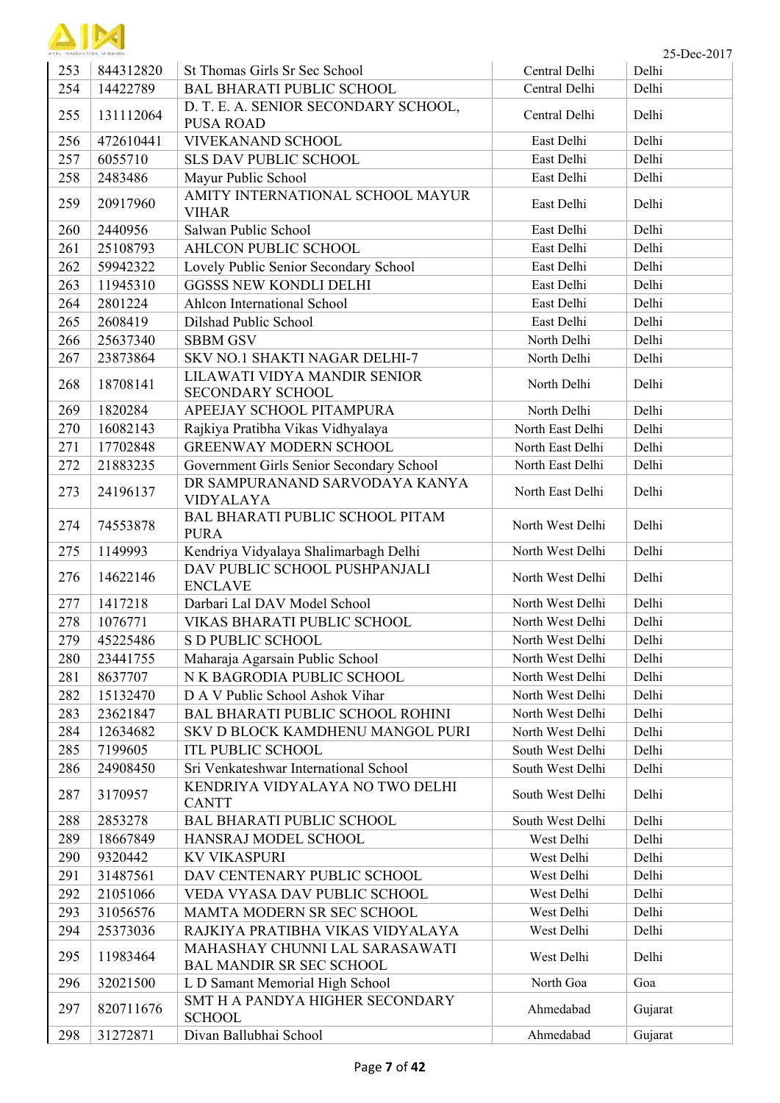| ATAL INNIPULATION AFIERING |
|----------------------------|

| ATAL INNOVATION MISSION |           |                                                                   |                  | 25-Dec-2017 |
|-------------------------|-----------|-------------------------------------------------------------------|------------------|-------------|
| 253                     | 844312820 | St Thomas Girls Sr Sec School                                     | Central Delhi    | Delhi       |
| 254                     | 14422789  | <b>BAL BHARATI PUBLIC SCHOOL</b>                                  | Central Delhi    | Delhi       |
| 255                     | 131112064 | D. T. E. A. SENIOR SECONDARY SCHOOL,<br><b>PUSA ROAD</b>          | Central Delhi    | Delhi       |
| 256                     | 472610441 | VIVEKANAND SCHOOL                                                 | East Delhi       | Delhi       |
| 257                     | 6055710   | <b>SLS DAV PUBLIC SCHOOL</b>                                      | East Delhi       | Delhi       |
| 258                     | 2483486   | Mayur Public School                                               | East Delhi       | Delhi       |
| 259                     | 20917960  | AMITY INTERNATIONAL SCHOOL MAYUR<br><b>VIHAR</b>                  | East Delhi       | Delhi       |
| 260                     | 2440956   | Salwan Public School                                              | East Delhi       | Delhi       |
| 261                     | 25108793  | AHLCON PUBLIC SCHOOL                                              | East Delhi       | Delhi       |
| 262                     | 59942322  | Lovely Public Senior Secondary School                             | East Delhi       | Delhi       |
| 263                     | 11945310  | <b>GGSSS NEW KONDLI DELHI</b>                                     | East Delhi       | Delhi       |
| 264                     | 2801224   | Ahlcon International School                                       | East Delhi       | Delhi       |
| 265                     | 2608419   | Dilshad Public School                                             | East Delhi       | Delhi       |
| 266                     | 25637340  | <b>SBBM GSV</b>                                                   | North Delhi      | Delhi       |
| 267                     | 23873864  | SKV NO.1 SHAKTI NAGAR DELHI-7                                     | North Delhi      | Delhi       |
|                         |           | LILAWATI VIDYA MANDIR SENIOR                                      |                  |             |
| 268                     | 18708141  | SECONDARY SCHOOL                                                  | North Delhi      | Delhi       |
| 269                     | 1820284   | APEEJAY SCHOOL PITAMPURA                                          | North Delhi      | Delhi       |
| 270                     | 16082143  | Rajkiya Pratibha Vikas Vidhyalaya                                 | North East Delhi | Delhi       |
| 271                     | 17702848  | <b>GREENWAY MODERN SCHOOL</b>                                     | North East Delhi | Delhi       |
| 272                     | 21883235  | Government Girls Senior Secondary School                          | North East Delhi | Delhi       |
| 273                     | 24196137  | DR SAMPURANAND SARVODAYA KANYA<br><b>VIDYALAYA</b>                | North East Delhi | Delhi       |
| 274                     | 74553878  | BAL BHARATI PUBLIC SCHOOL PITAM<br><b>PURA</b>                    | North West Delhi | Delhi       |
| 275                     | 1149993   | Kendriya Vidyalaya Shalimarbagh Delhi                             | North West Delhi | Delhi       |
| 276                     | 14622146  | DAV PUBLIC SCHOOL PUSHPANJALI<br><b>ENCLAVE</b>                   | North West Delhi | Delhi       |
| 277                     | 1417218   | Darbari Lal DAV Model School                                      | North West Delhi | Delhi       |
| 278                     | 1076771   | VIKAS BHARATI PUBLIC SCHOOL                                       | North West Delhi | Delhi       |
| 279                     | 45225486  | <b>S D PUBLIC SCHOOL</b>                                          | North West Delhi | Delhi       |
| 280                     | 23441755  | Maharaja Agarsain Public School                                   | North West Delhi | Delhi       |
| 281                     | 8637707   | N K BAGRODIA PUBLIC SCHOOL                                        | North West Delhi | Delhi       |
| 282                     | 15132470  | D A V Public School Ashok Vihar                                   | North West Delhi | Delhi       |
| 283                     | 23621847  | <b>BAL BHARATI PUBLIC SCHOOL ROHINI</b>                           | North West Delhi | Delhi       |
| 284                     | 12634682  | SKV D BLOCK KAMDHENU MANGOL PURI                                  | North West Delhi | Delhi       |
| 285                     | 7199605   | <b>ITL PUBLIC SCHOOL</b>                                          | South West Delhi | Delhi       |
| 286                     | 24908450  | Sri Venkateshwar International School                             | South West Delhi | Delhi       |
| 287                     | 3170957   | KENDRIYA VIDYALAYA NO TWO DELHI<br><b>CANTT</b>                   | South West Delhi | Delhi       |
| 288                     | 2853278   | <b>BAL BHARATI PUBLIC SCHOOL</b>                                  | South West Delhi | Delhi       |
| 289                     | 18667849  | HANSRAJ MODEL SCHOOL                                              | West Delhi       | Delhi       |
| 290                     | 9320442   | <b>KV VIKASPURI</b>                                               | West Delhi       | Delhi       |
| 291                     | 31487561  | DAV CENTENARY PUBLIC SCHOOL                                       | West Delhi       | Delhi       |
| 292                     | 21051066  | VEDA VYASA DAV PUBLIC SCHOOL                                      | West Delhi       | Delhi       |
| 293                     | 31056576  | MAMTA MODERN SR SEC SCHOOL                                        | West Delhi       | Delhi       |
| 294                     | 25373036  | RAJKIYA PRATIBHA VIKAS VIDYALAYA                                  | West Delhi       | Delhi       |
| 295                     | 11983464  | MAHASHAY CHUNNI LAL SARASAWATI<br><b>BAL MANDIR SR SEC SCHOOL</b> | West Delhi       | Delhi       |
| 296                     | 32021500  | L D Samant Memorial High School                                   | North Goa        | Goa         |
| 297                     | 820711676 | SMT H A PANDYA HIGHER SECONDARY<br><b>SCHOOL</b>                  | Ahmedabad        | Gujarat     |
| 298                     | 31272871  | Divan Ballubhai School                                            | Ahmedabad        | Gujarat     |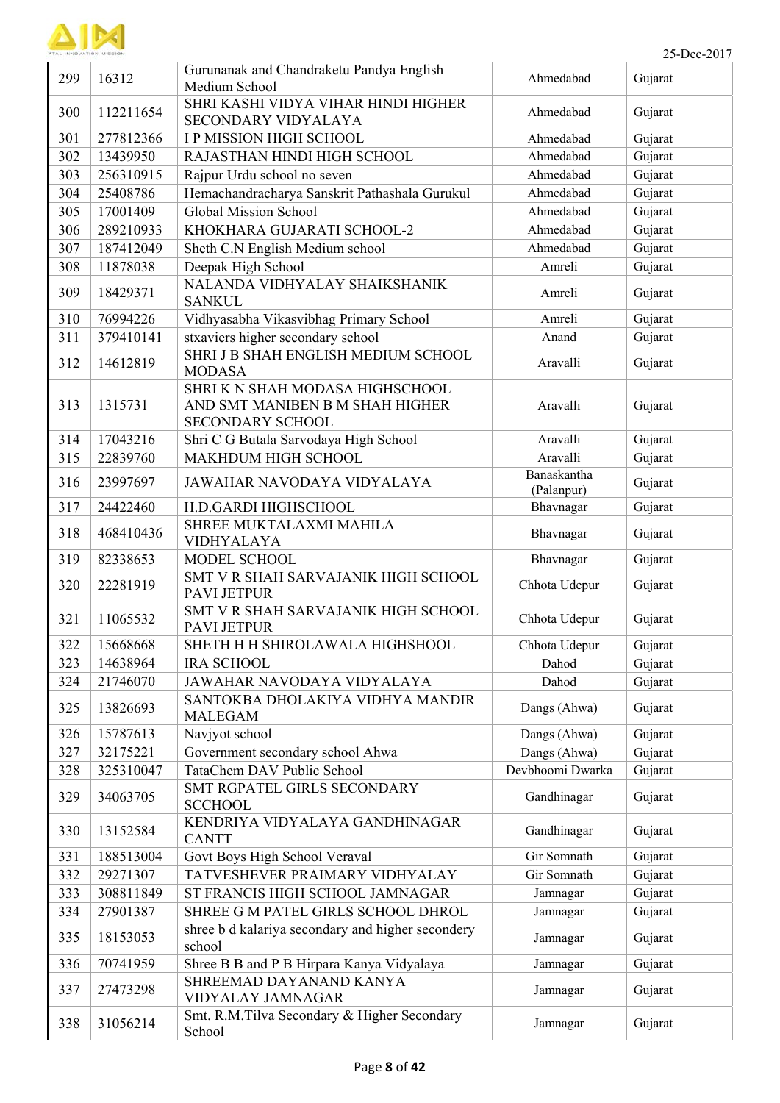

| ATAL INNOVATION MISSION |           |                                                                                               |                           | 25-Dec-2017 |
|-------------------------|-----------|-----------------------------------------------------------------------------------------------|---------------------------|-------------|
| 299                     | 16312     | Gurunanak and Chandraketu Pandya English<br>Medium School                                     | Ahmedabad                 | Gujarat     |
| 300                     | 112211654 | SHRI KASHI VIDYA VIHAR HINDI HIGHER<br>SECONDARY VIDYALAYA                                    | Ahmedabad                 | Gujarat     |
| 301                     | 277812366 | <b>IP MISSION HIGH SCHOOL</b>                                                                 | Ahmedabad                 | Gujarat     |
| 302                     | 13439950  | RAJASTHAN HINDI HIGH SCHOOL                                                                   | Ahmedabad                 | Gujarat     |
| 303                     | 256310915 | Rajpur Urdu school no seven                                                                   | Ahmedabad                 | Gujarat     |
| 304                     | 25408786  | Hemachandracharya Sanskrit Pathashala Gurukul                                                 | Ahmedabad                 | Gujarat     |
| 305                     | 17001409  | Global Mission School                                                                         | Ahmedabad                 | Gujarat     |
| 306                     | 289210933 | KHOKHARA GUJARATI SCHOOL-2                                                                    | Ahmedabad                 | Gujarat     |
| 307                     | 187412049 | Sheth C.N English Medium school                                                               | Ahmedabad                 | Gujarat     |
| 308                     | 11878038  | Deepak High School                                                                            | Amreli                    | Gujarat     |
| 309                     | 18429371  | NALANDA VIDHYALAY SHAIKSHANIK<br><b>SANKUL</b>                                                | Amreli                    | Gujarat     |
| 310                     | 76994226  | Vidhyasabha Vikasvibhag Primary School                                                        | Amreli                    | Gujarat     |
| 311                     | 379410141 | stxaviers higher secondary school                                                             | Anand                     | Gujarat     |
| 312                     | 14612819  | SHRI J B SHAH ENGLISH MEDIUM SCHOOL<br><b>MODASA</b>                                          | Aravalli                  | Gujarat     |
| 313                     | 1315731   | SHRI K N SHAH MODASA HIGHSCHOOL<br>AND SMT MANIBEN B M SHAH HIGHER<br><b>SECONDARY SCHOOL</b> | Aravalli                  | Gujarat     |
| 314                     | 17043216  | Shri C G Butala Sarvodaya High School                                                         | Aravalli                  | Gujarat     |
| 315                     | 22839760  | MAKHDUM HIGH SCHOOL                                                                           | Aravalli                  | Gujarat     |
| 316                     | 23997697  | JAWAHAR NAVODAYA VIDYALAYA                                                                    | Banaskantha<br>(Palanpur) | Gujarat     |
| 317                     | 24422460  | H.D.GARDI HIGHSCHOOL                                                                          | Bhavnagar                 | Gujarat     |
| 318                     | 468410436 | SHREE MUKTALAXMI MAHILA<br><b>VIDHYALAYA</b>                                                  | Bhavnagar                 | Gujarat     |
| 319                     | 82338653  | MODEL SCHOOL                                                                                  | Bhavnagar                 | Gujarat     |
| 320                     | 22281919  | SMT V R SHAH SARVAJANIK HIGH SCHOOL<br><b>PAVI JETPUR</b>                                     | Chhota Udepur             | Gujarat     |
| 321                     | 11065532  | SMT V R SHAH SARVAJANIK HIGH SCHOOL<br>PAVI JETPUR                                            | Chhota Udepur             | Gujarat     |
| 322                     | 15668668  | SHETH H H SHIROLAWALA HIGHSHOOL                                                               | Chhota Udepur             | Gujarat     |
| 323                     | 14638964  | <b>IRA SCHOOL</b>                                                                             | Dahod                     | Gujarat     |
| 324                     | 21746070  | JAWAHAR NAVODAYA VIDYALAYA                                                                    | Dahod                     | Gujarat     |
| 325                     | 13826693  | SANTOKBA DHOLAKIYA VIDHYA MANDIR<br><b>MALEGAM</b>                                            | Dangs (Ahwa)              | Gujarat     |
| 326                     | 15787613  | Navjyot school                                                                                | Dangs (Ahwa)              | Gujarat     |
| 327                     | 32175221  | Government secondary school Ahwa                                                              | Dangs (Ahwa)              | Gujarat     |
| 328                     | 325310047 | TataChem DAV Public School                                                                    | Devbhoomi Dwarka          | Gujarat     |
| 329                     | 34063705  | SMT RGPATEL GIRLS SECONDARY<br><b>SCCHOOL</b>                                                 | Gandhinagar               | Gujarat     |
| 330                     | 13152584  | KENDRIYA VIDYALAYA GANDHINAGAR<br><b>CANTT</b>                                                | Gandhinagar               | Gujarat     |
| 331                     | 188513004 | Govt Boys High School Veraval                                                                 | Gir Somnath               | Gujarat     |
| 332                     | 29271307  | TATVESHEVER PRAIMARY VIDHYALAY                                                                | Gir Somnath               | Gujarat     |
| 333                     | 308811849 | ST FRANCIS HIGH SCHOOL JAMNAGAR                                                               | Jamnagar                  | Gujarat     |
| 334                     | 27901387  | SHREE G M PATEL GIRLS SCHOOL DHROL                                                            | Jamnagar                  | Gujarat     |
| 335                     | 18153053  | shree b d kalariya secondary and higher secondery<br>school                                   | Jamnagar                  | Gujarat     |
| 336                     | 70741959  | Shree B B and P B Hirpara Kanya Vidyalaya                                                     | Jamnagar                  | Gujarat     |
| 337                     | 27473298  | SHREEMAD DAYANAND KANYA<br>VIDYALAY JAMNAGAR                                                  | Jamnagar                  | Gujarat     |
| 338                     | 31056214  | Smt. R.M.Tilva Secondary & Higher Secondary<br>School                                         | Jamnagar                  | Gujarat     |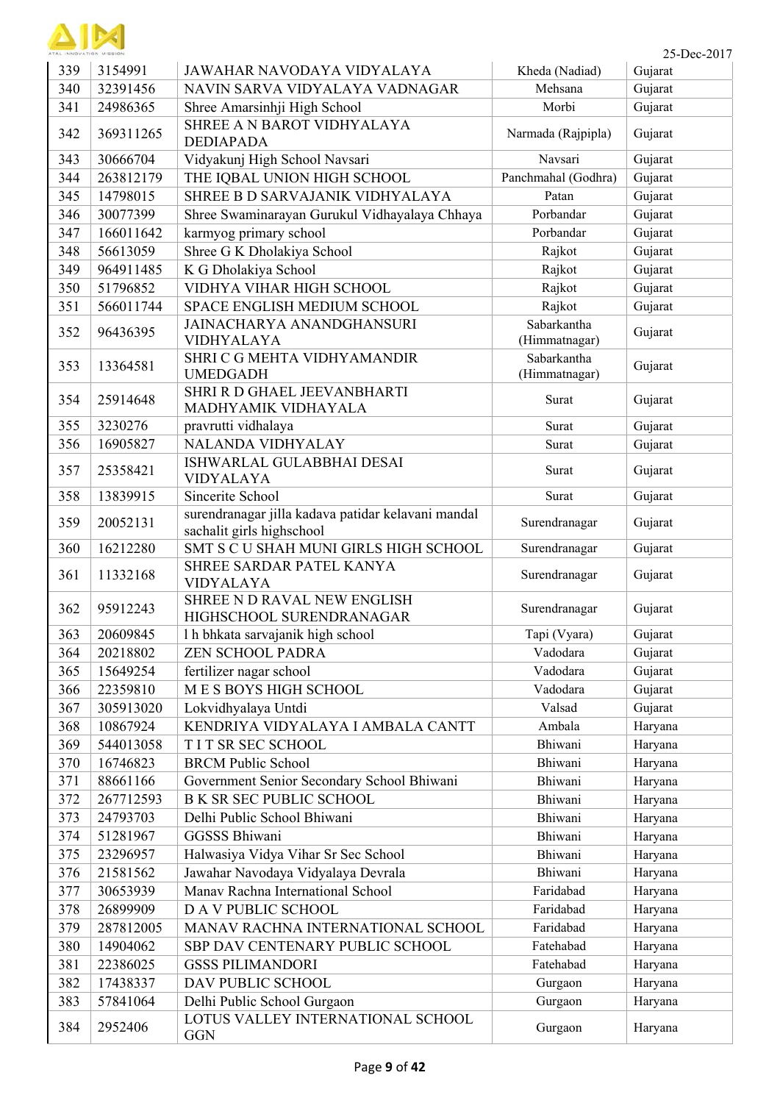

| 339 | 3154991   | JAWAHAR NAVODAYA VIDYALAYA                                                      | Kheda (Nadiad)               | Gujarat |
|-----|-----------|---------------------------------------------------------------------------------|------------------------------|---------|
| 340 | 32391456  | NAVIN SARVA VIDYALAYA VADNAGAR                                                  | Mehsana                      | Gujarat |
| 341 | 24986365  | Shree Amarsinhji High School                                                    | Morbi                        | Gujarat |
| 342 | 369311265 | SHREE A N BAROT VIDHYALAYA<br><b>DEDIAPADA</b>                                  | Narmada (Rajpipla)           | Gujarat |
| 343 | 30666704  | Vidyakunj High School Navsari                                                   | Navsari                      | Gujarat |
| 344 | 263812179 | THE IQBAL UNION HIGH SCHOOL                                                     | Panchmahal (Godhra)          | Gujarat |
| 345 | 14798015  | SHREE B D SARVAJANIK VIDHYALAYA                                                 | Patan                        | Gujarat |
| 346 | 30077399  | Shree Swaminarayan Gurukul Vidhayalaya Chhaya                                   | Porbandar                    | Gujarat |
| 347 | 166011642 | karmyog primary school                                                          | Porbandar                    | Gujarat |
| 348 | 56613059  | Shree G K Dholakiya School                                                      | Rajkot                       | Gujarat |
| 349 | 964911485 | K G Dholakiya School                                                            | Rajkot                       | Gujarat |
| 350 | 51796852  | VIDHYA VIHAR HIGH SCHOOL                                                        | Rajkot                       | Gujarat |
| 351 | 566011744 | SPACE ENGLISH MEDIUM SCHOOL                                                     | Rajkot                       | Gujarat |
| 352 | 96436395  | <b>JAINACHARYA ANANDGHANSURI</b><br><b>VIDHYALAYA</b>                           | Sabarkantha<br>(Himmatnagar) | Gujarat |
| 353 | 13364581  | SHRI C G MEHTA VIDHYAMANDIR<br><b>UMEDGADH</b>                                  | Sabarkantha<br>(Himmatnagar) | Gujarat |
| 354 | 25914648  | SHRI R D GHAEL JEEVANBHARTI<br>MADHYAMIK VIDHAYALA                              | Surat                        | Gujarat |
| 355 | 3230276   | pravrutti vidhalaya                                                             | Surat                        | Gujarat |
| 356 | 16905827  | <b>NALANDA VIDHYALAY</b>                                                        | Surat                        | Gujarat |
| 357 | 25358421  | ISHWARLAL GULABBHAI DESAI<br><b>VIDYALAYA</b>                                   | Surat                        | Gujarat |
| 358 | 13839915  | Sincerite School                                                                | Surat                        | Gujarat |
| 359 | 20052131  | surendranagar jilla kadava patidar kelavani mandal<br>sachalit girls highschool | Surendranagar                | Gujarat |
| 360 | 16212280  | SMT S C U SHAH MUNI GIRLS HIGH SCHOOL                                           | Surendranagar                | Gujarat |
| 361 | 11332168  | SHREE SARDAR PATEL KANYA<br><b>VIDYALAYA</b>                                    | Surendranagar                | Gujarat |
| 362 | 95912243  | SHREE N D RAVAL NEW ENGLISH<br>HIGHSCHOOL SURENDRANAGAR                         | Surendranagar                | Gujarat |
| 363 | 20609845  | 1 h bhkata sarvajanik high school                                               | Tapi (Vyara)                 | Gujarat |
| 364 | 20218802  | <b>ZEN SCHOOL PADRA</b>                                                         | Vadodara                     | Gujarat |
| 365 | 15649254  | fertilizer nagar school                                                         | Vadodara                     | Gujarat |
| 366 | 22359810  | MES BOYS HIGH SCHOOL                                                            | Vadodara                     | Gujarat |
| 367 | 305913020 | Lokvidhyalaya Untdi                                                             | Valsad                       | Gujarat |
| 368 | 10867924  | KENDRIYA VIDYALAYA I AMBALA CANTT                                               | Ambala                       | Haryana |
| 369 | 544013058 | T I T SR SEC SCHOOL                                                             | Bhiwani                      | Haryana |
| 370 | 16746823  | <b>BRCM Public School</b>                                                       | Bhiwani                      | Haryana |
| 371 | 88661166  | Government Senior Secondary School Bhiwani                                      | Bhiwani                      | Haryana |
| 372 | 267712593 | <b>B K SR SEC PUBLIC SCHOOL</b>                                                 | Bhiwani                      | Haryana |
| 373 | 24793703  | Delhi Public School Bhiwani                                                     | Bhiwani                      | Haryana |
| 374 | 51281967  | <b>GGSSS Bhiwani</b>                                                            | Bhiwani                      | Haryana |
| 375 | 23296957  | Halwasiya Vidya Vihar Sr Sec School                                             | Bhiwani                      | Haryana |
| 376 | 21581562  | Jawahar Navodaya Vidyalaya Devrala                                              | Bhiwani                      | Haryana |
| 377 | 30653939  | Manav Rachna International School                                               | Faridabad                    | Haryana |
| 378 | 26899909  | D A V PUBLIC SCHOOL                                                             | Faridabad                    | Haryana |
| 379 | 287812005 | MANAV RACHNA INTERNATIONAL SCHOOL                                               | Faridabad                    | Haryana |
| 380 | 14904062  | SBP DAV CENTENARY PUBLIC SCHOOL                                                 | Fatehabad                    | Haryana |
| 381 | 22386025  | <b>GSSS PILIMANDORI</b>                                                         | Fatehabad                    | Haryana |
| 382 | 17438337  | DAV PUBLIC SCHOOL                                                               | Gurgaon                      | Haryana |
| 383 | 57841064  | Delhi Public School Gurgaon                                                     | Gurgaon                      | Haryana |
| 384 | 2952406   | LOTUS VALLEY INTERNATIONAL SCHOOL<br><b>GGN</b>                                 | Gurgaon                      | Haryana |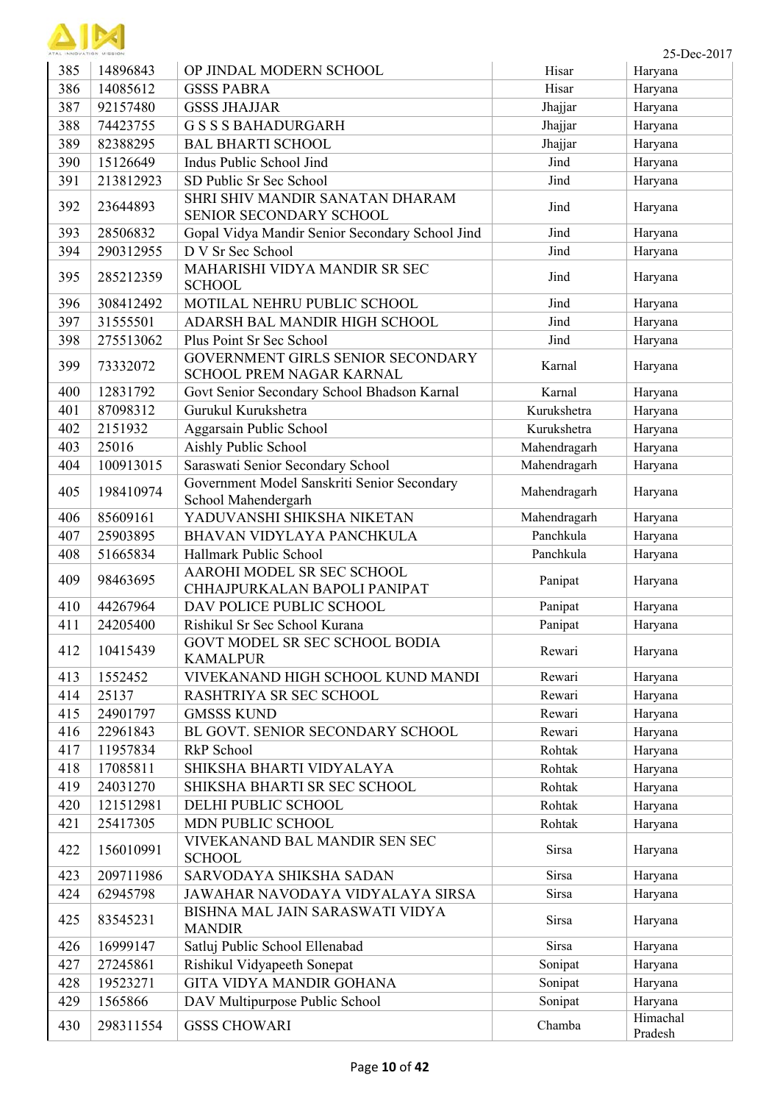| ATAL INNOVATION MISSION |
|-------------------------|

l.

| 385 | 14896843  | OP JINDAL MODERN SCHOOL                                            | Hisar        | Haryana             |
|-----|-----------|--------------------------------------------------------------------|--------------|---------------------|
| 386 | 14085612  | <b>GSSS PABRA</b>                                                  | Hisar        | Haryana             |
| 387 | 92157480  | <b>GSSS JHAJJAR</b>                                                | Jhajjar      | Haryana             |
| 388 | 74423755  | <b>GSSS BAHADURGARH</b>                                            | Jhajjar      | Haryana             |
| 389 | 82388295  | <b>BAL BHARTI SCHOOL</b>                                           | Jhajjar      | Haryana             |
| 390 | 15126649  | Indus Public School Jind                                           | Jind         | Haryana             |
| 391 | 213812923 | SD Public Sr Sec School                                            | Jind         | Haryana             |
| 392 | 23644893  | SHRI SHIV MANDIR SANATAN DHARAM<br>SENIOR SECONDARY SCHOOL         | Jind         | Haryana             |
| 393 | 28506832  | Gopal Vidya Mandir Senior Secondary School Jind                    | Jind         | Haryana             |
| 394 | 290312955 | D V Sr Sec School                                                  | Jind         | Haryana             |
| 395 | 285212359 | MAHARISHI VIDYA MANDIR SR SEC<br><b>SCHOOL</b>                     | Jind         | Haryana             |
| 396 | 308412492 | MOTILAL NEHRU PUBLIC SCHOOL                                        | Jind         | Haryana             |
| 397 | 31555501  | ADARSH BAL MANDIR HIGH SCHOOL                                      | Jind         | Haryana             |
| 398 | 275513062 | Plus Point Sr Sec School                                           | Jind         | Haryana             |
| 399 | 73332072  | GOVERNMENT GIRLS SENIOR SECONDARY<br>SCHOOL PREM NAGAR KARNAL      | Karnal       | Haryana             |
| 400 | 12831792  | Govt Senior Secondary School Bhadson Karnal                        | Karnal       | Haryana             |
| 401 | 87098312  | Gurukul Kurukshetra                                                | Kurukshetra  | Haryana             |
| 402 | 2151932   | Aggarsain Public School                                            | Kurukshetra  | Haryana             |
| 403 | 25016     | Aishly Public School                                               | Mahendragarh | Haryana             |
| 404 | 100913015 | Saraswati Senior Secondary School                                  | Mahendragarh | Haryana             |
| 405 | 198410974 | Government Model Sanskriti Senior Secondary<br>School Mahendergarh | Mahendragarh | Haryana             |
| 406 | 85609161  | YADUVANSHI SHIKSHA NIKETAN                                         | Mahendragarh | Haryana             |
| 407 | 25903895  | BHAVAN VIDYLAYA PANCHKULA                                          | Panchkula    | Haryana             |
| 408 | 51665834  | Hallmark Public School                                             | Panchkula    | Haryana             |
| 409 | 98463695  | AAROHI MODEL SR SEC SCHOOL<br>CHHAJPURKALAN BAPOLI PANIPAT         | Panipat      | Haryana             |
| 410 | 44267964  | DAV POLICE PUBLIC SCHOOL                                           | Panipat      | Haryana             |
| 411 | 24205400  | Rishikul Sr Sec School Kurana                                      | Panipat      | Haryana             |
| 412 | 10415439  | GOVT MODEL SR SEC SCHOOL BODIA<br><b>KAMALPUR</b>                  | Rewari       | Haryana             |
| 413 | 1552452   | VIVEKANAND HIGH SCHOOL KUND MANDI                                  | Rewari       | Haryana             |
| 414 | 25137     | RASHTRIYA SR SEC SCHOOL                                            | Rewari       | Haryana             |
| 415 | 24901797  | <b>GMSSS KUND</b>                                                  | Rewari       | Haryana             |
| 416 | 22961843  | BL GOVT. SENIOR SECONDARY SCHOOL                                   | Rewari       | Haryana             |
| 417 | 11957834  | RkP School                                                         | Rohtak       | Haryana             |
| 418 | 17085811  | SHIKSHA BHARTI VIDYALAYA                                           | Rohtak       | Haryana             |
| 419 | 24031270  | SHIKSHA BHARTI SR SEC SCHOOL                                       | Rohtak       | Haryana             |
| 420 | 121512981 | DELHI PUBLIC SCHOOL                                                | Rohtak       | Haryana             |
| 421 | 25417305  | MDN PUBLIC SCHOOL                                                  | Rohtak       | Haryana             |
| 422 | 156010991 | VIVEKANAND BAL MANDIR SEN SEC<br><b>SCHOOL</b>                     | Sirsa        | Haryana             |
| 423 | 209711986 | SARVODAYA SHIKSHA SADAN                                            | Sirsa        | Haryana             |
| 424 | 62945798  | JAWAHAR NAVODAYA VIDYALAYA SIRSA                                   | Sirsa        | Haryana             |
| 425 | 83545231  | BISHNA MAL JAIN SARASWATI VIDYA<br><b>MANDIR</b>                   | Sirsa        | Haryana             |
| 426 | 16999147  | Satluj Public School Ellenabad                                     | Sirsa        | Haryana             |
| 427 | 27245861  | Rishikul Vidyapeeth Sonepat                                        | Sonipat      | Haryana             |
| 428 | 19523271  | GITA VIDYA MANDIR GOHANA                                           | Sonipat      | Haryana             |
| 429 | 1565866   | DAV Multipurpose Public School                                     | Sonipat      | Haryana             |
| 430 | 298311554 | <b>GSSS CHOWARI</b>                                                | Chamba       | Himachal<br>Pradesh |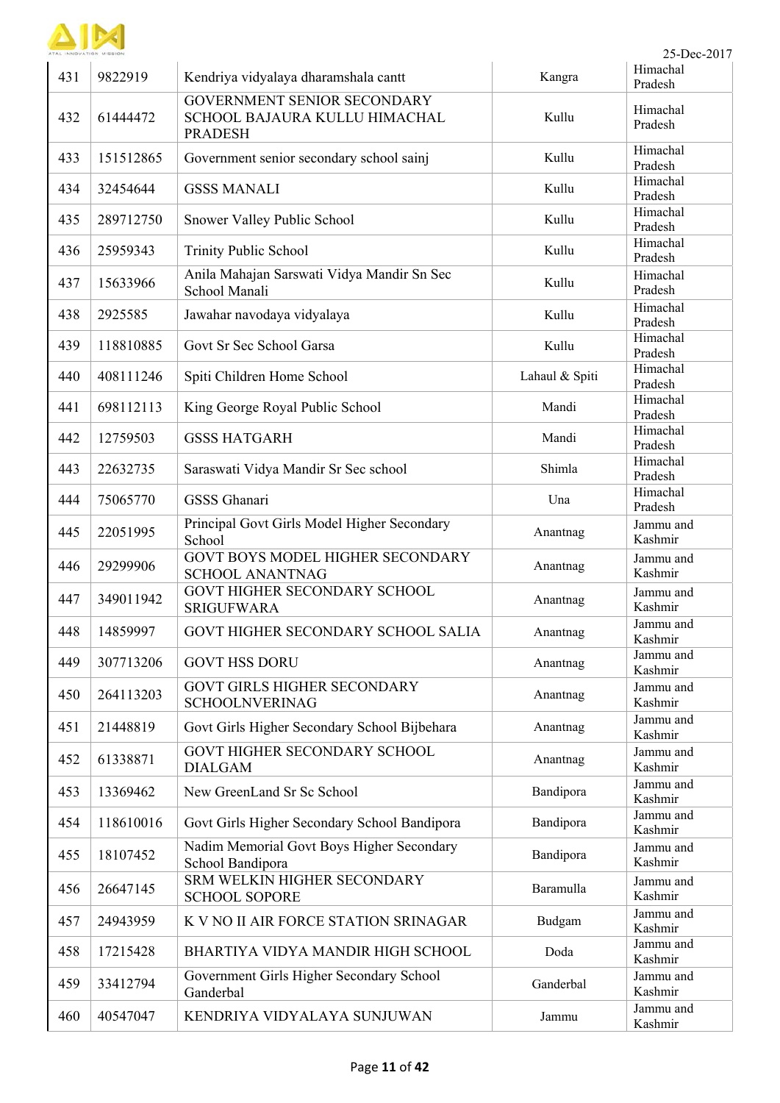

| 431 | 9822919   | Kendriya vidyalaya dharamshala cantt                                           | Kangra         | Pradesh              |
|-----|-----------|--------------------------------------------------------------------------------|----------------|----------------------|
| 432 | 61444472  | GOVERNMENT SENIOR SECONDARY<br>SCHOOL BAJAURA KULLU HIMACHAL<br><b>PRADESH</b> | Kullu          | Himachal<br>Pradesh  |
| 433 | 151512865 | Government senior secondary school sainj                                       | Kullu          | Himachal<br>Pradesh  |
| 434 | 32454644  | <b>GSSS MANALI</b>                                                             | Kullu          | Himachal<br>Pradesh  |
| 435 | 289712750 | Snower Valley Public School                                                    | Kullu          | Himachal<br>Pradesh  |
| 436 | 25959343  | Trinity Public School                                                          | Kullu          | Himachal<br>Pradesh  |
| 437 | 15633966  | Anila Mahajan Sarswati Vidya Mandir Sn Sec<br>School Manali                    | Kullu          | Himachal<br>Pradesh  |
| 438 | 2925585   | Jawahar navodaya vidyalaya                                                     | Kullu          | Himachal<br>Pradesh  |
| 439 | 118810885 | Govt Sr Sec School Garsa                                                       | Kullu          | Himachal<br>Pradesh  |
| 440 | 408111246 | Spiti Children Home School                                                     | Lahaul & Spiti | Himachal<br>Pradesh  |
| 441 | 698112113 | King George Royal Public School                                                | Mandi          | Himachal<br>Pradesh  |
| 442 | 12759503  | <b>GSSS HATGARH</b>                                                            | Mandi          | Himachal<br>Pradesh  |
| 443 | 22632735  | Saraswati Vidya Mandir Sr Sec school                                           | Shimla         | Himachal<br>Pradesh  |
| 444 | 75065770  | <b>GSSS</b> Ghanari                                                            | Una            | Himachal<br>Pradesh  |
| 445 | 22051995  | Principal Govt Girls Model Higher Secondary<br>School                          | Anantnag       | Jammu and<br>Kashmir |
| 446 | 29299906  | GOVT BOYS MODEL HIGHER SECONDARY<br><b>SCHOOL ANANTNAG</b>                     | Anantnag       | Jammu and<br>Kashmir |
| 447 | 349011942 | GOVT HIGHER SECONDARY SCHOOL<br><b>SRIGUFWARA</b>                              | Anantnag       | Jammu and<br>Kashmir |
| 448 | 14859997  | GOVT HIGHER SECONDARY SCHOOL SALIA                                             | Anantnag       | Jammu and<br>Kashmir |
| 449 | 307713206 | <b>GOVT HSS DORU</b>                                                           | Anantnag       | Jammu and<br>Kashmir |
| 450 | 264113203 | <b>GOVT GIRLS HIGHER SECONDARY</b><br><b>SCHOOLNVERINAG</b>                    | Anantnag       | Jammu and<br>Kashmir |
| 451 | 21448819  | Govt Girls Higher Secondary School Bijbehara                                   | Anantnag       | Jammu and<br>Kashmir |
| 452 | 61338871  | GOVT HIGHER SECONDARY SCHOOL<br><b>DIALGAM</b>                                 | Anantnag       | Jammu and<br>Kashmir |
| 453 | 13369462  | New GreenLand Sr Sc School                                                     | Bandipora      | Jammu and<br>Kashmir |
| 454 | 118610016 | Govt Girls Higher Secondary School Bandipora                                   | Bandipora      | Jammu and<br>Kashmir |
| 455 | 18107452  | Nadim Memorial Govt Boys Higher Secondary<br>School Bandipora                  | Bandipora      | Jammu and<br>Kashmir |
| 456 | 26647145  | SRM WELKIN HIGHER SECONDARY<br><b>SCHOOL SOPORE</b>                            | Baramulla      | Jammu and<br>Kashmir |
| 457 | 24943959  | K V NO II AIR FORCE STATION SRINAGAR                                           | Budgam         | Jammu and<br>Kashmir |
| 458 | 17215428  | BHARTIYA VIDYA MANDIR HIGH SCHOOL                                              | Doda           | Jammu and<br>Kashmir |
| 459 | 33412794  | Government Girls Higher Secondary School<br>Ganderbal                          | Ganderbal      | Jammu and<br>Kashmir |
| 460 | 40547047  | KENDRIYA VIDYALAYA SUNJUWAN                                                    | Jammu          | Jammu and<br>Kashmir |

431 9822919 Kendriya vidyalaya dharamshala cantt Kangra

 $25$ -Dec-2017<br>Himachal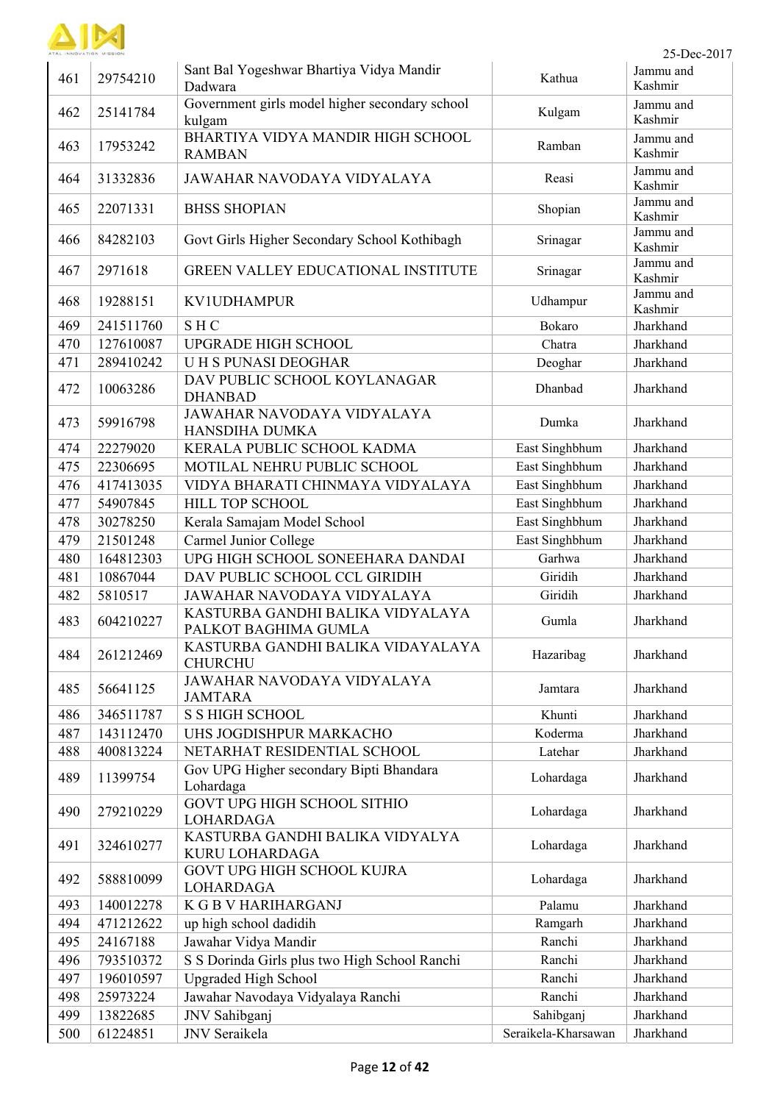

| 461 | 29754210  | Sant Bal Yogeshwar Bhartiya Vidya Mandir<br>Dadwara      | Kathua              | Jammu and<br>Kashmir |
|-----|-----------|----------------------------------------------------------|---------------------|----------------------|
| 462 | 25141784  | Government girls model higher secondary school<br>kulgam | Kulgam              | Jammu and<br>Kashmir |
| 463 | 17953242  | BHARTIYA VIDYA MANDIR HIGH SCHOOL<br><b>RAMBAN</b>       | Ramban              | Jammu and<br>Kashmir |
| 464 | 31332836  | JAWAHAR NAVODAYA VIDYALAYA                               | Reasi               | Jammu and<br>Kashmir |
| 465 | 22071331  | <b>BHSS SHOPIAN</b>                                      | Shopian             | Jammu and<br>Kashmir |
| 466 | 84282103  | Govt Girls Higher Secondary School Kothibagh             | Srinagar            | Jammu and<br>Kashmir |
| 467 | 2971618   | <b>GREEN VALLEY EDUCATIONAL INSTITUTE</b>                | Srinagar            | Jammu and<br>Kashmir |
| 468 | 19288151  | <b>KV1UDHAMPUR</b>                                       | Udhampur            | Jammu and<br>Kashmir |
| 469 | 241511760 | <b>SHC</b>                                               | Bokaro              | Jharkhand            |
| 470 | 127610087 | <b>UPGRADE HIGH SCHOOL</b>                               | Chatra              | Jharkhand            |
| 471 | 289410242 | <b>UH S PUNASI DEOGHAR</b>                               | Deoghar             | Jharkhand            |
| 472 | 10063286  | DAV PUBLIC SCHOOL KOYLANAGAR<br><b>DHANBAD</b>           | Dhanbad             | Jharkhand            |
| 473 | 59916798  | <b>JAWAHAR NAVODAYA VIDYALAYA</b><br>HANSDIHA DUMKA      | Dumka               | Jharkhand            |
| 474 | 22279020  | KERALA PUBLIC SCHOOL KADMA                               | East Singhbhum      | Jharkhand            |
| 475 | 22306695  | MOTILAL NEHRU PUBLIC SCHOOL                              | East Singhbhum      | Jharkhand            |
| 476 | 417413035 | VIDYA BHARATI CHINMAYA VIDYALAYA                         | East Singhbhum      | Jharkhand            |
| 477 | 54907845  | HILL TOP SCHOOL                                          | East Singhbhum      | Jharkhand            |
| 478 | 30278250  | Kerala Samajam Model School                              | East Singhbhum      | Jharkhand            |
| 479 | 21501248  | Carmel Junior College                                    | East Singhbhum      | Jharkhand            |
| 480 | 164812303 | UPG HIGH SCHOOL SONEEHARA DANDAI                         | Garhwa              | Jharkhand            |
| 481 | 10867044  | DAV PUBLIC SCHOOL CCL GIRIDIH                            | Giridih             | Jharkhand            |
| 482 | 5810517   | JAWAHAR NAVODAYA VIDYALAYA                               | Giridih             | Jharkhand            |
|     |           | KASTURBA GANDHI BALIKA VIDYALAYA                         |                     |                      |
| 483 | 604210227 | PALKOT BAGHIMA GUMLA                                     | Gumla               | Jharkhand            |
| 484 | 261212469 | KASTURBA GANDHI BALIKA VIDAYALAYA<br><b>CHURCHU</b>      | Hazaribag           | Jharkhand            |
| 485 | 56641125  | <b>JAWAHAR NAVODAYA VIDYALAYA</b><br><b>JAMTARA</b>      | Jamtara             | Jharkhand            |
| 486 | 346511787 | <b>S S HIGH SCHOOL</b>                                   | Khunti              | Jharkhand            |
| 487 | 143112470 | UHS JOGDISHPUR MARKACHO                                  | Koderma             | Jharkhand            |
| 488 | 400813224 | NETARHAT RESIDENTIAL SCHOOL                              | Latehar             | Jharkhand            |
| 489 | 11399754  | Gov UPG Higher secondary Bipti Bhandara<br>Lohardaga     | Lohardaga           | Jharkhand            |
| 490 | 279210229 | <b>GOVT UPG HIGH SCHOOL SITHIO</b><br><b>LOHARDAGA</b>   | Lohardaga           | Jharkhand            |
| 491 | 324610277 | KASTURBA GANDHI BALIKA VIDYALYA<br>KURU LOHARDAGA        | Lohardaga           | Jharkhand            |
| 492 | 588810099 | GOVT UPG HIGH SCHOOL KUJRA<br><b>LOHARDAGA</b>           | Lohardaga           | Jharkhand            |
| 493 | 140012278 | <b>K G B V HARIHARGANJ</b>                               | Palamu              | Jharkhand            |
| 494 | 471212622 | up high school dadidih                                   | Ramgarh             | Jharkhand            |
| 495 | 24167188  | Jawahar Vidya Mandir                                     | Ranchi              | Jharkhand            |
| 496 | 793510372 | S S Dorinda Girls plus two High School Ranchi            | Ranchi              | Jharkhand            |
| 497 | 196010597 | <b>Upgraded High School</b>                              | Ranchi              | Jharkhand            |
| 498 | 25973224  | Jawahar Navodaya Vidyalaya Ranchi                        | Ranchi              | Jharkhand            |
| 499 | 13822685  | JNV Sahibganj                                            | Sahibganj           | Jharkhand            |
| 500 | 61224851  | JNV Seraikela                                            | Seraikela-Kharsawan | Jharkhand            |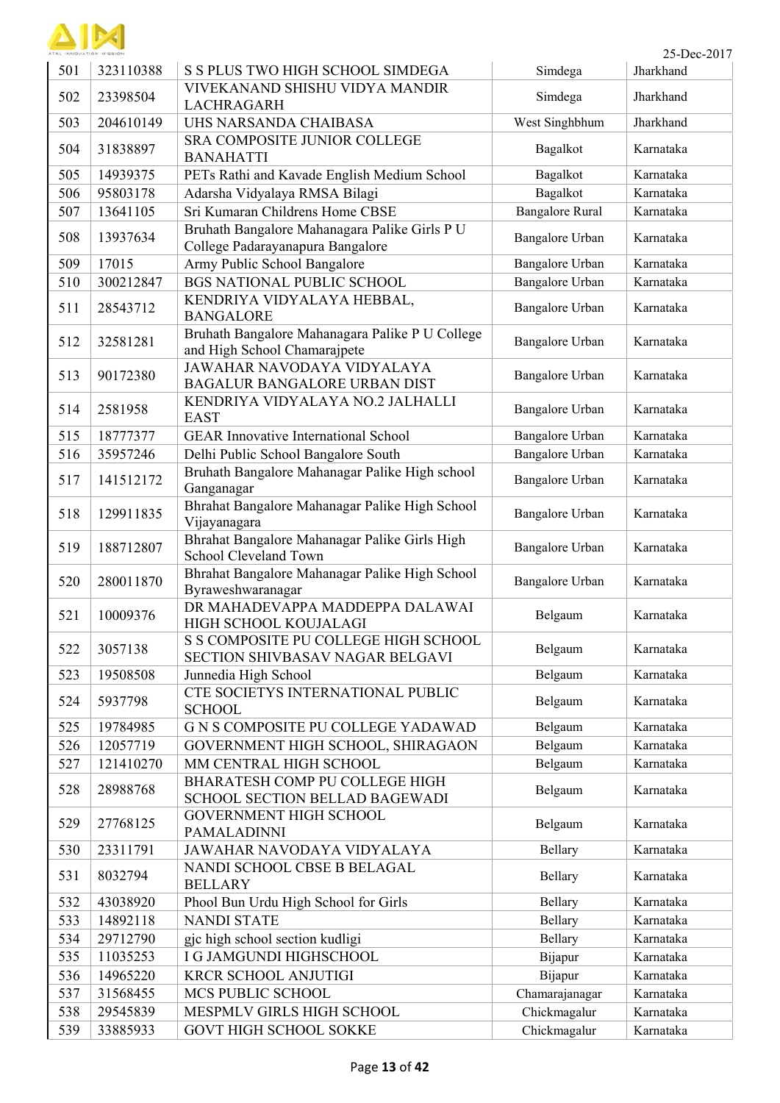

| ATAL INNOVATION MISSION |           |                                                                                   |                        | 25-Dec-2017 |
|-------------------------|-----------|-----------------------------------------------------------------------------------|------------------------|-------------|
| 501                     | 323110388 | S S PLUS TWO HIGH SCHOOL SIMDEGA                                                  | Simdega                | Jharkhand   |
| 502                     | 23398504  | VIVEKANAND SHISHU VIDYA MANDIR<br><b>LACHRAGARH</b>                               | Simdega                | Jharkhand   |
| 503                     | 204610149 | UHS NARSANDA CHAIBASA                                                             | West Singhbhum         | Jharkhand   |
| 504                     | 31838897  | SRA COMPOSITE JUNIOR COLLEGE<br><b>BANAHATTI</b>                                  | Bagalkot               | Karnataka   |
| 505                     | 14939375  | PETs Rathi and Kavade English Medium School                                       | Bagalkot               | Karnataka   |
| 506                     | 95803178  | Adarsha Vidyalaya RMSA Bilagi                                                     | Bagalkot               | Karnataka   |
| 507                     | 13641105  | Sri Kumaran Childrens Home CBSE                                                   | <b>Bangalore Rural</b> | Karnataka   |
| 508                     | 13937634  | Bruhath Bangalore Mahanagara Palike Girls P U<br>College Padarayanapura Bangalore | Bangalore Urban        | Karnataka   |
| 509                     | 17015     | Army Public School Bangalore                                                      | Bangalore Urban        | Karnataka   |
| 510                     | 300212847 | <b>BGS NATIONAL PUBLIC SCHOOL</b>                                                 | Bangalore Urban        | Karnataka   |
| 511                     | 28543712  | KENDRIYA VIDYALAYA HEBBAL,<br><b>BANGALORE</b>                                    | Bangalore Urban        | Karnataka   |
| 512                     | 32581281  | Bruhath Bangalore Mahanagara Palike P U College<br>and High School Chamarajpete   | Bangalore Urban        | Karnataka   |
| 513                     | 90172380  | JAWAHAR NAVODAYA VIDYALAYA<br><b>BAGALUR BANGALORE URBAN DIST</b>                 | Bangalore Urban        | Karnataka   |
| 514                     | 2581958   | KENDRIYA VIDYALAYA NO.2 JALHALLI<br><b>EAST</b>                                   | Bangalore Urban        | Karnataka   |
| 515                     | 18777377  | <b>GEAR Innovative International School</b>                                       | Bangalore Urban        | Karnataka   |
| 516                     | 35957246  | Delhi Public School Bangalore South                                               | Bangalore Urban        | Karnataka   |
| 517                     | 141512172 | Bruhath Bangalore Mahanagar Palike High school<br>Ganganagar                      | Bangalore Urban        | Karnataka   |
| 518                     | 129911835 | Bhrahat Bangalore Mahanagar Palike High School<br>Vijayanagara                    | Bangalore Urban        | Karnataka   |
| 519                     | 188712807 | Bhrahat Bangalore Mahanagar Palike Girls High<br>School Cleveland Town            | Bangalore Urban        | Karnataka   |
| 520                     | 280011870 | Bhrahat Bangalore Mahanagar Palike High School<br>Byraweshwaranagar               | Bangalore Urban        | Karnataka   |
| 521                     | 10009376  | DR MAHADEVAPPA MADDEPPA DALAWAI<br>HIGH SCHOOL KOUJALAGI                          | Belgaum                | Karnataka   |
| 522                     | 3057138   | S S COMPOSITE PU COLLEGE HIGH SCHOOL<br>SECTION SHIVBASAV NAGAR BELGAVI           | Belgaum                | Karnataka   |
| 523                     | 19508508  | Junnedia High School                                                              | Belgaum                | Karnataka   |
| 524                     | 5937798   | CTE SOCIETYS INTERNATIONAL PUBLIC<br><b>SCHOOL</b>                                | Belgaum                | Karnataka   |
| 525                     | 19784985  | G N S COMPOSITE PU COLLEGE YADAWAD                                                | Belgaum                | Karnataka   |
| 526                     | 12057719  | GOVERNMENT HIGH SCHOOL, SHIRAGAON                                                 | Belgaum                | Karnataka   |
| 527                     | 121410270 | MM CENTRAL HIGH SCHOOL                                                            | Belgaum                | Karnataka   |
| 528                     | 28988768  | BHARATESH COMP PU COLLEGE HIGH<br>SCHOOL SECTION BELLAD BAGEWADI                  | Belgaum                | Karnataka   |
| 529                     | 27768125  | GOVERNMENT HIGH SCHOOL<br><b>PAMALADINNI</b>                                      | Belgaum                | Karnataka   |
| 530                     | 23311791  | JAWAHAR NAVODAYA VIDYALAYA                                                        | Bellary                | Karnataka   |
| 531                     | 8032794   | NANDI SCHOOL CBSE B BELAGAL<br><b>BELLARY</b>                                     | Bellary                | Karnataka   |
| 532                     | 43038920  | Phool Bun Urdu High School for Girls                                              | Bellary                | Karnataka   |
| 533                     | 14892118  | <b>NANDI STATE</b>                                                                | Bellary                | Karnataka   |
| 534                     | 29712790  | gjc high school section kudligi                                                   | Bellary                | Karnataka   |
| 535                     | 11035253  | I G JAMGUNDI HIGHSCHOOL                                                           | Bijapur                | Karnataka   |
| 536                     | 14965220  | <b>KRCR SCHOOL ANJUTIGI</b>                                                       | Bijapur                | Karnataka   |
| 537                     | 31568455  | MCS PUBLIC SCHOOL                                                                 | Chamarajanagar         | Karnataka   |
| 538                     | 29545839  | MESPMLV GIRLS HIGH SCHOOL                                                         | Chickmagalur           | Karnataka   |
| 539                     | 33885933  | GOVT HIGH SCHOOL SOKKE                                                            | Chickmagalur           | Karnataka   |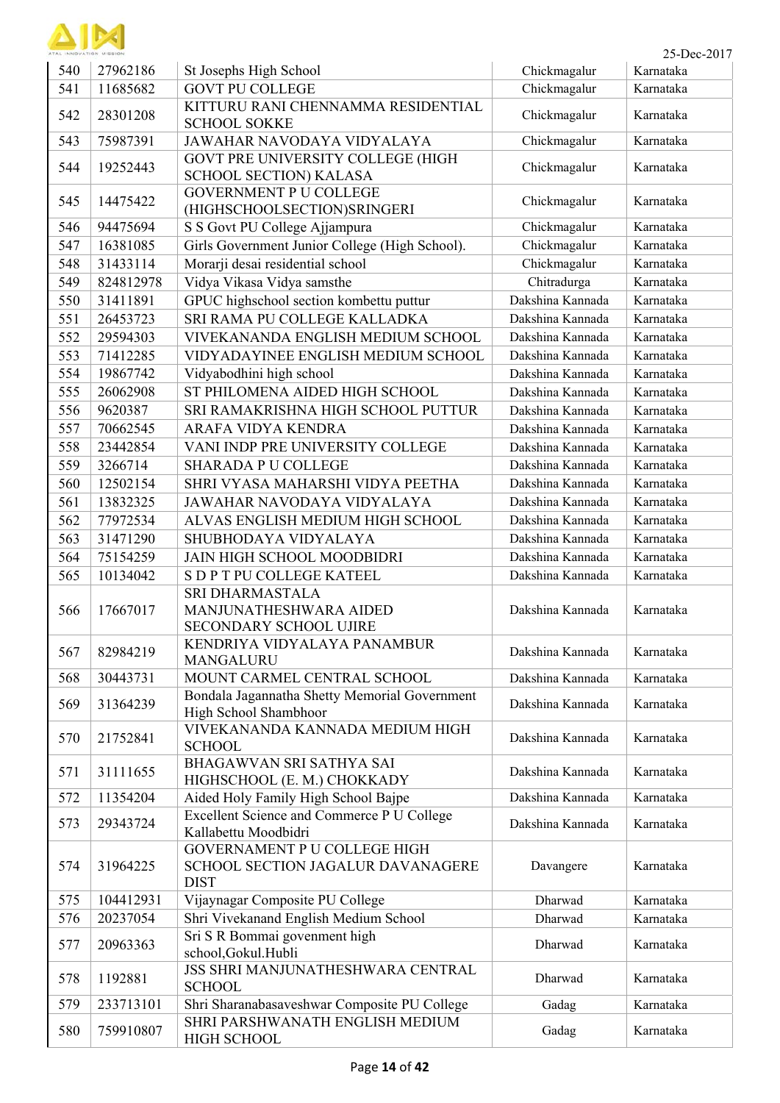

| ATAL INNOVATION MISSION |           |                                                                                  |                  | 25-Dec-2017 |
|-------------------------|-----------|----------------------------------------------------------------------------------|------------------|-------------|
| 540                     | 27962186  | St Josephs High School                                                           | Chickmagalur     | Karnataka   |
| 541                     | 11685682  | <b>GOVT PU COLLEGE</b>                                                           | Chickmagalur     | Karnataka   |
| 542                     | 28301208  | KITTURU RANI CHENNAMMA RESIDENTIAL<br><b>SCHOOL SOKKE</b>                        | Chickmagalur     | Karnataka   |
| 543                     | 75987391  | JAWAHAR NAVODAYA VIDYALAYA                                                       | Chickmagalur     | Karnataka   |
| 544                     | 19252443  | GOVT PRE UNIVERSITY COLLEGE (HIGH<br>SCHOOL SECTION) KALASA                      | Chickmagalur     | Karnataka   |
| 545                     | 14475422  | <b>GOVERNMENT P U COLLEGE</b><br>(HIGHSCHOOLSECTION)SRINGERI                     | Chickmagalur     | Karnataka   |
| 546                     | 94475694  | S S Govt PU College Ajjampura                                                    | Chickmagalur     | Karnataka   |
| 547                     | 16381085  | Girls Government Junior College (High School).                                   | Chickmagalur     | Karnataka   |
| 548                     | 31433114  | Morarji desai residential school                                                 | Chickmagalur     | Karnataka   |
| 549                     | 824812978 | Vidya Vikasa Vidya samsthe                                                       | Chitradurga      | Karnataka   |
| 550                     | 31411891  | GPUC highschool section kombettu puttur                                          | Dakshina Kannada | Karnataka   |
| 551                     | 26453723  | SRI RAMA PU COLLEGE KALLADKA                                                     | Dakshina Kannada | Karnataka   |
| 552                     | 29594303  | VIVEKANANDA ENGLISH MEDIUM SCHOOL                                                | Dakshina Kannada | Karnataka   |
| 553                     | 71412285  | VIDYADAYINEE ENGLISH MEDIUM SCHOOL                                               | Dakshina Kannada | Karnataka   |
| 554                     | 19867742  | Vidyabodhini high school                                                         | Dakshina Kannada | Karnataka   |
| 555                     | 26062908  | ST PHILOMENA AIDED HIGH SCHOOL                                                   | Dakshina Kannada | Karnataka   |
| 556                     | 9620387   | SRI RAMAKRISHNA HIGH SCHOOL PUTTUR                                               | Dakshina Kannada | Karnataka   |
| 557                     | 70662545  | ARAFA VIDYA KENDRA                                                               | Dakshina Kannada | Karnataka   |
| 558                     | 23442854  | VANI INDP PRE UNIVERSITY COLLEGE                                                 | Dakshina Kannada | Karnataka   |
| 559                     | 3266714   | <b>SHARADA P U COLLEGE</b>                                                       | Dakshina Kannada | Karnataka   |
| 560                     | 12502154  | SHRI VYASA MAHARSHI VIDYA PEETHA                                                 | Dakshina Kannada | Karnataka   |
| 561                     | 13832325  | JAWAHAR NAVODAYA VIDYALAYA                                                       | Dakshina Kannada | Karnataka   |
| 562                     | 77972534  | ALVAS ENGLISH MEDIUM HIGH SCHOOL                                                 | Dakshina Kannada | Karnataka   |
| 563                     | 31471290  | SHUBHODAYA VIDYALAYA                                                             | Dakshina Kannada | Karnataka   |
| 564                     | 75154259  | <b>JAIN HIGH SCHOOL MOODBIDRI</b>                                                | Dakshina Kannada | Karnataka   |
| 565                     | 10134042  | S D P T PU COLLEGE KATEEL                                                        | Dakshina Kannada | Karnataka   |
| 566                     | 17667017  | SRI DHARMASTALA<br>MANJUNATHESHWARA AIDED<br>SECONDARY SCHOOL UJIRE              | Dakshina Kannada | Karnataka   |
| 567                     | 82984219  | KENDRIYA VIDYALAYA PANAMBUR<br><b>MANGALURU</b>                                  | Dakshina Kannada | Karnataka   |
| 568                     | 30443731  | MOUNT CARMEL CENTRAL SCHOOL                                                      | Dakshina Kannada | Karnataka   |
| 569                     | 31364239  | Bondala Jagannatha Shetty Memorial Government<br>High School Shambhoor           | Dakshina Kannada | Karnataka   |
| 570                     | 21752841  | VIVEKANANDA KANNADA MEDIUM HIGH<br><b>SCHOOL</b>                                 | Dakshina Kannada | Karnataka   |
| 571                     | 31111655  | BHAGAWVAN SRI SATHYA SAI<br>HIGHSCHOOL (E. M.) CHOKKADY                          | Dakshina Kannada | Karnataka   |
| 572                     | 11354204  | Aided Holy Family High School Bajpe                                              | Dakshina Kannada | Karnataka   |
| 573                     | 29343724  | Excellent Science and Commerce P U College<br>Kallabettu Moodbidri               | Dakshina Kannada | Karnataka   |
| 574                     | 31964225  | GOVERNAMENT P U COLLEGE HIGH<br>SCHOOL SECTION JAGALUR DAVANAGERE<br><b>DIST</b> | Davangere        | Karnataka   |
| 575                     | 104412931 | Vijaynagar Composite PU College                                                  | Dharwad          | Karnataka   |
| 576                     | 20237054  | Shri Vivekanand English Medium School                                            | Dharwad          | Karnataka   |
| 577                     | 20963363  | Sri S R Bommai govenment high<br>school, Gokul. Hubli                            | Dharwad          | Karnataka   |
| 578                     | 1192881   | JSS SHRI MANJUNATHESHWARA CENTRAL<br><b>SCHOOL</b>                               | Dharwad          | Karnataka   |
| 579                     | 233713101 | Shri Sharanabasaveshwar Composite PU College                                     | Gadag            | Karnataka   |
| 580                     | 759910807 | SHRI PARSHWANATH ENGLISH MEDIUM<br><b>HIGH SCHOOL</b>                            | Gadag            | Karnataka   |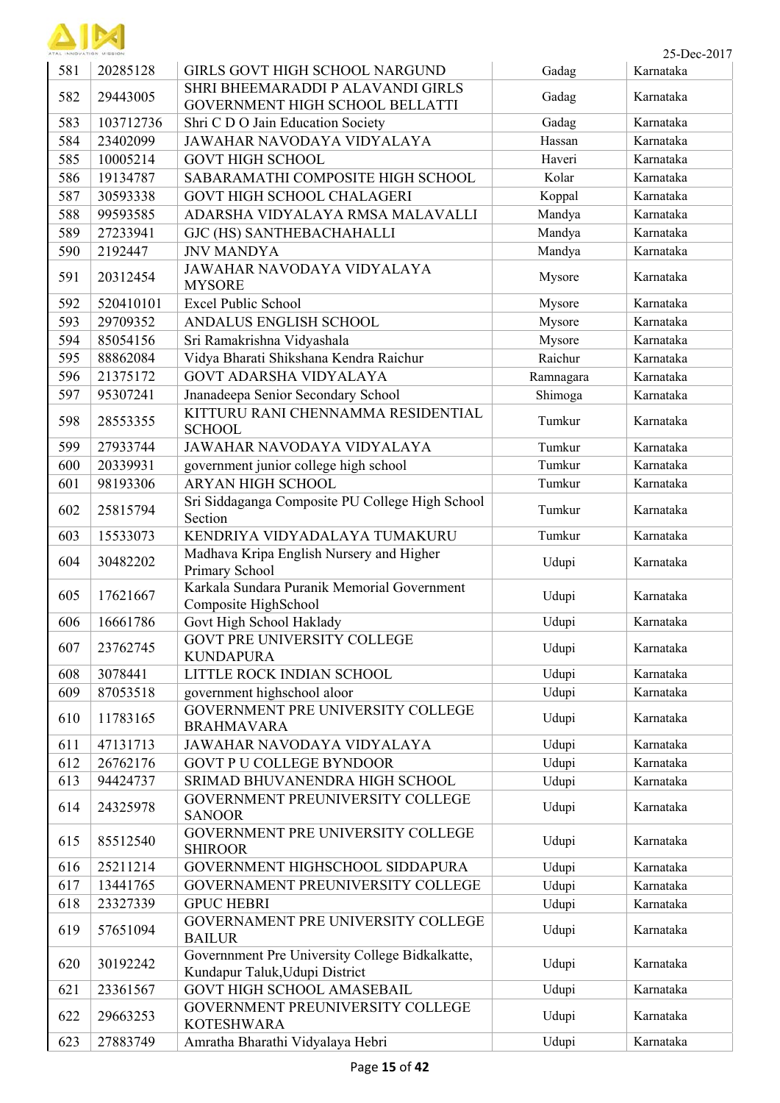

| 581 | 20285128  | GIRLS GOVT HIGH SCHOOL NARGUND                                                    | Gadag     | Karnataka |
|-----|-----------|-----------------------------------------------------------------------------------|-----------|-----------|
| 582 | 29443005  | SHRI BHEEMARADDI P ALAVANDI GIRLS                                                 | Gadag     | Karnataka |
|     |           | GOVERNMENT HIGH SCHOOL BELLATTI                                                   |           |           |
| 583 | 103712736 | Shri C D O Jain Education Society                                                 | Gadag     | Karnataka |
| 584 | 23402099  | JAWAHAR NAVODAYA VIDYALAYA                                                        | Hassan    | Karnataka |
| 585 | 10005214  | <b>GOVT HIGH SCHOOL</b>                                                           | Haveri    | Karnataka |
| 586 | 19134787  | SABARAMATHI COMPOSITE HIGH SCHOOL                                                 | Kolar     | Karnataka |
| 587 | 30593338  | <b>GOVT HIGH SCHOOL CHALAGERI</b>                                                 | Koppal    | Karnataka |
| 588 | 99593585  | ADARSHA VIDYALAYA RMSA MALAVALLI                                                  | Mandya    | Karnataka |
| 589 | 27233941  | GJC (HS) SANTHEBACHAHALLI                                                         | Mandya    | Karnataka |
| 590 | 2192447   | <b>JNV MANDYA</b>                                                                 | Mandya    | Karnataka |
| 591 | 20312454  | JAWAHAR NAVODAYA VIDYALAYA<br><b>MYSORE</b>                                       | Mysore    | Karnataka |
| 592 | 520410101 | <b>Excel Public School</b>                                                        | Mysore    | Karnataka |
| 593 | 29709352  | ANDALUS ENGLISH SCHOOL                                                            | Mysore    | Karnataka |
| 594 | 85054156  | Sri Ramakrishna Vidyashala                                                        | Mysore    | Karnataka |
| 595 | 88862084  | Vidya Bharati Shikshana Kendra Raichur                                            | Raichur   | Karnataka |
| 596 | 21375172  | <b>GOVT ADARSHA VIDYALAYA</b>                                                     | Ramnagara | Karnataka |
| 597 | 95307241  | Jnanadeepa Senior Secondary School                                                | Shimoga   | Karnataka |
| 598 | 28553355  | KITTURU RANI CHENNAMMA RESIDENTIAL<br><b>SCHOOL</b>                               | Tumkur    | Karnataka |
| 599 | 27933744  | JAWAHAR NAVODAYA VIDYALAYA                                                        | Tumkur    | Karnataka |
| 600 | 20339931  | government junior college high school                                             | Tumkur    | Karnataka |
| 601 | 98193306  | <b>ARYAN HIGH SCHOOL</b>                                                          | Tumkur    | Karnataka |
| 602 | 25815794  | Sri Siddaganga Composite PU College High School<br>Section                        | Tumkur    | Karnataka |
| 603 | 15533073  | KENDRIYA VIDYADALAYA TUMAKURU                                                     | Tumkur    | Karnataka |
|     |           | Madhava Kripa English Nursery and Higher                                          |           |           |
| 604 | 30482202  | Primary School                                                                    | Udupi     | Karnataka |
| 605 | 17621667  | Karkala Sundara Puranik Memorial Government<br>Composite HighSchool               | Udupi     | Karnataka |
| 606 | 16661786  | Govt High School Haklady                                                          | Udupi     | Karnataka |
| 607 | 23762745  | <b>GOVT PRE UNIVERSITY COLLEGE</b><br><b>KUNDAPURA</b>                            | Udupi     | Karnataka |
| 608 | 3078441   | LITTLE ROCK INDIAN SCHOOL                                                         | Udupi     | Karnataka |
| 609 | 87053518  | government highschool aloor                                                       | Udupi     | Karnataka |
| 610 | 11783165  | GOVERNMENT PRE UNIVERSITY COLLEGE<br><b>BRAHMAVARA</b>                            | Udupi     | Karnataka |
| 611 | 47131713  | JAWAHAR NAVODAYA VIDYALAYA                                                        | Udupi     | Karnataka |
| 612 | 26762176  | <b>GOVT P U COLLEGE BYNDOOR</b>                                                   | Udupi     | Karnataka |
| 613 | 94424737  | SRIMAD BHUVANENDRA HIGH SCHOOL                                                    | Udupi     | Karnataka |
| 614 | 24325978  | GOVERNMENT PREUNIVERSITY COLLEGE<br><b>SANOOR</b>                                 | Udupi     | Karnataka |
| 615 | 85512540  | GOVERNMENT PRE UNIVERSITY COLLEGE<br><b>SHIROOR</b>                               | Udupi     | Karnataka |
| 616 | 25211214  | GOVERNMENT HIGHSCHOOL SIDDAPURA                                                   | Udupi     | Karnataka |
| 617 | 13441765  | GOVERNAMENT PREUNIVERSITY COLLEGE                                                 | Udupi     | Karnataka |
| 618 | 23327339  | <b>GPUC HEBRI</b>                                                                 | Udupi     | Karnataka |
| 619 | 57651094  | GOVERNAMENT PRE UNIVERSITY COLLEGE<br><b>BAILUR</b>                               | Udupi     | Karnataka |
| 620 | 30192242  | Governnment Pre University College Bidkalkatte,<br>Kundapur Taluk, Udupi District | Udupi     | Karnataka |
| 621 | 23361567  | <b>GOVT HIGH SCHOOL AMASEBAIL</b>                                                 | Udupi     | Karnataka |
| 622 | 29663253  | GOVERNMENT PREUNIVERSITY COLLEGE                                                  | Udupi     | Karnataka |
|     |           | <b>KOTESHWARA</b>                                                                 |           |           |
| 623 | 27883749  | Amratha Bharathi Vidyalaya Hebri                                                  | Udupi     | Karnataka |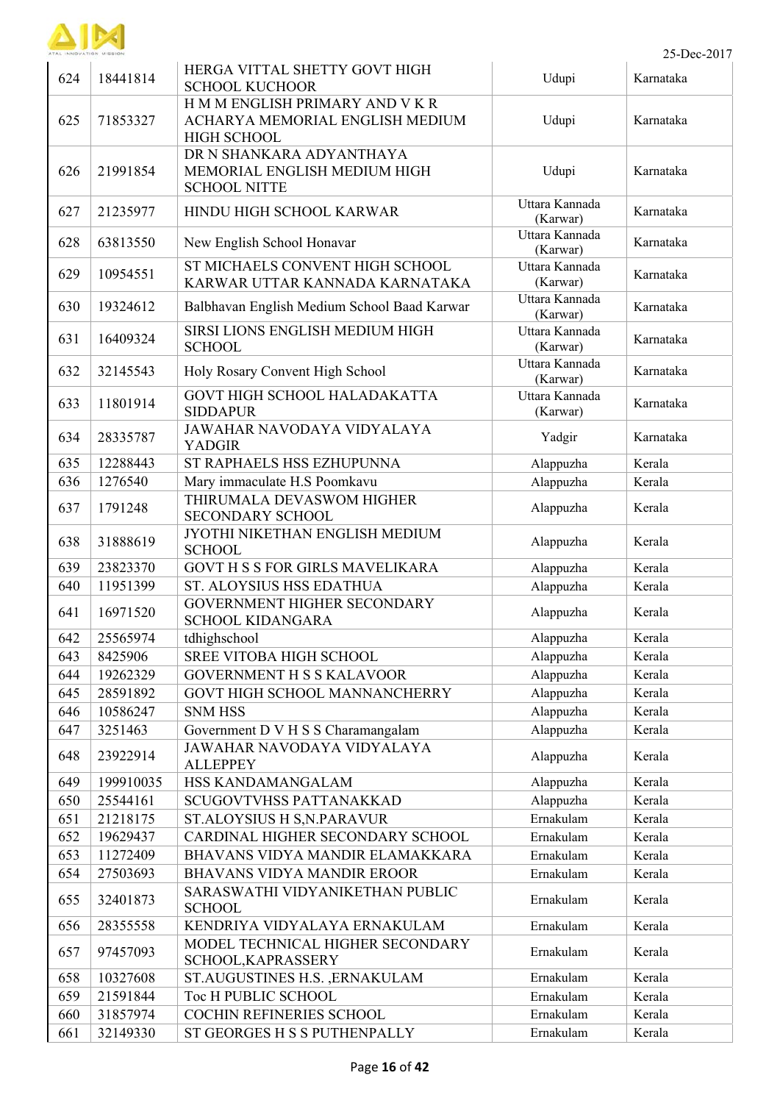

| 624 | 18441814  | HERGA VITTAL SHETTY GOVT HIGH<br><b>SCHOOL KUCHOOR</b>                                   | Udupi                      | Karnataka |
|-----|-----------|------------------------------------------------------------------------------------------|----------------------------|-----------|
| 625 | 71853327  | H M M ENGLISH PRIMARY AND V K R<br>ACHARYA MEMORIAL ENGLISH MEDIUM<br><b>HIGH SCHOOL</b> | Udupi                      | Karnataka |
| 626 | 21991854  | DR N SHANKARA ADYANTHAYA<br>MEMORIAL ENGLISH MEDIUM HIGH<br><b>SCHOOL NITTE</b>          | Udupi                      | Karnataka |
| 627 | 21235977  | HINDU HIGH SCHOOL KARWAR                                                                 | Uttara Kannada<br>(Karwar) | Karnataka |
| 628 | 63813550  | New English School Honavar                                                               | Uttara Kannada<br>(Karwar) | Karnataka |
| 629 | 10954551  | ST MICHAELS CONVENT HIGH SCHOOL<br>KARWAR UTTAR KANNADA KARNATAKA                        | Uttara Kannada<br>(Karwar) | Karnataka |
| 630 | 19324612  | Balbhavan English Medium School Baad Karwar                                              | Uttara Kannada<br>(Karwar) | Karnataka |
| 631 | 16409324  | SIRSI LIONS ENGLISH MEDIUM HIGH<br><b>SCHOOL</b>                                         | Uttara Kannada<br>(Karwar) | Karnataka |
| 632 | 32145543  | Holy Rosary Convent High School                                                          | Uttara Kannada<br>(Karwar) | Karnataka |
| 633 | 11801914  | GOVT HIGH SCHOOL HALADAKATTA<br><b>SIDDAPUR</b>                                          | Uttara Kannada<br>(Karwar) | Karnataka |
| 634 | 28335787  | <b>JAWAHAR NAVODAYA VIDYALAYA</b><br><b>YADGIR</b>                                       | Yadgir                     | Karnataka |
| 635 | 12288443  | ST RAPHAELS HSS EZHUPUNNA                                                                | Alappuzha                  | Kerala    |
| 636 | 1276540   | Mary immaculate H.S Poomkavu                                                             | Alappuzha                  | Kerala    |
| 637 | 1791248   | THIRUMALA DEVASWOM HIGHER<br>SECONDARY SCHOOL                                            | Alappuzha                  | Kerala    |
| 638 | 31888619  | JYOTHI NIKETHAN ENGLISH MEDIUM<br><b>SCHOOL</b>                                          | Alappuzha                  | Kerala    |
| 639 | 23823370  | <b>GOVT H S S FOR GIRLS MAVELIKARA</b>                                                   | Alappuzha                  | Kerala    |
| 640 | 11951399  | ST. ALOYSIUS HSS EDATHUA                                                                 | Alappuzha                  | Kerala    |
| 641 | 16971520  | GOVERNMENT HIGHER SECONDARY<br><b>SCHOOL KIDANGARA</b>                                   | Alappuzha                  | Kerala    |
| 642 | 25565974  | tdhighschool                                                                             | Alappuzha                  | Kerala    |
| 643 | 8425906   | <b>SREE VITOBA HIGH SCHOOL</b>                                                           | Alappuzha                  | Kerala    |
| 644 | 19262329  | <b>GOVERNMENT H S S KALAVOOR</b>                                                         | Alappuzha                  | Kerala    |
| 645 | 28591892  | GOVT HIGH SCHOOL MANNANCHERRY                                                            | Alappuzha                  | Kerala    |
| 646 | 10586247  | <b>SNM HSS</b>                                                                           | Alappuzha                  | Kerala    |
| 647 | 3251463   | Government D V H S S Charamangalam                                                       | Alappuzha                  | Kerala    |
| 648 | 23922914  | JAWAHAR NAVODAYA VIDYALAYA<br><b>ALLEPPEY</b>                                            | Alappuzha                  | Kerala    |
| 649 | 199910035 | HSS KANDAMANGALAM                                                                        | Alappuzha                  | Kerala    |
| 650 | 25544161  | SCUGOVTVHSS PATTANAKKAD                                                                  | Alappuzha                  | Kerala    |
| 651 | 21218175  | ST.ALOYSIUS H S,N.PARAVUR                                                                | Ernakulam                  | Kerala    |
| 652 | 19629437  | CARDINAL HIGHER SECONDARY SCHOOL                                                         | Ernakulam                  | Kerala    |
| 653 | 11272409  | BHAVANS VIDYA MANDIR ELAMAKKARA                                                          | Ernakulam                  | Kerala    |
| 654 | 27503693  | <b>BHAVANS VIDYA MANDIR EROOR</b>                                                        | Ernakulam                  | Kerala    |
| 655 | 32401873  | SARASWATHI VIDYANIKETHAN PUBLIC<br><b>SCHOOL</b>                                         | Ernakulam                  | Kerala    |
| 656 | 28355558  | KENDRIYA VIDYALAYA ERNAKULAM                                                             | Ernakulam                  | Kerala    |
| 657 | 97457093  | MODEL TECHNICAL HIGHER SECONDARY<br>SCHOOL, KAPRASSERY                                   | Ernakulam                  | Kerala    |
| 658 | 10327608  | ST.AUGUSTINES H.S., ERNAKULAM                                                            | Ernakulam                  | Kerala    |
| 659 | 21591844  | Toc H PUBLIC SCHOOL                                                                      | Ernakulam                  | Kerala    |
| 660 | 31857974  | COCHIN REFINERIES SCHOOL                                                                 | Ernakulam                  | Kerala    |
| 661 | 32149330  | ST GEORGES H S S PUTHENPALLY                                                             | Ernakulam                  | Kerala    |
|     |           |                                                                                          |                            |           |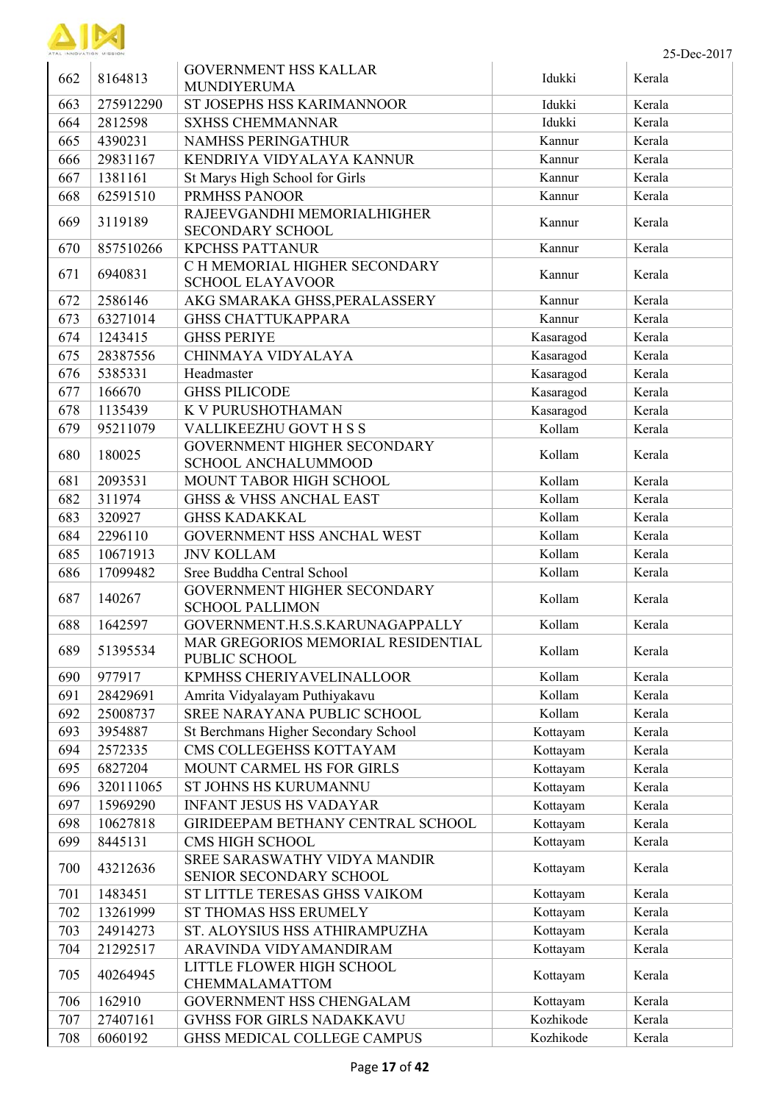

| 662 | 8164813   | <b>GOVERNMENT HSS KALLAR</b>                             | Idukki    | Kerala |
|-----|-----------|----------------------------------------------------------|-----------|--------|
|     |           | MUNDIYERUMA                                              |           |        |
| 663 | 275912290 | ST JOSEPHS HSS KARIMANNOOR                               | Idukki    | Kerala |
| 664 | 2812598   | <b>SXHSS CHEMMANNAR</b>                                  | Idukki    | Kerala |
| 665 | 4390231   | NAMHSS PERINGATHUR                                       | Kannur    | Kerala |
| 666 | 29831167  | KENDRIYA VIDYALAYA KANNUR                                | Kannur    | Kerala |
| 667 | 1381161   | St Marys High School for Girls                           | Kannur    | Kerala |
| 668 | 62591510  | <b>PRMHSS PANOOR</b>                                     | Kannur    | Kerala |
| 669 | 3119189   | RAJEEVGANDHI MEMORIALHIGHER<br><b>SECONDARY SCHOOL</b>   | Kannur    | Kerala |
| 670 | 857510266 | <b>KPCHSS PATTANUR</b>                                   | Kannur    | Kerala |
| 671 | 6940831   | C H MEMORIAL HIGHER SECONDARY<br><b>SCHOOL ELAYAVOOR</b> | Kannur    | Kerala |
| 672 | 2586146   | AKG SMARAKA GHSS, PERALASSERY                            | Kannur    | Kerala |
| 673 | 63271014  | <b>GHSS CHATTUKAPPARA</b>                                | Kannur    | Kerala |
| 674 | 1243415   | <b>GHSS PERIYE</b>                                       | Kasaragod | Kerala |
| 675 | 28387556  | CHINMAYA VIDYALAYA                                       | Kasaragod | Kerala |
| 676 | 5385331   | Headmaster                                               | Kasaragod | Kerala |
| 677 | 166670    | <b>GHSS PILICODE</b>                                     | Kasaragod | Kerala |
| 678 | 1135439   | K V PURUSHOTHAMAN                                        | Kasaragod | Kerala |
| 679 | 95211079  | VALLIKEEZHU GOVT H S S                                   | Kollam    | Kerala |
|     |           | GOVERNMENT HIGHER SECONDARY                              |           |        |
| 680 | 180025    | <b>SCHOOL ANCHALUMMOOD</b>                               | Kollam    | Kerala |
| 681 | 2093531   | MOUNT TABOR HIGH SCHOOL                                  | Kollam    | Kerala |
| 682 | 311974    | <b>GHSS &amp; VHSS ANCHAL EAST</b>                       | Kollam    | Kerala |
| 683 | 320927    | <b>GHSS KADAKKAL</b>                                     | Kollam    | Kerala |
| 684 | 2296110   | GOVERNMENT HSS ANCHAL WEST                               | Kollam    | Kerala |
| 685 | 10671913  | <b>JNV KOLLAM</b>                                        | Kollam    | Kerala |
| 686 | 17099482  | Sree Buddha Central School                               | Kollam    | Kerala |
| 687 | 140267    | GOVERNMENT HIGHER SECONDARY<br><b>SCHOOL PALLIMON</b>    | Kollam    | Kerala |
| 688 | 1642597   | GOVERNMENT.H.S.S.KARUNAGAPPALLY                          | Kollam    | Kerala |
| 689 | 51395534  | MAR GREGORIOS MEMORIAL RESIDENTIAL<br>PUBLIC SCHOOL      | Kollam    | Kerala |
| 690 | 977917    | KPMHSS CHERIYAVELINALLOOR                                | Kollam    | Kerala |
| 691 | 28429691  | Amrita Vidyalayam Puthiyakavu                            | Kollam    | Kerala |
| 692 | 25008737  | SREE NARAYANA PUBLIC SCHOOL                              | Kollam    | Kerala |
| 693 | 3954887   | St Berchmans Higher Secondary School                     | Kottayam  | Kerala |
| 694 | 2572335   | CMS COLLEGEHSS KOTTAYAM                                  | Kottayam  | Kerala |
| 695 | 6827204   | MOUNT CARMEL HS FOR GIRLS                                | Kottayam  | Kerala |
| 696 | 320111065 | ST JOHNS HS KURUMANNU                                    | Kottayam  | Kerala |
| 697 | 15969290  | <b>INFANT JESUS HS VADAYAR</b>                           | Kottayam  | Kerala |
| 698 | 10627818  | GIRIDEEPAM BETHANY CENTRAL SCHOOL                        | Kottayam  | Kerala |
| 699 | 8445131   | CMS HIGH SCHOOL                                          | Kottayam  | Kerala |
| 700 | 43212636  | SREE SARASWATHY VIDYA MANDIR<br>SENIOR SECONDARY SCHOOL  | Kottayam  | Kerala |
| 701 | 1483451   | ST LITTLE TERESAS GHSS VAIKOM                            | Kottayam  | Kerala |
| 702 | 13261999  | ST THOMAS HSS ERUMELY                                    | Kottayam  | Kerala |
| 703 | 24914273  | ST. ALOYSIUS HSS ATHIRAMPUZHA                            | Kottayam  | Kerala |
| 704 | 21292517  | ARAVINDA VIDYAMANDIRAM                                   | Kottayam  | Kerala |
|     |           | LITTLE FLOWER HIGH SCHOOL                                |           |        |
| 705 | 40264945  | CHEMMALAMATTOM                                           | Kottayam  | Kerala |
| 706 | 162910    | GOVERNMENT HSS CHENGALAM                                 | Kottayam  | Kerala |
| 707 | 27407161  | <b>GVHSS FOR GIRLS NADAKKAVU</b>                         | Kozhikode | Kerala |
| 708 | 6060192   | GHSS MEDICAL COLLEGE CAMPUS                              | Kozhikode | Kerala |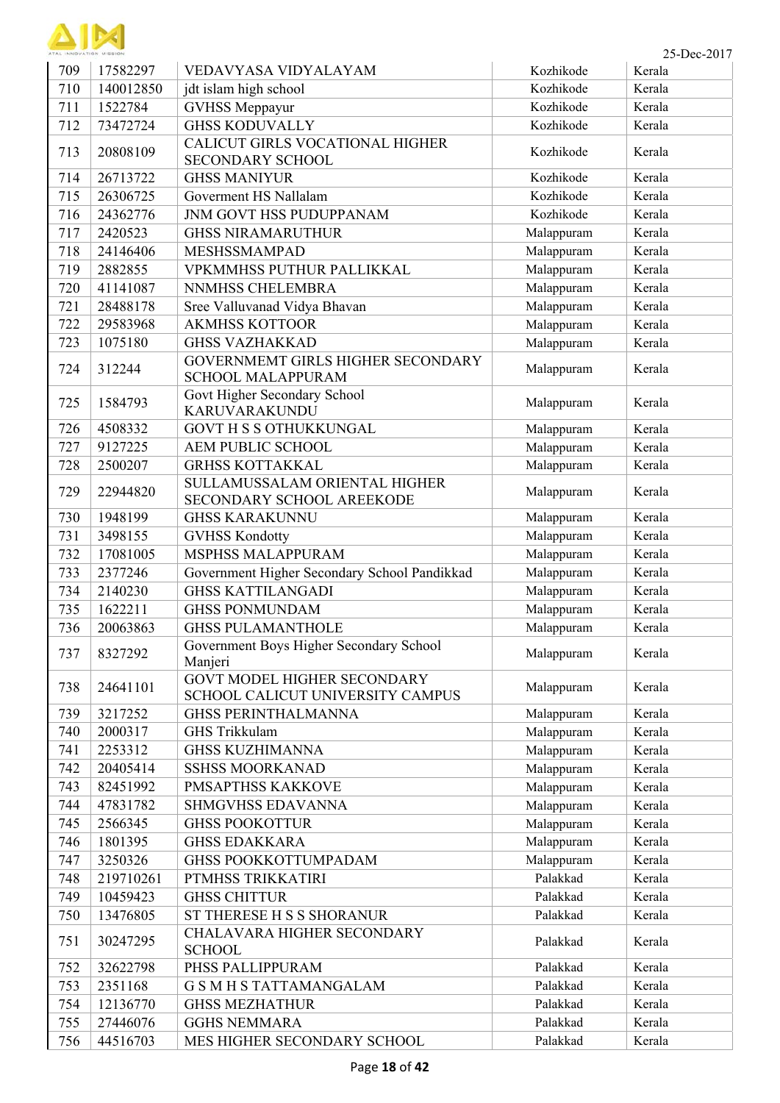| ATAL INNOVATION MISSION |
|-------------------------|

ï

| ATAL INNOVATION MISSION |           |                                                                        |            | 25-Dec-2017 |
|-------------------------|-----------|------------------------------------------------------------------------|------------|-------------|
| 709                     | 17582297  | VEDAVYASA VIDYALAYAM                                                   | Kozhikode  | Kerala      |
| 710                     | 140012850 | jdt islam high school                                                  | Kozhikode  | Kerala      |
| 711                     | 1522784   | <b>GVHSS Meppayur</b>                                                  | Kozhikode  | Kerala      |
| 712                     | 73472724  | <b>GHSS KODUVALLY</b>                                                  | Kozhikode  | Kerala      |
| 713                     | 20808109  | CALICUT GIRLS VOCATIONAL HIGHER<br><b>SECONDARY SCHOOL</b>             | Kozhikode  | Kerala      |
| 714                     | 26713722  | <b>GHSS MANIYUR</b>                                                    | Kozhikode  | Kerala      |
| 715                     | 26306725  | Goverment HS Nallalam                                                  | Kozhikode  | Kerala      |
| 716                     | 24362776  | JNM GOVT HSS PUDUPPANAM                                                | Kozhikode  | Kerala      |
| 717                     | 2420523   | <b>GHSS NIRAMARUTHUR</b>                                               | Malappuram | Kerala      |
| 718                     | 24146406  | MESHSSMAMPAD                                                           | Malappuram | Kerala      |
| 719                     | 2882855   | VPKMMHSS PUTHUR PALLIKKAL                                              | Malappuram | Kerala      |
| 720                     | 41141087  | NNMHSS CHELEMBRA                                                       | Malappuram | Kerala      |
| 721                     | 28488178  | Sree Valluvanad Vidya Bhavan                                           | Malappuram | Kerala      |
| 722                     | 29583968  | <b>AKMHSS KOTTOOR</b>                                                  | Malappuram | Kerala      |
| 723                     | 1075180   | <b>GHSS VAZHAKKAD</b>                                                  | Malappuram | Kerala      |
| 724                     | 312244    | GOVERNMEMT GIRLS HIGHER SECONDARY<br><b>SCHOOL MALAPPURAM</b>          | Malappuram | Kerala      |
| 725                     | 1584793   | Govt Higher Secondary School<br>KARUVARAKUNDU                          | Malappuram | Kerala      |
| 726                     | 4508332   | <b>GOVT H S S OTHUKKUNGAL</b>                                          | Malappuram | Kerala      |
| 727                     | 9127225   | <b>AEM PUBLIC SCHOOL</b>                                               | Malappuram | Kerala      |
| 728                     | 2500207   | <b>GRHSS KOTTAKKAL</b>                                                 | Malappuram | Kerala      |
| 729                     | 22944820  | SULLAMUSSALAM ORIENTAL HIGHER<br>SECONDARY SCHOOL AREEKODE             | Malappuram | Kerala      |
| 730                     | 1948199   | <b>GHSS KARAKUNNU</b>                                                  | Malappuram | Kerala      |
| 731                     | 3498155   | <b>GVHSS Kondotty</b>                                                  | Malappuram | Kerala      |
| 732                     | 17081005  | <b>MSPHSS MALAPPURAM</b>                                               | Malappuram | Kerala      |
| 733                     | 2377246   | Government Higher Secondary School Pandikkad                           | Malappuram | Kerala      |
| 734                     | 2140230   | <b>GHSS KATTILANGADI</b>                                               | Malappuram | Kerala      |
| 735                     | 1622211   | <b>GHSS PONMUNDAM</b>                                                  | Malappuram | Kerala      |
| 736                     | 20063863  | <b>GHSS PULAMANTHOLE</b>                                               | Malappuram | Kerala      |
| 737                     | 8327292   | Government Boys Higher Secondary School<br>Manjeri                     | Malappuram | Kerala      |
| 738                     | 24641101  | <b>GOVT MODEL HIGHER SECONDARY</b><br>SCHOOL CALICUT UNIVERSITY CAMPUS | Malappuram | Kerala      |
| 739                     | 3217252   | <b>GHSS PERINTHALMANNA</b>                                             | Malappuram | Kerala      |
| 740                     | 2000317   | <b>GHS Trikkulam</b>                                                   | Malappuram | Kerala      |
| 741                     | 2253312   | <b>GHSS KUZHIMANNA</b>                                                 | Malappuram | Kerala      |
| 742                     | 20405414  | <b>SSHSS MOORKANAD</b>                                                 | Malappuram | Kerala      |
| 743                     | 82451992  | PMSAPTHSS KAKKOVE                                                      | Malappuram | Kerala      |
| 744                     | 47831782  | SHMGVHSS EDAVANNA                                                      | Malappuram | Kerala      |
| 745                     | 2566345   | <b>GHSS POOKOTTUR</b>                                                  | Malappuram | Kerala      |
| 746                     | 1801395   | <b>GHSS EDAKKARA</b>                                                   | Malappuram | Kerala      |
| 747                     | 3250326   | <b>GHSS POOKKOTTUMPADAM</b>                                            | Malappuram | Kerala      |
| 748                     | 219710261 | PTMHSS TRIKKATIRI                                                      | Palakkad   | Kerala      |
| 749                     | 10459423  | <b>GHSS CHITTUR</b>                                                    | Palakkad   | Kerala      |
| 750                     | 13476805  | ST THERESE H S S SHORANUR                                              | Palakkad   | Kerala      |
| 751                     | 30247295  | CHALAVARA HIGHER SECONDARY<br><b>SCHOOL</b>                            | Palakkad   | Kerala      |
| 752                     | 32622798  | PHSS PALLIPPURAM                                                       | Palakkad   | Kerala      |
| 753                     | 2351168   | <b>G S M H S TATTAMANGALAM</b>                                         | Palakkad   | Kerala      |
| 754                     | 12136770  | <b>GHSS MEZHATHUR</b>                                                  | Palakkad   | Kerala      |
| 755                     | 27446076  | <b>GGHS NEMMARA</b>                                                    | Palakkad   | Kerala      |
| 756                     | 44516703  | MES HIGHER SECONDARY SCHOOL                                            | Palakkad   | Kerala      |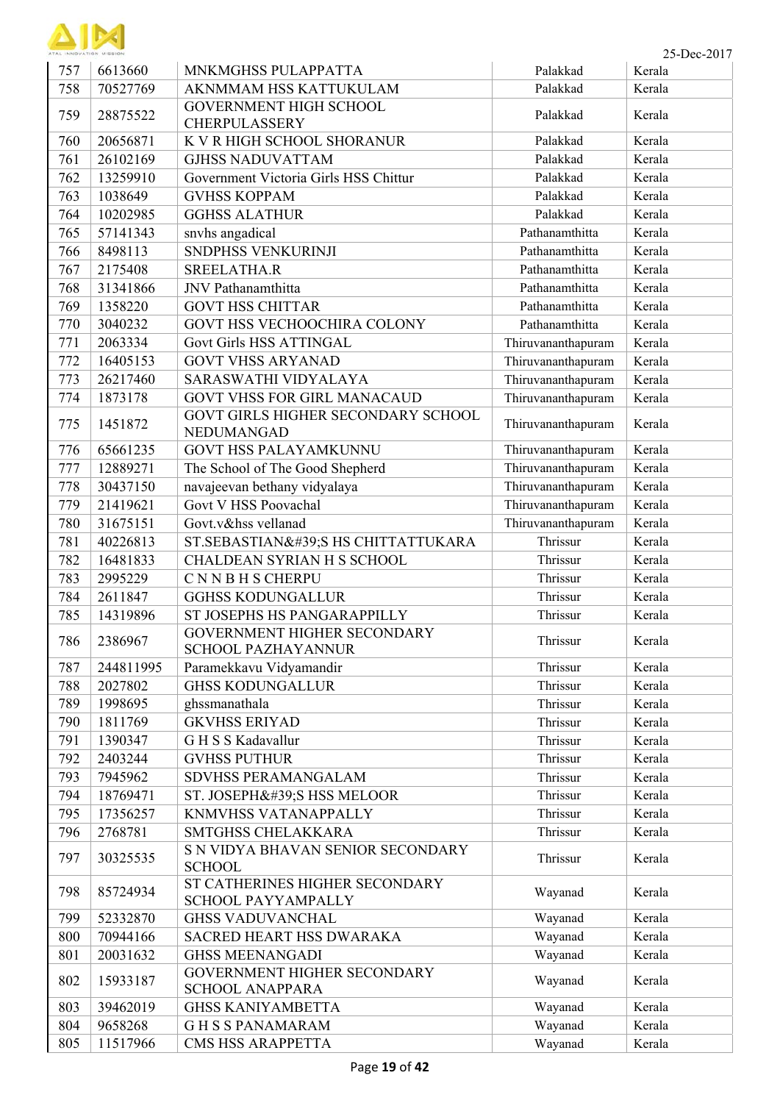

| 757 | 6613660   | MNKMGHSS PULAPPATTA                                   | Palakkad           | Kerala |
|-----|-----------|-------------------------------------------------------|--------------------|--------|
| 758 | 70527769  | AKNMMAM HSS KATTUKULAM                                | Palakkad           | Kerala |
| 759 | 28875522  | <b>GOVERNMENT HIGH SCHOOL</b><br><b>CHERPULASSERY</b> | Palakkad           | Kerala |
| 760 | 20656871  | K V R HIGH SCHOOL SHORANUR                            | Palakkad           | Kerala |
| 761 | 26102169  | <b>GJHSS NADUVATTAM</b>                               | Palakkad           | Kerala |
| 762 | 13259910  | Government Victoria Girls HSS Chittur                 | Palakkad           | Kerala |
| 763 | 1038649   | <b>GVHSS KOPPAM</b>                                   | Palakkad           | Kerala |
| 764 | 10202985  | <b>GGHSS ALATHUR</b>                                  | Palakkad           | Kerala |
| 765 | 57141343  | snvhs angadical                                       | Pathanamthitta     | Kerala |
| 766 | 8498113   | SNDPHSS VENKURINJI                                    | Pathanamthitta     | Kerala |
| 767 | 2175408   | SREELATHA.R                                           | Pathanamthitta     | Kerala |
| 768 | 31341866  | JNV Pathanamthitta                                    | Pathanamthitta     | Kerala |
| 769 | 1358220   | <b>GOVT HSS CHITTAR</b>                               | Pathanamthitta     | Kerala |
| 770 | 3040232   | GOVT HSS VECHOOCHIRA COLONY                           | Pathanamthitta     | Kerala |
| 771 | 2063334   | <b>Govt Girls HSS ATTINGAL</b>                        | Thiruvananthapuram | Kerala |
| 772 | 16405153  | <b>GOVT VHSS ARYANAD</b>                              | Thiruvananthapuram | Kerala |
| 773 | 26217460  | SARASWATHI VIDYALAYA                                  | Thiruvananthapuram | Kerala |
| 774 | 1873178   | <b>GOVT VHSS FOR GIRL MANACAUD</b>                    | Thiruvananthapuram | Kerala |
| 775 | 1451872   | GOVT GIRLS HIGHER SECONDARY SCHOOL<br>NEDUMANGAD      | Thiruvananthapuram | Kerala |
| 776 | 65661235  | <b>GOVT HSS PALAYAMKUNNU</b>                          | Thiruvananthapuram | Kerala |
| 777 | 12889271  | The School of The Good Shepherd                       | Thiruvananthapuram | Kerala |
| 778 | 30437150  | navajeevan bethany vidyalaya                          | Thiruvananthapuram | Kerala |
| 779 | 21419621  | Govt V HSS Poovachal                                  | Thiruvananthapuram | Kerala |
| 780 | 31675151  | Govt.v&hss vellanad                                   | Thiruvananthapuram | Kerala |
| 781 | 40226813  | ST.SEBASTIAN'S HS CHITTATTUKARA                       | Thrissur           | Kerala |
| 782 | 16481833  | CHALDEAN SYRIAN H S SCHOOL                            | Thrissur           | Kerala |
| 783 | 2995229   | <b>CNNBHS CHERPU</b>                                  | Thrissur           | Kerala |
| 784 | 2611847   | <b>GGHSS KODUNGALLUR</b>                              | Thrissur           | Kerala |
| 785 | 14319896  | ST JOSEPHS HS PANGARAPPILLY                           | Thrissur           | Kerala |
| 786 | 2386967   | GOVERNMENT HIGHER SECONDARY<br>SCHOOL PAZHAYANNUR     | Thrissur           | Kerala |
| 787 | 244811995 | Paramekkavu Vidyamandir                               | Thrissur           | Kerala |
| 788 | 2027802   | <b>GHSS KODUNGALLUR</b>                               | Thrissur           | Kerala |
| 789 | 1998695   | ghssmanathala                                         | Thrissur           | Kerala |
| 790 | 1811769   | <b>GKVHSS ERIYAD</b>                                  | Thrissur           | Kerala |
| 791 | 1390347   | G H S S Kadavallur                                    | Thrissur           | Kerala |
| 792 | 2403244   | <b>GVHSS PUTHUR</b>                                   | Thrissur           | Kerala |
| 793 | 7945962   | SDVHSS PERAMANGALAM                                   | Thrissur           | Kerala |
| 794 | 18769471  | ST. JOSEPH'S HSS MELOOR                               | Thrissur           | Kerala |
| 795 | 17356257  | <b>KNMVHSS VATANAPPALLY</b>                           | Thrissur           | Kerala |
| 796 | 2768781   | SMTGHSS CHELAKKARA                                    | Thrissur           | Kerala |
|     |           | S N VIDYA BHAVAN SENIOR SECONDARY                     |                    |        |
| 797 | 30325535  | <b>SCHOOL</b>                                         | Thrissur           | Kerala |
| 798 | 85724934  | ST CATHERINES HIGHER SECONDARY<br>SCHOOL PAYYAMPALLY  | Wayanad            | Kerala |
| 799 | 52332870  | <b>GHSS VADUVANCHAL</b>                               | Wayanad            | Kerala |
| 800 | 70944166  | SACRED HEART HSS DWARAKA                              | Wayanad            | Kerala |
| 801 | 20031632  | <b>GHSS MEENANGADI</b>                                | Wayanad            | Kerala |
| 802 |           | GOVERNMENT HIGHER SECONDARY                           |                    | Kerala |
|     | 15933187  | <b>SCHOOL ANAPPARA</b>                                | Wayanad            |        |
| 803 | 39462019  | <b>GHSS KANIYAMBETTA</b>                              | Wayanad            | Kerala |
| 804 | 9658268   | <b>GHSSPANAMARAM</b>                                  | Wayanad            | Kerala |

805 11517966 CMS HSS ARAPPETTA Wayanad Kerala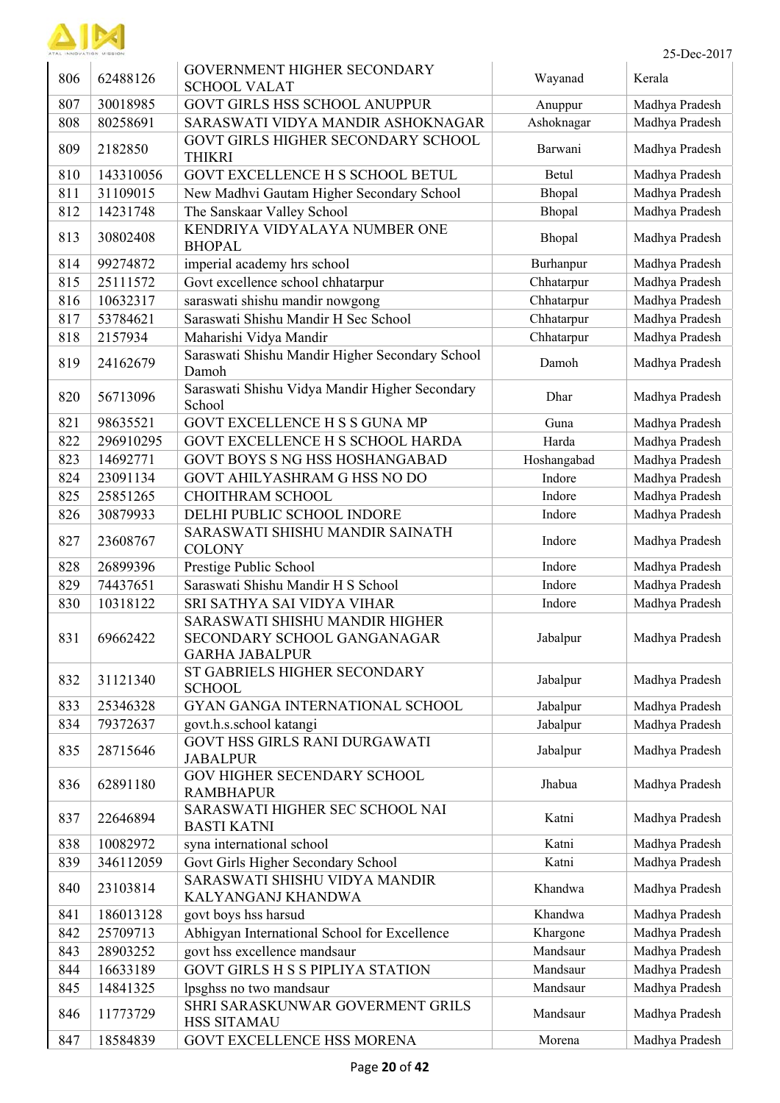

| 806 | 62488126  | <b>GOVERNMENT HIGHER SECONDARY</b><br><b>SCHOOL VALAT</b>                              | Wayanad     | Kerala         |
|-----|-----------|----------------------------------------------------------------------------------------|-------------|----------------|
| 807 | 30018985  | <b>GOVT GIRLS HSS SCHOOL ANUPPUR</b>                                                   | Anuppur     | Madhya Pradesh |
| 808 | 80258691  | SARASWATI VIDYA MANDIR ASHOKNAGAR                                                      | Ashoknagar  | Madhya Pradesh |
| 809 | 2182850   | GOVT GIRLS HIGHER SECONDARY SCHOOL<br><b>THIKRI</b>                                    | Barwani     | Madhya Pradesh |
| 810 | 143310056 | GOVT EXCELLENCE H S SCHOOL BETUL                                                       | Betul       | Madhya Pradesh |
| 811 | 31109015  | New Madhvi Gautam Higher Secondary School                                              | Bhopal      | Madhya Pradesh |
| 812 | 14231748  | The Sanskaar Valley School                                                             | Bhopal      | Madhya Pradesh |
| 813 | 30802408  | KENDRIYA VIDYALAYA NUMBER ONE<br><b>BHOPAL</b>                                         | Bhopal      | Madhya Pradesh |
| 814 | 99274872  | imperial academy hrs school                                                            | Burhanpur   | Madhya Pradesh |
| 815 | 25111572  | Govt excellence school chhatarpur                                                      | Chhatarpur  | Madhya Pradesh |
| 816 | 10632317  | saraswati shishu mandir nowgong                                                        | Chhatarpur  | Madhya Pradesh |
| 817 | 53784621  | Saraswati Shishu Mandir H Sec School                                                   | Chhatarpur  | Madhya Pradesh |
| 818 | 2157934   | Maharishi Vidya Mandir                                                                 | Chhatarpur  | Madhya Pradesh |
| 819 | 24162679  | Saraswati Shishu Mandir Higher Secondary School<br>Damoh                               | Damoh       | Madhya Pradesh |
| 820 | 56713096  | Saraswati Shishu Vidya Mandir Higher Secondary<br>School                               | Dhar        | Madhya Pradesh |
| 821 | 98635521  | GOVT EXCELLENCE H S S GUNA MP                                                          | Guna        | Madhya Pradesh |
| 822 | 296910295 | GOVT EXCELLENCE H S SCHOOL HARDA                                                       | Harda       | Madhya Pradesh |
| 823 | 14692771  | GOVT BOYS S NG HSS HOSHANGABAD                                                         | Hoshangabad | Madhya Pradesh |
| 824 | 23091134  | GOVT AHILYASHRAM G HSS NO DO                                                           | Indore      | Madhya Pradesh |
| 825 | 25851265  | CHOITHRAM SCHOOL                                                                       | Indore      | Madhya Pradesh |
| 826 | 30879933  | DELHI PUBLIC SCHOOL INDORE                                                             | Indore      | Madhya Pradesh |
| 827 | 23608767  | SARASWATI SHISHU MANDIR SAINATH<br><b>COLONY</b>                                       | Indore      | Madhya Pradesh |
| 828 | 26899396  | Prestige Public School                                                                 | Indore      | Madhya Pradesh |
| 829 | 74437651  | Saraswati Shishu Mandir H S School                                                     | Indore      | Madhya Pradesh |
| 830 | 10318122  | SRI SATHYA SAI VIDYA VIHAR                                                             | Indore      | Madhya Pradesh |
| 831 | 69662422  | SARASWATI SHISHU MANDIR HIGHER<br>SECONDARY SCHOOL GANGANAGAR<br><b>GARHA JABALPUR</b> | Jabalpur    | Madhya Pradesh |
| 832 | 31121340  | ST GABRIELS HIGHER SECONDARY<br><b>SCHOOL</b>                                          | Jabalpur    | Madhya Pradesh |
| 833 | 25346328  | GYAN GANGA INTERNATIONAL SCHOOL                                                        | Jabalpur    | Madhya Pradesh |
| 834 | 79372637  | govt.h.s.school katangi                                                                | Jabalpur    | Madhya Pradesh |
| 835 | 28715646  | <b>GOVT HSS GIRLS RANI DURGAWATI</b><br><b>JABALPUR</b>                                | Jabalpur    | Madhya Pradesh |
| 836 | 62891180  | GOV HIGHER SECENDARY SCHOOL<br><b>RAMBHAPUR</b>                                        | Jhabua      | Madhya Pradesh |
| 837 | 22646894  | SARASWATI HIGHER SEC SCHOOL NAI<br><b>BASTI KATNI</b>                                  | Katni       | Madhya Pradesh |
| 838 | 10082972  | syna international school                                                              | Katni       | Madhya Pradesh |
| 839 | 346112059 | Govt Girls Higher Secondary School                                                     | Katni       | Madhya Pradesh |
| 840 | 23103814  | SARASWATI SHISHU VIDYA MANDIR<br>KALYANGANJ KHANDWA                                    | Khandwa     | Madhya Pradesh |
| 841 | 186013128 | govt boys hss harsud                                                                   | Khandwa     | Madhya Pradesh |
| 842 | 25709713  | Abhigyan International School for Excellence                                           | Khargone    | Madhya Pradesh |
| 843 | 28903252  | govt hss excellence mandsaur                                                           | Mandsaur    | Madhya Pradesh |
| 844 | 16633189  | <b>GOVT GIRLS H S S PIPLIYA STATION</b>                                                | Mandsaur    | Madhya Pradesh |
| 845 | 14841325  | lpsghss no two mandsaur                                                                | Mandsaur    | Madhya Pradesh |
| 846 | 11773729  | SHRI SARASKUNWAR GOVERMENT GRILS<br><b>HSS SITAMAU</b>                                 | Mandsaur    | Madhya Pradesh |
| 847 | 18584839  | GOVT EXCELLENCE HSS MORENA                                                             | Morena      | Madhya Pradesh |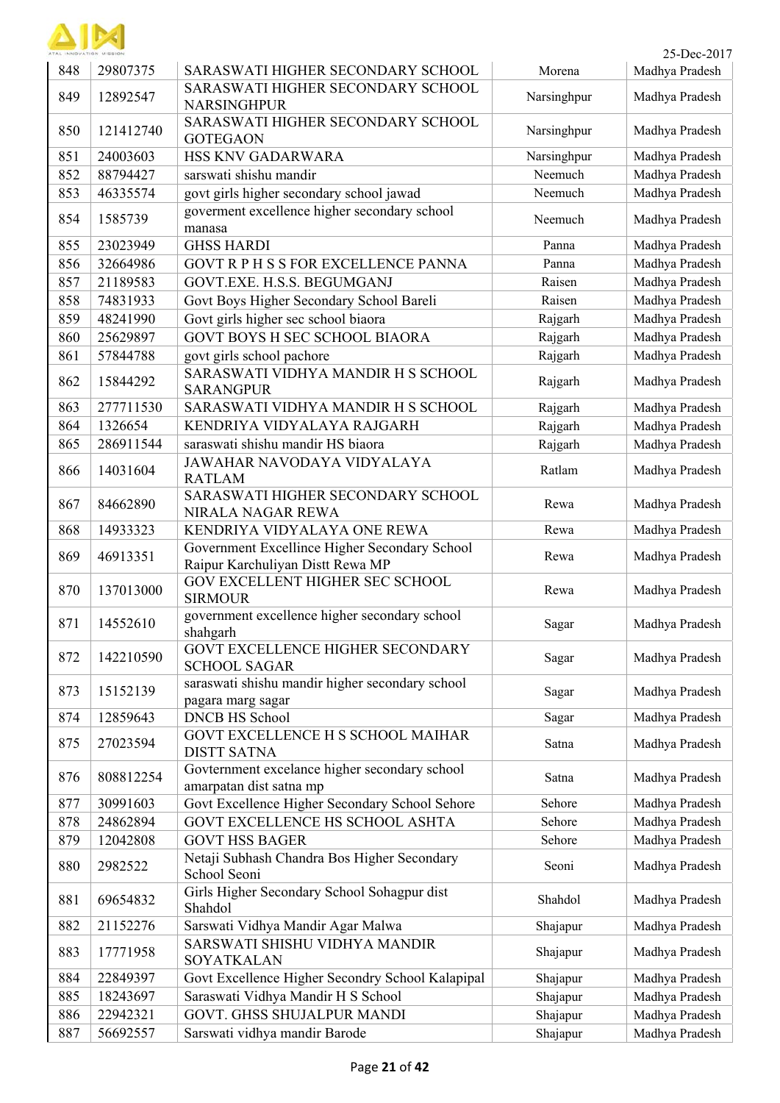

| TAL INNOVATION MISSION |           |                                                                                   |             | 25-Dec-2017    |
|------------------------|-----------|-----------------------------------------------------------------------------------|-------------|----------------|
| 848                    | 29807375  | SARASWATI HIGHER SECONDARY SCHOOL                                                 | Morena      | Madhya Pradesh |
| 849                    | 12892547  | SARASWATI HIGHER SECONDARY SCHOOL<br><b>NARSINGHPUR</b>                           | Narsinghpur | Madhya Pradesh |
| 850                    | 121412740 | SARASWATI HIGHER SECONDARY SCHOOL<br><b>GOTEGAON</b>                              | Narsinghpur | Madhya Pradesh |
| 851                    | 24003603  | HSS KNV GADARWARA                                                                 | Narsinghpur | Madhya Pradesh |
| 852                    | 88794427  | sarswati shishu mandir                                                            | Neemuch     | Madhya Pradesh |
| 853                    | 46335574  | govt girls higher secondary school jawad                                          | Neemuch     | Madhya Pradesh |
| 854                    | 1585739   | goverment excellence higher secondary school<br>manasa                            | Neemuch     | Madhya Pradesh |
| 855                    | 23023949  | <b>GHSS HARDI</b>                                                                 | Panna       | Madhya Pradesh |
| 856                    | 32664986  | GOVT R P H S S FOR EXCELLENCE PANNA                                               | Panna       | Madhya Pradesh |
| 857                    | 21189583  | GOVT.EXE. H.S.S. BEGUMGANJ                                                        | Raisen      | Madhya Pradesh |
| 858                    | 74831933  | Govt Boys Higher Secondary School Bareli                                          | Raisen      | Madhya Pradesh |
| 859                    | 48241990  | Govt girls higher sec school biaora                                               | Rajgarh     | Madhya Pradesh |
| 860                    | 25629897  | <b>GOVT BOYS H SEC SCHOOL BIAORA</b>                                              | Rajgarh     | Madhya Pradesh |
| 861                    | 57844788  | govt girls school pachore                                                         | Rajgarh     | Madhya Pradesh |
| 862                    | 15844292  | SARASWATI VIDHYA MANDIR H S SCHOOL<br><b>SARANGPUR</b>                            | Rajgarh     | Madhya Pradesh |
| 863                    | 277711530 | SARASWATI VIDHYA MANDIR H S SCHOOL                                                | Rajgarh     | Madhya Pradesh |
| 864                    | 1326654   | KENDRIYA VIDYALAYA RAJGARH                                                        | Rajgarh     | Madhya Pradesh |
| 865                    | 286911544 | saraswati shishu mandir HS biaora                                                 | Rajgarh     | Madhya Pradesh |
| 866                    | 14031604  | JAWAHAR NAVODAYA VIDYALAYA<br><b>RATLAM</b>                                       | Ratlam      | Madhya Pradesh |
| 867                    | 84662890  | SARASWATI HIGHER SECONDARY SCHOOL<br>NIRALA NAGAR REWA                            | Rewa        | Madhya Pradesh |
| 868                    | 14933323  | KENDRIYA VIDYALAYA ONE REWA                                                       | Rewa        | Madhya Pradesh |
| 869                    | 46913351  | Government Excellince Higher Secondary School<br>Raipur Karchuliyan Distt Rewa MP | Rewa        | Madhya Pradesh |
| 870                    | 137013000 | GOV EXCELLENT HIGHER SEC SCHOOL<br><b>SIRMOUR</b>                                 | Rewa        | Madhya Pradesh |
| 871                    | 14552610  | government excellence higher secondary school<br>shahgarh                         | Sagar       | Madhya Pradesh |
| 872                    | 142210590 | GOVT EXCELLENCE HIGHER SECONDARY<br><b>SCHOOL SAGAR</b>                           | Sagar       | Madhya Pradesh |
| 873                    | 15152139  | saraswati shishu mandir higher secondary school<br>pagara marg sagar              | Sagar       | Madhya Pradesh |
| 874                    | 12859643  | <b>DNCB HS School</b>                                                             | Sagar       | Madhya Pradesh |
| 875                    | 27023594  | GOVT EXCELLENCE H S SCHOOL MAIHAR<br><b>DISTT SATNA</b>                           | Satna       | Madhya Pradesh |
| 876                    | 808812254 | Govternment excelance higher secondary school<br>amarpatan dist satna mp          | Satna       | Madhya Pradesh |
| 877                    | 30991603  | Govt Excellence Higher Secondary School Sehore                                    | Sehore      | Madhya Pradesh |
| 878                    | 24862894  | GOVT EXCELLENCE HS SCHOOL ASHTA                                                   | Sehore      | Madhya Pradesh |
| 879                    | 12042808  | <b>GOVT HSS BAGER</b>                                                             | Sehore      | Madhya Pradesh |
| 880                    | 2982522   | Netaji Subhash Chandra Bos Higher Secondary<br>School Seoni                       | Seoni       | Madhya Pradesh |
| 881                    | 69654832  | Girls Higher Secondary School Sohagpur dist<br>Shahdol                            | Shahdol     | Madhya Pradesh |
| 882                    | 21152276  | Sarswati Vidhya Mandir Agar Malwa                                                 | Shajapur    | Madhya Pradesh |
| 883                    | 17771958  | SARSWATI SHISHU VIDHYA MANDIR<br>SOYATKALAN                                       | Shajapur    | Madhya Pradesh |
| 884                    | 22849397  | Govt Excellence Higher Secondry School Kalapipal                                  | Shajapur    | Madhya Pradesh |
| 885                    | 18243697  | Saraswati Vidhya Mandir H S School                                                | Shajapur    | Madhya Pradesh |
| 886                    | 22942321  | <b>GOVT. GHSS SHUJALPUR MANDI</b>                                                 | Shajapur    | Madhya Pradesh |
| 887                    | 56692557  | Sarswati vidhya mandir Barode                                                     | Shajapur    | Madhya Pradesh |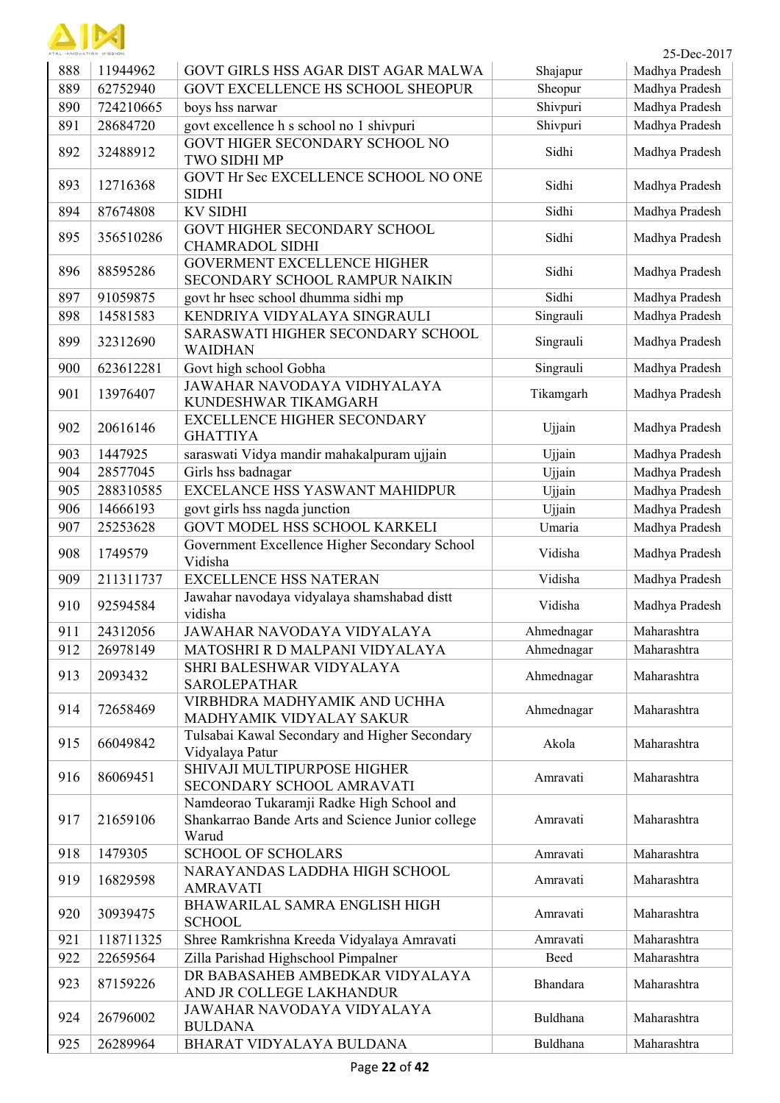| ATAL INNOVATION MISSION |
|-------------------------|

| ATAL INNOVATION MISSION |           |                                                                                                        |            | 25-Dec-2017    |
|-------------------------|-----------|--------------------------------------------------------------------------------------------------------|------------|----------------|
| 888                     | 11944962  | GOVT GIRLS HSS AGAR DIST AGAR MALWA                                                                    | Shajapur   | Madhya Pradesh |
| 889                     | 62752940  | GOVT EXCELLENCE HS SCHOOL SHEOPUR                                                                      | Sheopur    | Madhya Pradesh |
| 890                     | 724210665 | boys hss narwar                                                                                        | Shivpuri   | Madhya Pradesh |
| 891                     | 28684720  | govt excellence h s school no 1 shivpuri                                                               | Shivpuri   | Madhya Pradesh |
| 892                     | 32488912  | GOVT HIGER SECONDARY SCHOOL NO<br>TWO SIDHI MP                                                         | Sidhi      | Madhya Pradesh |
| 893                     | 12716368  | GOVT Hr Sec EXCELLENCE SCHOOL NO ONE<br><b>SIDHI</b>                                                   | Sidhi      | Madhya Pradesh |
| 894                     | 87674808  | <b>KV SIDHI</b>                                                                                        | Sidhi      | Madhya Pradesh |
| 895                     | 356510286 | GOVT HIGHER SECONDARY SCHOOL<br><b>CHAMRADOL SIDHI</b>                                                 | Sidhi      | Madhya Pradesh |
| 896                     | 88595286  | <b>GOVERMENT EXCELLENCE HIGHER</b><br>SECONDARY SCHOOL RAMPUR NAIKIN                                   | Sidhi      | Madhya Pradesh |
| 897                     | 91059875  | govt hr hsec school dhumma sidhi mp                                                                    | Sidhi      | Madhya Pradesh |
| 898                     | 14581583  | KENDRIYA VIDYALAYA SINGRAULI                                                                           | Singrauli  | Madhya Pradesh |
| 899                     | 32312690  | SARASWATI HIGHER SECONDARY SCHOOL<br><b>WAIDHAN</b>                                                    | Singrauli  | Madhya Pradesh |
| 900                     | 623612281 | Govt high school Gobha                                                                                 | Singrauli  | Madhya Pradesh |
| 901                     | 13976407  | JAWAHAR NAVODAYA VIDHYALAYA<br>KUNDESHWAR TIKAMGARH                                                    | Tikamgarh  | Madhya Pradesh |
| 902                     | 20616146  | <b>EXCELLENCE HIGHER SECONDARY</b><br><b>GHATTIYA</b>                                                  | Ujjain     | Madhya Pradesh |
| 903                     | 1447925   | saraswati Vidya mandir mahakalpuram ujjain                                                             | Ujjain     | Madhya Pradesh |
| 904                     | 28577045  | Girls hss badnagar                                                                                     | Ujjain     | Madhya Pradesh |
| 905                     | 288310585 | EXCELANCE HSS YASWANT MAHIDPUR                                                                         | Ujjain     | Madhya Pradesh |
| 906                     | 14666193  | govt girls hss nagda junction                                                                          | Ujjain     | Madhya Pradesh |
| 907                     | 25253628  | GOVT MODEL HSS SCHOOL KARKELI                                                                          | Umaria     | Madhya Pradesh |
| 908                     | 1749579   | Government Excellence Higher Secondary School<br>Vidisha                                               | Vidisha    | Madhya Pradesh |
| 909                     | 211311737 | <b>EXCELLENCE HSS NATERAN</b>                                                                          | Vidisha    | Madhya Pradesh |
| 910                     | 92594584  | Jawahar navodaya vidyalaya shamshabad distt<br>vidisha                                                 | Vidisha    | Madhya Pradesh |
| 911                     | 24312056  | JAWAHAR NAVODAYA VIDYALAYA                                                                             | Ahmednagar | Maharashtra    |
| 912                     | 26978149  | MATOSHRI R D MALPANI VIDYALAYA                                                                         | Ahmednagar | Maharashtra    |
| 913                     | 2093432   | SHRI BALESHWAR VIDYALAYA<br><b>SAROLEPATHAR</b>                                                        | Ahmednagar | Maharashtra    |
| 914                     | 72658469  | VIRBHDRA MADHYAMIK AND UCHHA<br>MADHYAMIK VIDYALAY SAKUR                                               | Ahmednagar | Maharashtra    |
| 915                     | 66049842  | Tulsabai Kawal Secondary and Higher Secondary<br>Vidyalaya Patur                                       | Akola      | Maharashtra    |
| 916                     | 86069451  | SHIVAJI MULTIPURPOSE HIGHER<br>SECONDARY SCHOOL AMRAVATI                                               | Amravati   | Maharashtra    |
| 917                     | 21659106  | Namdeorao Tukaramji Radke High School and<br>Shankarrao Bande Arts and Science Junior college<br>Warud | Amravati   | Maharashtra    |
| 918                     | 1479305   | <b>SCHOOL OF SCHOLARS</b>                                                                              | Amravati   | Maharashtra    |
| 919                     | 16829598  | NARAYANDAS LADDHA HIGH SCHOOL<br><b>AMRAVATI</b>                                                       | Amravati   | Maharashtra    |
| 920                     | 30939475  | BHAWARILAL SAMRA ENGLISH HIGH<br><b>SCHOOL</b>                                                         | Amravati   | Maharashtra    |
| 921                     | 118711325 | Shree Ramkrishna Kreeda Vidyalaya Amravati                                                             | Amravati   | Maharashtra    |
| 922                     | 22659564  | Zilla Parishad Highschool Pimpalner                                                                    | Beed       | Maharashtra    |
| 923                     | 87159226  | DR BABASAHEB AMBEDKAR VIDYALAYA<br>AND JR COLLEGE LAKHANDUR                                            | Bhandara   | Maharashtra    |
| 924                     | 26796002  | JAWAHAR NAVODAYA VIDYALAYA<br><b>BULDANA</b>                                                           | Buldhana   | Maharashtra    |
| 925                     | 26289964  | BHARAT VIDYALAYA BULDANA                                                                               | Buldhana   | Maharashtra    |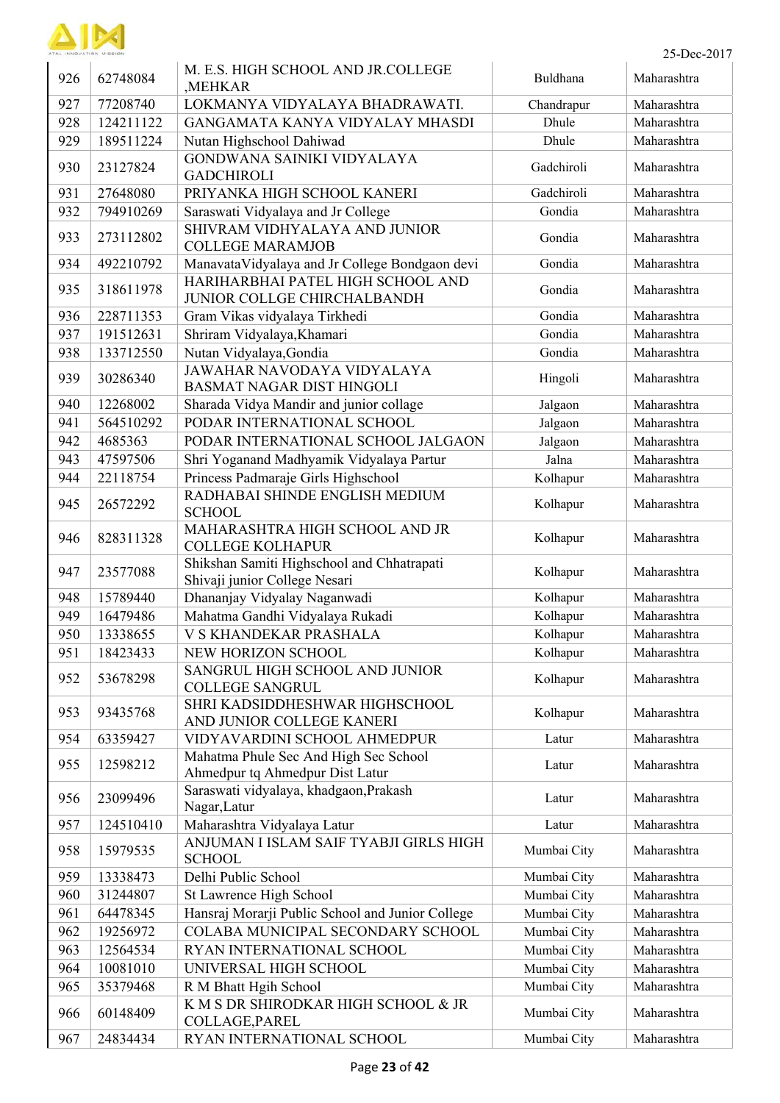

| 25-Dec-2017 |  |  |
|-------------|--|--|
|             |  |  |

| AL INNOVATION MISSIO |           |                                                                             |             | 25-Dec-2017 |
|----------------------|-----------|-----------------------------------------------------------------------------|-------------|-------------|
| 926                  | 62748084  | M. E.S. HIGH SCHOOL AND JR.COLLEGE<br>,MEHKAR                               | Buldhana    | Maharashtra |
| 927                  | 77208740  | LOKMANYA VIDYALAYA BHADRAWATI.                                              | Chandrapur  | Maharashtra |
| 928                  | 124211122 | GANGAMATA KANYA VIDYALAY MHASDI                                             | Dhule       | Maharashtra |
| 929                  | 189511224 | Nutan Highschool Dahiwad                                                    | Dhule       | Maharashtra |
| 930                  | 23127824  | GONDWANA SAINIKI VIDYALAYA<br><b>GADCHIROLI</b>                             | Gadchiroli  | Maharashtra |
| 931                  | 27648080  | PRIYANKA HIGH SCHOOL KANERI                                                 | Gadchiroli  | Maharashtra |
| 932                  | 794910269 | Saraswati Vidyalaya and Jr College                                          | Gondia      | Maharashtra |
| 933                  | 273112802 | SHIVRAM VIDHYALAYA AND JUNIOR<br><b>COLLEGE MARAMJOB</b>                    | Gondia      | Maharashtra |
| 934                  | 492210792 | ManavataVidyalaya and Jr College Bondgaon devi                              | Gondia      | Maharashtra |
| 935                  | 318611978 | HARIHARBHAI PATEL HIGH SCHOOL AND<br>JUNIOR COLLGE CHIRCHALBANDH            | Gondia      | Maharashtra |
| 936                  | 228711353 | Gram Vikas vidyalaya Tirkhedi                                               | Gondia      | Maharashtra |
| 937                  | 191512631 | Shriram Vidyalaya, Khamari                                                  | Gondia      | Maharashtra |
| 938                  | 133712550 | Nutan Vidyalaya, Gondia                                                     | Gondia      | Maharashtra |
| 939                  | 30286340  | JAWAHAR NAVODAYA VIDYALAYA<br><b>BASMAT NAGAR DIST HINGOLI</b>              | Hingoli     | Maharashtra |
| 940                  | 12268002  | Sharada Vidya Mandir and junior collage                                     | Jalgaon     | Maharashtra |
| 941                  | 564510292 | PODAR INTERNATIONAL SCHOOL                                                  | Jalgaon     | Maharashtra |
| 942                  | 4685363   | PODAR INTERNATIONAL SCHOOL JALGAON                                          | Jalgaon     | Maharashtra |
| 943                  | 47597506  | Shri Yoganand Madhyamik Vidyalaya Partur                                    | Jalna       | Maharashtra |
| 944                  | 22118754  | Princess Padmaraje Girls Highschool                                         | Kolhapur    | Maharashtra |
| 945                  | 26572292  | RADHABAI SHINDE ENGLISH MEDIUM<br><b>SCHOOL</b>                             | Kolhapur    | Maharashtra |
| 946                  | 828311328 | MAHARASHTRA HIGH SCHOOL AND JR<br><b>COLLEGE KOLHAPUR</b>                   | Kolhapur    | Maharashtra |
| 947                  | 23577088  | Shikshan Samiti Highschool and Chhatrapati<br>Shivaji junior College Nesari | Kolhapur    | Maharashtra |
| 948                  | 15789440  | Dhananjay Vidyalay Naganwadi                                                | Kolhapur    | Maharashtra |
| 949                  | 16479486  | Mahatma Gandhi Vidyalaya Rukadi                                             | Kolhapur    | Maharashtra |
| 950                  | 13338655  | V S KHANDEKAR PRASHALA                                                      | Kolhapur    | Maharashtra |
| 951                  | 18423433  | <b>NEW HORIZON SCHOOL</b>                                                   | Kolhapur    | Maharashtra |
| 952                  | 53678298  | SANGRUL HIGH SCHOOL AND JUNIOR<br><b>COLLEGE SANGRUL</b>                    | Kolhapur    | Maharashtra |
| 953                  | 93435768  | SHRI KADSIDDHESHWAR HIGHSCHOOL<br>AND JUNIOR COLLEGE KANERI                 | Kolhapur    | Maharashtra |
| 954                  | 63359427  | VIDYAVARDINI SCHOOL AHMEDPUR                                                | Latur       | Maharashtra |
| 955                  | 12598212  | Mahatma Phule Sec And High Sec School<br>Ahmedpur tq Ahmedpur Dist Latur    | Latur       | Maharashtra |
| 956                  | 23099496  | Saraswati vidyalaya, khadgaon, Prakash<br>Nagar, Latur                      | Latur       | Maharashtra |
| 957                  | 124510410 | Maharashtra Vidyalaya Latur                                                 | Latur       | Maharashtra |
| 958                  | 15979535  | ANJUMAN I ISLAM SAIF TYABJI GIRLS HIGH<br><b>SCHOOL</b>                     | Mumbai City | Maharashtra |
| 959                  | 13338473  | Delhi Public School                                                         | Mumbai City | Maharashtra |
| 960                  | 31244807  | St Lawrence High School                                                     | Mumbai City | Maharashtra |
| 961                  | 64478345  | Hansraj Morarji Public School and Junior College                            | Mumbai City | Maharashtra |
| 962                  | 19256972  | COLABA MUNICIPAL SECONDARY SCHOOL                                           | Mumbai City | Maharashtra |
| 963                  | 12564534  | RYAN INTERNATIONAL SCHOOL                                                   | Mumbai City | Maharashtra |
| 964                  | 10081010  | UNIVERSAL HIGH SCHOOL                                                       | Mumbai City | Maharashtra |
| 965                  | 35379468  | R M Bhatt Hgih School                                                       | Mumbai City | Maharashtra |
| 966                  | 60148409  | K M S DR SHIRODKAR HIGH SCHOOL & JR<br>COLLAGE, PAREL                       | Mumbai City | Maharashtra |
| 967                  | 24834434  | RYAN INTERNATIONAL SCHOOL                                                   | Mumbai City | Maharashtra |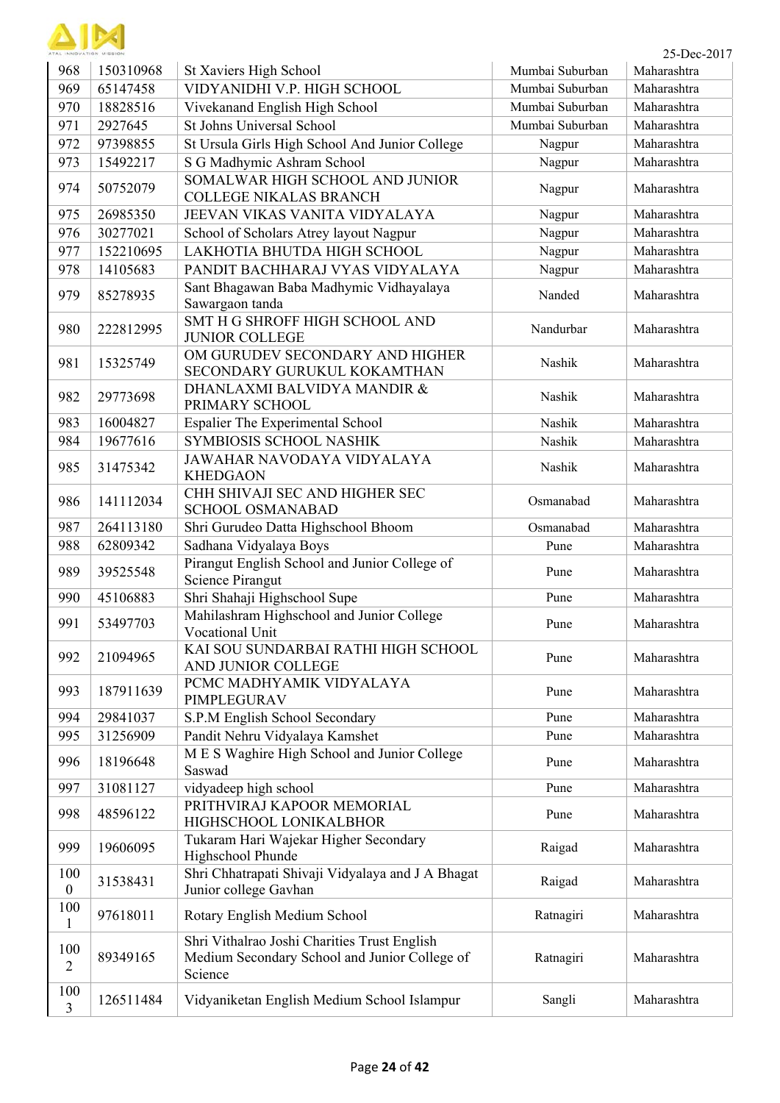| ATAL INNOVATION MISSION |
|-------------------------|

| ATAL INNOVATION MISSION |           |                                                                                                          |                 | 25-Dec-2017 |
|-------------------------|-----------|----------------------------------------------------------------------------------------------------------|-----------------|-------------|
| 968                     | 150310968 | St Xaviers High School                                                                                   | Mumbai Suburban | Maharashtra |
| 969                     | 65147458  | VIDYANIDHI V.P. HIGH SCHOOL                                                                              | Mumbai Suburban | Maharashtra |
| 970                     | 18828516  | Vivekanand English High School                                                                           | Mumbai Suburban | Maharashtra |
| 971                     | 2927645   | St Johns Universal School                                                                                | Mumbai Suburban | Maharashtra |
| 972                     | 97398855  | St Ursula Girls High School And Junior College                                                           | Nagpur          | Maharashtra |
| 973                     | 15492217  | S G Madhymic Ashram School                                                                               | Nagpur          | Maharashtra |
| 974                     | 50752079  | SOMALWAR HIGH SCHOOL AND JUNIOR<br><b>COLLEGE NIKALAS BRANCH</b>                                         | Nagpur          | Maharashtra |
| 975                     | 26985350  | JEEVAN VIKAS VANITA VIDYALAYA                                                                            | Nagpur          | Maharashtra |
| 976                     | 30277021  | School of Scholars Atrey layout Nagpur                                                                   | Nagpur          | Maharashtra |
| 977                     | 152210695 | LAKHOTIA BHUTDA HIGH SCHOOL                                                                              | Nagpur          | Maharashtra |
| 978                     | 14105683  | PANDIT BACHHARAJ VYAS VIDYALAYA                                                                          | Nagpur          | Maharashtra |
| 979                     | 85278935  | Sant Bhagawan Baba Madhymic Vidhayalaya<br>Sawargaon tanda                                               | Nanded          | Maharashtra |
| 980                     | 222812995 | SMT H G SHROFF HIGH SCHOOL AND<br><b>JUNIOR COLLEGE</b>                                                  | Nandurbar       | Maharashtra |
| 981                     | 15325749  | OM GURUDEV SECONDARY AND HIGHER<br>SECONDARY GURUKUL KOKAMTHAN                                           | Nashik          | Maharashtra |
| 982                     | 29773698  | DHANLAXMI BALVIDYA MANDIR &<br>PRIMARY SCHOOL                                                            | Nashik          | Maharashtra |
| 983                     | 16004827  | <b>Espalier The Experimental School</b>                                                                  | Nashik          | Maharashtra |
| 984                     | 19677616  | SYMBIOSIS SCHOOL NASHIK                                                                                  | Nashik          | Maharashtra |
| 985                     | 31475342  | JAWAHAR NAVODAYA VIDYALAYA<br><b>KHEDGAON</b>                                                            | Nashik          | Maharashtra |
| 986                     | 141112034 | CHH SHIVAJI SEC AND HIGHER SEC<br><b>SCHOOL OSMANABAD</b>                                                | Osmanabad       | Maharashtra |
| 987                     | 264113180 | Shri Gurudeo Datta Highschool Bhoom                                                                      | Osmanabad       | Maharashtra |
| 988                     | 62809342  | Sadhana Vidyalaya Boys                                                                                   | Pune            | Maharashtra |
| 989                     | 39525548  | Pirangut English School and Junior College of<br><b>Science Pirangut</b>                                 | Pune            | Maharashtra |
| 990                     | 45106883  | Shri Shahaji Highschool Supe                                                                             | Pune            | Maharashtra |
| 991                     | 53497703  | Mahilashram Highschool and Junior College<br>Vocational Unit                                             | Pune            | Maharashtra |
| 992                     | 21094965  | KAI SOU SUNDARBAI RATHI HIGH SCHOOL<br>AND JUNIOR COLLEGE                                                | Pune            | Maharashtra |
| 993                     | 187911639 | PCMC MADHYAMIK VIDYALAYA<br>PIMPLEGURAV                                                                  | Pune            | Maharashtra |
| 994                     | 29841037  | S.P.M English School Secondary                                                                           | Pune            | Maharashtra |
| 995                     | 31256909  | Pandit Nehru Vidyalaya Kamshet                                                                           | Pune            | Maharashtra |
| 996                     | 18196648  | M E S Waghire High School and Junior College<br>Saswad                                                   | Pune            | Maharashtra |
| 997                     | 31081127  | vidyadeep high school                                                                                    | Pune            | Maharashtra |
| 998                     | 48596122  | PRITHVIRAJ KAPOOR MEMORIAL<br>HIGHSCHOOL LONIKALBHOR                                                     | Pune            | Maharashtra |
| 999                     | 19606095  | Tukaram Hari Wajekar Higher Secondary<br>Highschool Phunde                                               | Raigad          | Maharashtra |
| 100<br>$\boldsymbol{0}$ | 31538431  | Shri Chhatrapati Shivaji Vidyalaya and J A Bhagat<br>Junior college Gavhan                               | Raigad          | Maharashtra |
| 100<br>$\mathbf{1}$     | 97618011  | Rotary English Medium School                                                                             | Ratnagiri       | Maharashtra |
| 100<br>$\overline{2}$   | 89349165  | Shri Vithalrao Joshi Charities Trust English<br>Medium Secondary School and Junior College of<br>Science | Ratnagiri       | Maharashtra |
| 100<br>3                | 126511484 | Vidyaniketan English Medium School Islampur                                                              | Sangli          | Maharashtra |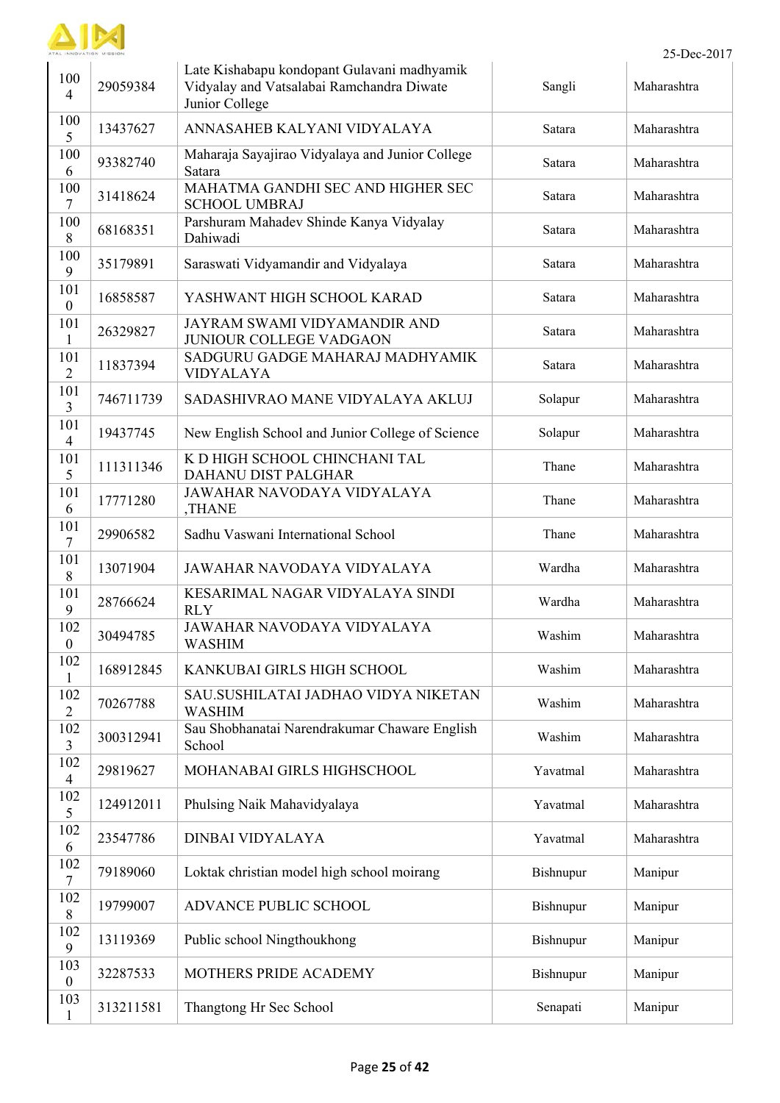

| 100<br>$\overline{4}$   | 29059384  | Late Kishabapu kondopant Gulavani madhyamik<br>Vidyalay and Vatsalabai Ramchandra Diwate<br>Junior College | Sangli    | Maharashtra |
|-------------------------|-----------|------------------------------------------------------------------------------------------------------------|-----------|-------------|
| 100<br>5                | 13437627  | ANNASAHEB KALYANI VIDYALAYA                                                                                | Satara    | Maharashtra |
| 100<br>6                | 93382740  | Maharaja Sayajirao Vidyalaya and Junior College<br>Satara                                                  | Satara    | Maharashtra |
| 100<br>$\overline{7}$   | 31418624  | MAHATMA GANDHI SEC AND HIGHER SEC<br><b>SCHOOL UMBRAJ</b>                                                  | Satara    | Maharashtra |
| 100<br>8                | 68168351  | Parshuram Mahadev Shinde Kanya Vidyalay<br>Dahiwadi                                                        | Satara    | Maharashtra |
| 100<br>9                | 35179891  | Saraswati Vidyamandir and Vidyalaya                                                                        | Satara    | Maharashtra |
| 101<br>$\mathbf{0}$     | 16858587  | YASHWANT HIGH SCHOOL KARAD                                                                                 | Satara    | Maharashtra |
| 101<br>$\mathbf{1}$     | 26329827  | JAYRAM SWAMI VIDYAMANDIR AND<br><b>JUNIOUR COLLEGE VADGAON</b>                                             | Satara    | Maharashtra |
| 101<br>$\overline{2}$   | 11837394  | SADGURU GADGE MAHARAJ MADHYAMIK<br><b>VIDYALAYA</b>                                                        | Satara    | Maharashtra |
| 101<br>$\overline{3}$   | 746711739 | SADASHIVRAO MANE VIDYALAYA AKLUJ                                                                           | Solapur   | Maharashtra |
| 101<br>$\overline{4}$   | 19437745  | New English School and Junior College of Science                                                           | Solapur   | Maharashtra |
| 101<br>5                | 111311346 | K D HIGH SCHOOL CHINCHANI TAL<br>DAHANU DIST PALGHAR                                                       | Thane     | Maharashtra |
| 101<br>6                | 17771280  | JAWAHAR NAVODAYA VIDYALAYA<br>,THANE                                                                       | Thane     | Maharashtra |
| 101<br>7                | 29906582  | Sadhu Vaswani International School                                                                         | Thane     | Maharashtra |
| 101<br>8                | 13071904  | JAWAHAR NAVODAYA VIDYALAYA                                                                                 | Wardha    | Maharashtra |
| 101<br>9                | 28766624  | KESARIMAL NAGAR VIDYALAYA SINDI<br><b>RLY</b>                                                              | Wardha    | Maharashtra |
| 102<br>$\boldsymbol{0}$ | 30494785  | JAWAHAR NAVODAYA VIDYALAYA<br><b>WASHIM</b>                                                                | Washim    | Maharashtra |
| 102<br>$\mathbf{1}$     | 168912845 | KANKUBAI GIRLS HIGH SCHOOL                                                                                 | Washim    | Maharashtra |
| 102<br>$\overline{2}$   | 70267788  | SAU.SUSHILATAI JADHAO VIDYA NIKETAN<br><b>WASHIM</b>                                                       | Washim    | Maharashtra |
| 102<br>$\overline{3}$   | 300312941 | Sau Shobhanatai Narendrakumar Chaware English<br>School                                                    | Washim    | Maharashtra |
| 102<br>$\overline{4}$   | 29819627  | MOHANABAI GIRLS HIGHSCHOOL                                                                                 | Yavatmal  | Maharashtra |
| 102<br>5                | 124912011 | Phulsing Naik Mahavidyalaya                                                                                | Yavatmal  | Maharashtra |
| 102<br>6                | 23547786  | <b>DINBAI VIDYALAYA</b>                                                                                    | Yavatmal  | Maharashtra |
| 102<br>$\overline{7}$   | 79189060  | Loktak christian model high school moirang                                                                 | Bishnupur | Manipur     |
| 102<br>8                | 19799007  | ADVANCE PUBLIC SCHOOL                                                                                      | Bishnupur | Manipur     |
| 102<br>9                | 13119369  | Public school Ningthoukhong                                                                                | Bishnupur | Manipur     |
| 103<br>$\mathbf{0}$     | 32287533  | MOTHERS PRIDE ACADEMY                                                                                      | Bishnupur | Manipur     |
| 103<br>$\mathbf{1}$     | 313211581 | Thangtong Hr Sec School                                                                                    | Senapati  | Manipur     |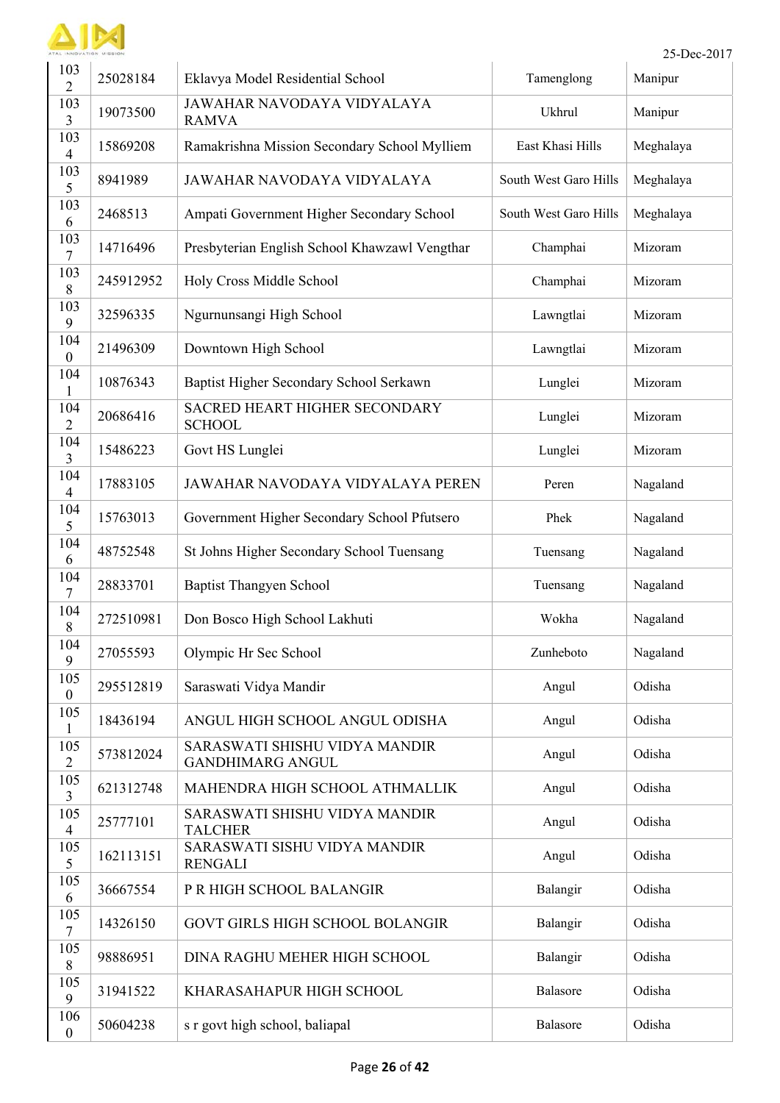

|                         | INNOVATION MISSION |                                                          |                       | 25-Dec-2017 |
|-------------------------|--------------------|----------------------------------------------------------|-----------------------|-------------|
| 103<br>$\overline{2}$   | 25028184           | Eklavya Model Residential School                         | Tamenglong            | Manipur     |
| 103<br>3                | 19073500           | JAWAHAR NAVODAYA VIDYALAYA<br><b>RAMVA</b>               | Ukhrul                | Manipur     |
| 103<br>$\overline{4}$   | 15869208           | Ramakrishna Mission Secondary School Mylliem             | East Khasi Hills      | Meghalaya   |
| 103<br>5                | 8941989            | <b>JAWAHAR NAVODAYA VIDYALAYA</b>                        | South West Garo Hills | Meghalaya   |
| 103<br>6                | 2468513            | Ampati Government Higher Secondary School                | South West Garo Hills | Meghalaya   |
| 103<br>7                | 14716496           | Presbyterian English School Khawzawl Vengthar            | Champhai              | Mizoram     |
| 103<br>8                | 245912952          | Holy Cross Middle School                                 | Champhai              | Mizoram     |
| 103<br>9                | 32596335           | Ngurnunsangi High School                                 | Lawngtlai             | Mizoram     |
| 104<br>$\boldsymbol{0}$ | 21496309           | Downtown High School                                     | Lawngtlai             | Mizoram     |
| 104<br>1                | 10876343           | Baptist Higher Secondary School Serkawn                  | Lunglei               | Mizoram     |
| 104<br>$\overline{2}$   | 20686416           | SACRED HEART HIGHER SECONDARY<br><b>SCHOOL</b>           | Lunglei               | Mizoram     |
| 104<br>3                | 15486223           | Govt HS Lunglei                                          | Lunglei               | Mizoram     |
| 104<br>$\overline{4}$   | 17883105           | JAWAHAR NAVODAYA VIDYALAYA PEREN                         | Peren                 | Nagaland    |
| 104<br>5                | 15763013           | Government Higher Secondary School Pfutsero              | Phek                  | Nagaland    |
| 104<br>6                | 48752548           | St Johns Higher Secondary School Tuensang                | Tuensang              | Nagaland    |
| 104<br>7                | 28833701           | <b>Baptist Thangyen School</b>                           | Tuensang              | Nagaland    |
| 104<br>8                | 272510981          | Don Bosco High School Lakhuti                            | Wokha                 | Nagaland    |
| 104<br>9                | 27055593           | Olympic Hr Sec School                                    | Zunheboto             | Nagaland    |
| 105<br>$\boldsymbol{0}$ | 295512819          | Saraswati Vidya Mandir                                   | Angul                 | Odisha      |
| 105<br>1                | 18436194           | ANGUL HIGH SCHOOL ANGUL ODISHA                           | Angul                 | Odisha      |
| 105<br>$\overline{2}$   | 573812024          | SARASWATI SHISHU VIDYA MANDIR<br><b>GANDHIMARG ANGUL</b> | Angul                 | Odisha      |
| 105<br>3                | 621312748          | MAHENDRA HIGH SCHOOL ATHMALLIK                           | Angul                 | Odisha      |
| 105<br>$\overline{4}$   | 25777101           | SARASWATI SHISHU VIDYA MANDIR<br><b>TALCHER</b>          | Angul                 | Odisha      |
| 105<br>5                | 162113151          | SARASWATI SISHU VIDYA MANDIR<br><b>RENGALI</b>           | Angul                 | Odisha      |
| 105<br>6                | 36667554           | P R HIGH SCHOOL BALANGIR                                 | Balangir              | Odisha      |
| 105<br>7                | 14326150           | GOVT GIRLS HIGH SCHOOL BOLANGIR                          | Balangir              | Odisha      |
| 105<br>$8\,$            | 98886951           | DINA RAGHU MEHER HIGH SCHOOL                             | Balangir              | Odisha      |
| 105<br>9                | 31941522           | KHARASAHAPUR HIGH SCHOOL                                 | Balasore              | Odisha      |
| 106<br>$\boldsymbol{0}$ | 50604238           | s r govt high school, baliapal                           | Balasore              | Odisha      |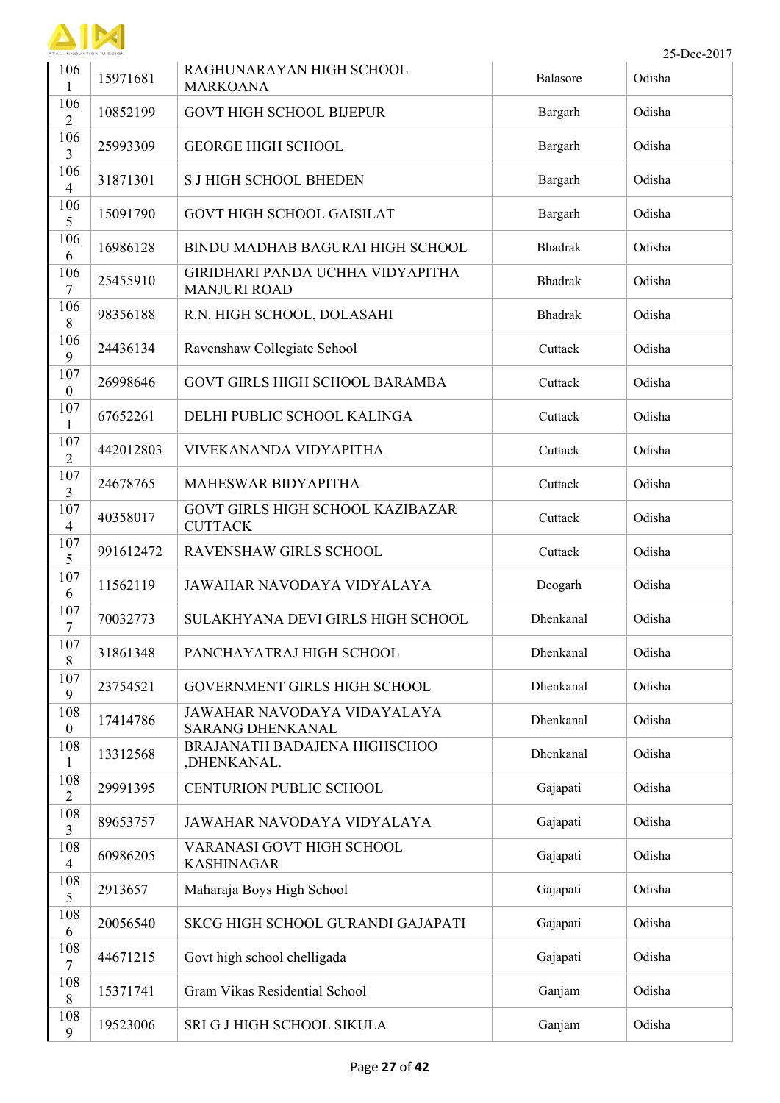

| 106<br>1                | 15971681  | RAGHUNARAYAN HIGH SCHOOL<br><b>MARKOANA</b>             | Balasore       | Odisha |
|-------------------------|-----------|---------------------------------------------------------|----------------|--------|
| 106<br>$\overline{2}$   | 10852199  | <b>GOVT HIGH SCHOOL BIJEPUR</b>                         | Bargarh        | Odisha |
| 106<br>3                | 25993309  | <b>GEORGE HIGH SCHOOL</b>                               | Bargarh        | Odisha |
| 106<br>$\overline{4}$   | 31871301  | <b>S J HIGH SCHOOL BHEDEN</b>                           | Bargarh        | Odisha |
| 106<br>5                | 15091790  | <b>GOVT HIGH SCHOOL GAISILAT</b>                        | Bargarh        | Odisha |
| 106<br>6                | 16986128  | <b>BINDU MADHAB BAGURAI HIGH SCHOOL</b>                 | <b>Bhadrak</b> | Odisha |
| 106<br>7                | 25455910  | GIRIDHARI PANDA UCHHA VIDYAPITHA<br><b>MANJURI ROAD</b> | <b>Bhadrak</b> | Odisha |
| 106<br>8                | 98356188  | R.N. HIGH SCHOOL, DOLASAHI                              | <b>Bhadrak</b> | Odisha |
| 106<br>9                | 24436134  | Ravenshaw Collegiate School                             | Cuttack        | Odisha |
| 107<br>$\boldsymbol{0}$ | 26998646  | GOVT GIRLS HIGH SCHOOL BARAMBA                          | Cuttack        | Odisha |
| 107<br>1                | 67652261  | DELHI PUBLIC SCHOOL KALINGA                             | Cuttack        | Odisha |
| 107<br>$\overline{2}$   | 442012803 | VIVEKANANDA VIDYAPITHA                                  | Cuttack        | Odisha |
| 107<br>$\overline{3}$   | 24678765  | MAHESWAR BIDYAPITHA                                     | Cuttack        | Odisha |
| 107<br>$\overline{4}$   | 40358017  | GOVT GIRLS HIGH SCHOOL KAZIBAZAR<br><b>CUTTACK</b>      | Cuttack        | Odisha |
| 107<br>5                | 991612472 | RAVENSHAW GIRLS SCHOOL                                  | Cuttack        | Odisha |
| 107<br>6                | 11562119  | JAWAHAR NAVODAYA VIDYALAYA                              | Deogarh        | Odisha |
| 107<br>7                | 70032773  | SULAKHYANA DEVI GIRLS HIGH SCHOOL                       | Dhenkanal      | Odisha |
| 107<br>$\,8\,$          | 31861348  | PANCHAYATRAJ HIGH SCHOOL                                | Dhenkanal      | Odisha |
| 107<br>9                | 23754521  | GOVERNMENT GIRLS HIGH SCHOOL                            | Dhenkanal      | Odisha |
| 108<br>$\boldsymbol{0}$ | 17414786  | JAWAHAR NAVODAYA VIDAYALAYA<br><b>SARANG DHENKANAL</b>  | Dhenkanal      | Odisha |
| 108<br>$\mathbf{1}$     | 13312568  | BRAJANATH BADAJENA HIGHSCHOO<br>,DHENKANAL.             | Dhenkanal      | Odisha |
| 108<br>$\overline{2}$   | 29991395  | <b>CENTURION PUBLIC SCHOOL</b>                          | Gajapati       | Odisha |
| 108<br>3                | 89653757  | JAWAHAR NAVODAYA VIDYALAYA                              | Gajapati       | Odisha |
| 108<br>$\overline{4}$   | 60986205  | VARANASI GOVT HIGH SCHOOL<br><b>KASHINAGAR</b>          | Gajapati       | Odisha |
| 108<br>5                | 2913657   | Maharaja Boys High School                               | Gajapati       | Odisha |
| 108<br>6                | 20056540  | SKCG HIGH SCHOOL GURANDI GAJAPATI                       | Gajapati       | Odisha |
| 108<br>$\tau$           | 44671215  | Govt high school chelligada                             | Gajapati       | Odisha |
| 108<br>$8\,$            | 15371741  | Gram Vikas Residential School                           | Ganjam         | Odisha |
| 108<br>9                | 19523006  | SRI G J HIGH SCHOOL SIKULA                              | Ganjam         | Odisha |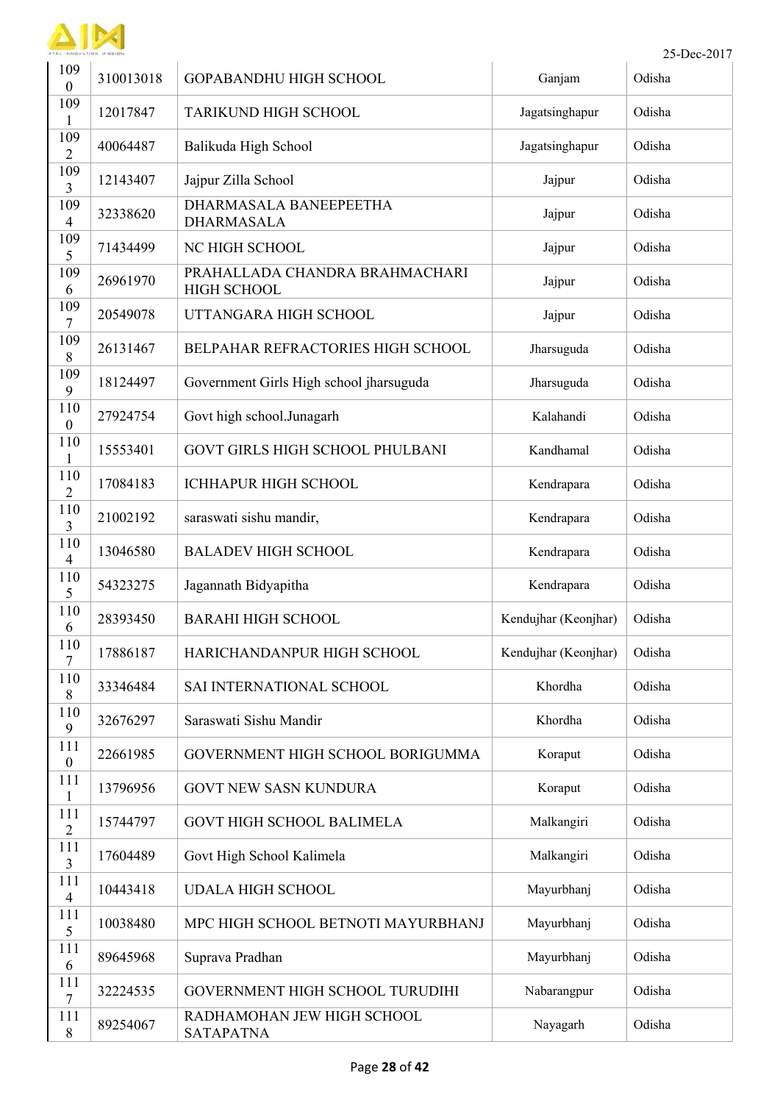

| 109<br>$\mathbf{0}$     | 310013018 | <b>GOPABANDHU HIGH SCHOOL</b>                        | Ganjam               | Odisha |
|-------------------------|-----------|------------------------------------------------------|----------------------|--------|
| 109<br>1                | 12017847  | <b>TARIKUND HIGH SCHOOL</b>                          | Jagatsinghapur       | Odisha |
| 109<br>$\overline{2}$   | 40064487  | Balikuda High School                                 | Jagatsinghapur       | Odisha |
| 109<br>3                | 12143407  | Jajpur Zilla School                                  | Jajpur               | Odisha |
| 109<br>$\overline{4}$   | 32338620  | DHARMASALA BANEEPEETHA<br><b>DHARMASALA</b>          | Jajpur               | Odisha |
| 109<br>5                | 71434499  | NC HIGH SCHOOL                                       | Jajpur               | Odisha |
| 109<br>6                | 26961970  | PRAHALLADA CHANDRA BRAHMACHARI<br><b>HIGH SCHOOL</b> | Jajpur               | Odisha |
| 109<br>7                | 20549078  | UTTANGARA HIGH SCHOOL                                | Jajpur               | Odisha |
| 109<br>8                | 26131467  | BELPAHAR REFRACTORIES HIGH SCHOOL                    | Jharsuguda           | Odisha |
| 109<br>9                | 18124497  | Government Girls High school jharsuguda              | Jharsuguda           | Odisha |
| 110<br>$\boldsymbol{0}$ | 27924754  | Govt high school.Junagarh                            | Kalahandi            | Odisha |
| 110<br>1                | 15553401  | <b>GOVT GIRLS HIGH SCHOOL PHULBANI</b>               | Kandhamal            | Odisha |
| 110<br>$\overline{2}$   | 17084183  | <b>ICHHAPUR HIGH SCHOOL</b>                          | Kendrapara           | Odisha |
| 110<br>3                | 21002192  | saraswati sishu mandir,                              | Kendrapara           | Odisha |
| 110<br>$\overline{4}$   | 13046580  | <b>BALADEV HIGH SCHOOL</b>                           | Kendrapara           | Odisha |
| 110<br>5                | 54323275  | Jagannath Bidyapitha                                 | Kendrapara           | Odisha |
| 110<br>6                | 28393450  | <b>BARAHI HIGH SCHOOL</b>                            | Kendujhar (Keonjhar) | Odisha |
| 110<br>7                | 17886187  | HARICHANDANPUR HIGH SCHOOL                           | Kendujhar (Keonjhar) | Odisha |
| 110<br>8                | 33346484  | SAI INTERNATIONAL SCHOOL                             | Khordha              | Odisha |
| 110<br>9                | 32676297  | Saraswati Sishu Mandir                               | Khordha              | Odisha |
| 111<br>$\boldsymbol{0}$ | 22661985  | GOVERNMENT HIGH SCHOOL BORIGUMMA                     | Koraput              | Odisha |
| 111<br>1                | 13796956  | <b>GOVT NEW SASN KUNDURA</b>                         | Koraput              | Odisha |
| 111<br>$\overline{2}$   | 15744797  | <b>GOVT HIGH SCHOOL BALIMELA</b>                     | Malkangiri           | Odisha |
| 111<br>$\overline{3}$   | 17604489  | Govt High School Kalimela                            | Malkangiri           | Odisha |
| 111<br>$\overline{4}$   | 10443418  | <b>UDALA HIGH SCHOOL</b>                             | Mayurbhanj           | Odisha |
| 111<br>5                | 10038480  | MPC HIGH SCHOOL BETNOTI MAYURBHANJ                   | Mayurbhanj           | Odisha |
| 111<br>6                | 89645968  | Suprava Pradhan                                      | Mayurbhanj           | Odisha |
| 111<br>7                | 32224535  | GOVERNMENT HIGH SCHOOL TURUDIHI                      | Nabarangpur          | Odisha |
| 111<br>8                | 89254067  | RADHAMOHAN JEW HIGH SCHOOL<br><b>SATAPATNA</b>       | Nayagarh             | Odisha |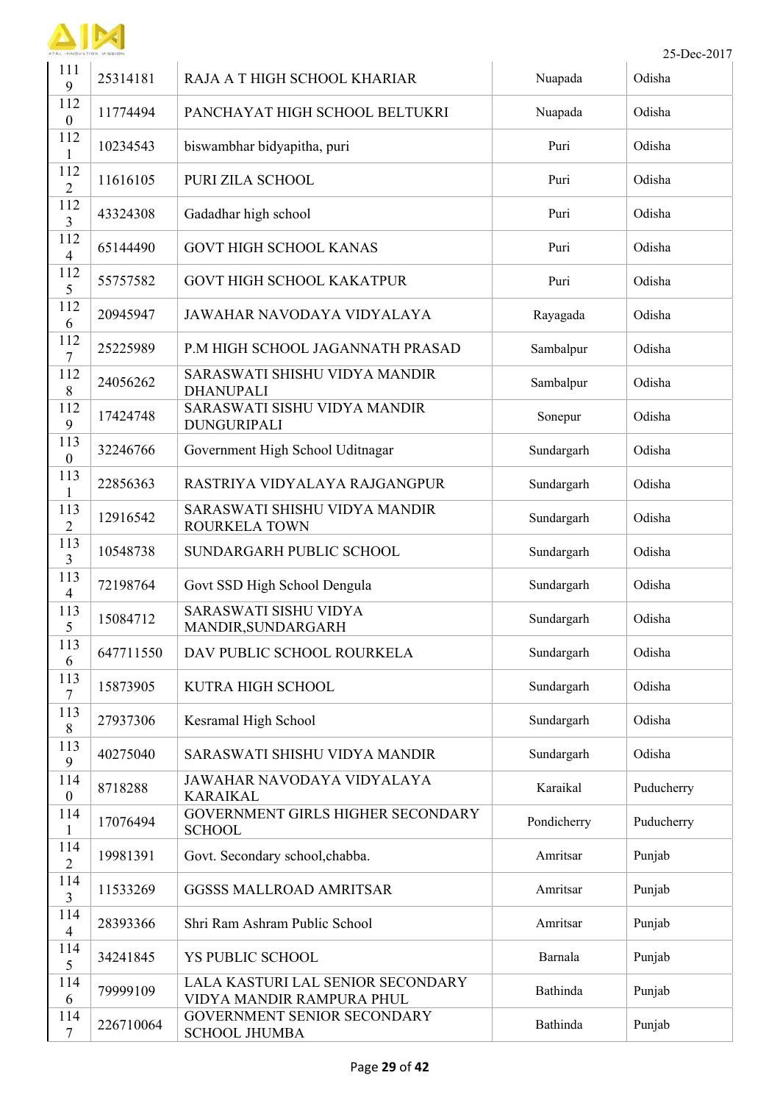

 $\mathbf{I}$ 

|                                 | INNOVATION MISSION |                                                                |             | 25-Dec-2017 |
|---------------------------------|--------------------|----------------------------------------------------------------|-------------|-------------|
| 111<br>9                        | 25314181           | RAJA A T HIGH SCHOOL KHARIAR                                   | Nuapada     | Odisha      |
| 112<br>$\boldsymbol{0}$         | 11774494           | PANCHAYAT HIGH SCHOOL BELTUKRI                                 | Nuapada     | Odisha      |
| 112<br>1                        | 10234543           | biswambhar bidyapitha, puri                                    | Puri        | Odisha      |
| 112<br>$\overline{2}$           | 11616105           | PURI ZILA SCHOOL                                               | Puri        | Odisha      |
| 112<br>3                        | 43324308           | Gadadhar high school                                           | Puri        | Odisha      |
| 112<br>$\overline{\mathcal{A}}$ | 65144490           | <b>GOVT HIGH SCHOOL KANAS</b>                                  | Puri        | Odisha      |
| 112<br>5                        | 55757582           | <b>GOVT HIGH SCHOOL KAKATPUR</b>                               | Puri        | Odisha      |
| 112<br>6                        | 20945947           | JAWAHAR NAVODAYA VIDYALAYA                                     | Rayagada    | Odisha      |
| 112<br>7                        | 25225989           | P.M HIGH SCHOOL JAGANNATH PRASAD                               | Sambalpur   | Odisha      |
| 112<br>8                        | 24056262           | SARASWATI SHISHU VIDYA MANDIR<br><b>DHANUPALI</b>              | Sambalpur   | Odisha      |
| 112<br>9                        | 17424748           | SARASWATI SISHU VIDYA MANDIR<br><b>DUNGURIPALI</b>             | Sonepur     | Odisha      |
| 113<br>$\boldsymbol{0}$         | 32246766           | Government High School Uditnagar                               | Sundargarh  | Odisha      |
| 113<br>$\mathbf{1}$             | 22856363           | RASTRIYA VIDYALAYA RAJGANGPUR                                  | Sundargarh  | Odisha      |
| 113<br>$\overline{2}$           | 12916542           | SARASWATI SHISHU VIDYA MANDIR<br>ROURKELA TOWN                 | Sundargarh  | Odisha      |
| 113<br>3                        | 10548738           | SUNDARGARH PUBLIC SCHOOL                                       | Sundargarh  | Odisha      |
| 113<br>4                        | 72198764           | Govt SSD High School Dengula                                   | Sundargarh  | Odisha      |
| 113<br>5                        | 15084712           | SARASWATI SISHU VIDYA<br>MANDIR, SUNDARGARH                    | Sundargarh  | Odisha      |
| 113<br>6                        | 647711550          | DAV PUBLIC SCHOOL ROURKELA                                     | Sundargarh  | Odisha      |
| 113<br>7                        | 15873905           | KUTRA HIGH SCHOOL                                              | Sundargarh  | Odisha      |
| 113<br>$\,8\,$                  | 27937306           | Kesramal High School                                           | Sundargarh  | Odisha      |
| 113<br>9                        | 40275040           | SARASWATI SHISHU VIDYA MANDIR                                  | Sundargarh  | Odisha      |
| 114<br>$\boldsymbol{0}$         | 8718288            | JAWAHAR NAVODAYA VIDYALAYA<br><b>KARAIKAL</b>                  | Karaikal    | Puducherry  |
| 114<br>$\mathbf{1}$             | 17076494           | GOVERNMENT GIRLS HIGHER SECONDARY<br><b>SCHOOL</b>             | Pondicherry | Puducherry  |
| 114<br>$\overline{2}$           | 19981391           | Govt. Secondary school, chabba.                                | Amritsar    | Punjab      |
| 114<br>3                        | 11533269           | <b>GGSSS MALLROAD AMRITSAR</b>                                 | Amritsar    | Punjab      |
| 114<br>$\overline{4}$           | 28393366           | Shri Ram Ashram Public School                                  | Amritsar    | Punjab      |
| 114<br>5                        | 34241845           | YS PUBLIC SCHOOL                                               | Barnala     | Punjab      |
| 114<br>6                        | 79999109           | LALA KASTURI LAL SENIOR SECONDARY<br>VIDYA MANDIR RAMPURA PHUL | Bathinda    | Punjab      |
| 114<br>$\tau$                   | 226710064          | GOVERNMENT SENIOR SECONDARY<br><b>SCHOOL JHUMBA</b>            | Bathinda    | Punjab      |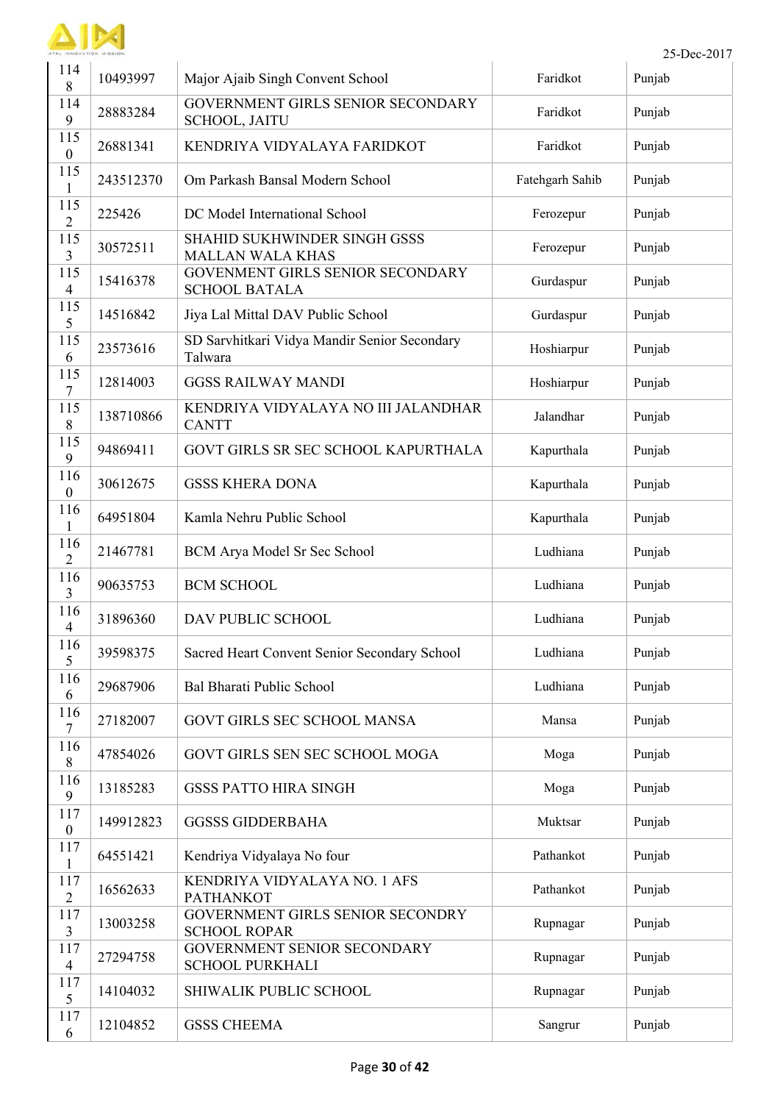

 $\mathbf{I}$ 

|                         | L INNOVATION MISSION |                                                           |                 | 25-Dec-2017 |
|-------------------------|----------------------|-----------------------------------------------------------|-----------------|-------------|
| 114<br>8                | 10493997             | Major Ajaib Singh Convent School                          | Faridkot        | Punjab      |
| 114<br>9                | 28883284             | <b>GOVERNMENT GIRLS SENIOR SECONDARY</b><br>SCHOOL, JAITU | Faridkot        | Punjab      |
| 115<br>$\boldsymbol{0}$ | 26881341             | KENDRIYA VIDYALAYA FARIDKOT                               | Faridkot        | Punjab      |
| 115<br>1                | 243512370            | Om Parkash Bansal Modern School                           | Fatehgarh Sahib | Punjab      |
| 115<br>$\overline{2}$   | 225426               | DC Model International School                             | Ferozepur       | Punjab      |
| 115<br>3                | 30572511             | SHAHID SUKHWINDER SINGH GSSS<br><b>MALLAN WALA KHAS</b>   | Ferozepur       | Punjab      |
| 115<br>$\overline{4}$   | 15416378             | GOVENMENT GIRLS SENIOR SECONDARY<br><b>SCHOOL BATALA</b>  | Gurdaspur       | Punjab      |
| 115<br>5                | 14516842             | Jiya Lal Mittal DAV Public School                         | Gurdaspur       | Punjab      |
| 115<br>6                | 23573616             | SD Sarvhitkari Vidya Mandir Senior Secondary<br>Talwara   | Hoshiarpur      | Punjab      |
| 115<br>7                | 12814003             | <b>GGSS RAILWAY MANDI</b>                                 | Hoshiarpur      | Punjab      |
| 115<br>8                | 138710866            | KENDRIYA VIDYALAYA NO III JALANDHAR<br><b>CANTT</b>       | Jalandhar       | Punjab      |
| 115<br>9                | 94869411             | GOVT GIRLS SR SEC SCHOOL KAPURTHALA                       | Kapurthala      | Punjab      |
| 116<br>$\boldsymbol{0}$ | 30612675             | <b>GSSS KHERA DONA</b>                                    | Kapurthala      | Punjab      |
| 116<br>$\mathbf{1}$     | 64951804             | Kamla Nehru Public School                                 | Kapurthala      | Punjab      |
| 116<br>$\overline{2}$   | 21467781             | BCM Arya Model Sr Sec School                              | Ludhiana        | Punjab      |
| 116<br>$\overline{3}$   | 90635753             | <b>BCM SCHOOL</b>                                         | Ludhiana        | Punjab      |
| 116<br>4                | 31896360             | DAV PUBLIC SCHOOL                                         | Ludhiana        | Punjab      |
| 116<br>5                | 39598375             | Sacred Heart Convent Senior Secondary School              | Ludhiana        | Punjab      |
| 116<br>6                | 29687906             | Bal Bharati Public School                                 | Ludhiana        | Punjab      |
| 116<br>7                | 27182007             | <b>GOVT GIRLS SEC SCHOOL MANSA</b>                        | Mansa           | Punjab      |
| 116<br>8                | 47854026             | GOVT GIRLS SEN SEC SCHOOL MOGA                            | Moga            | Punjab      |
| 116<br>9                | 13185283             | <b>GSSS PATTO HIRA SINGH</b>                              | Moga            | Punjab      |
| 117<br>$\boldsymbol{0}$ | 149912823            | <b>GGSSS GIDDERBAHA</b>                                   | Muktsar         | Punjab      |
| 117<br>$\mathbf{1}$     | 64551421             | Kendriya Vidyalaya No four                                | Pathankot       | Punjab      |
| 117<br>$\overline{2}$   | 16562633             | KENDRIYA VIDYALAYA NO. 1 AFS<br><b>PATHANKOT</b>          | Pathankot       | Punjab      |
| 117<br>3                | 13003258             | GOVERNMENT GIRLS SENIOR SECONDRY<br><b>SCHOOL ROPAR</b>   | Rupnagar        | Punjab      |
| 117<br>$\overline{4}$   | 27294758             | GOVERNMENT SENIOR SECONDARY<br><b>SCHOOL PURKHALI</b>     | Rupnagar        | Punjab      |
| 117<br>5                | 14104032             | SHIWALIK PUBLIC SCHOOL                                    | Rupnagar        | Punjab      |
| 117<br>6                | 12104852             | <b>GSSS CHEEMA</b>                                        | Sangrur         | Punjab      |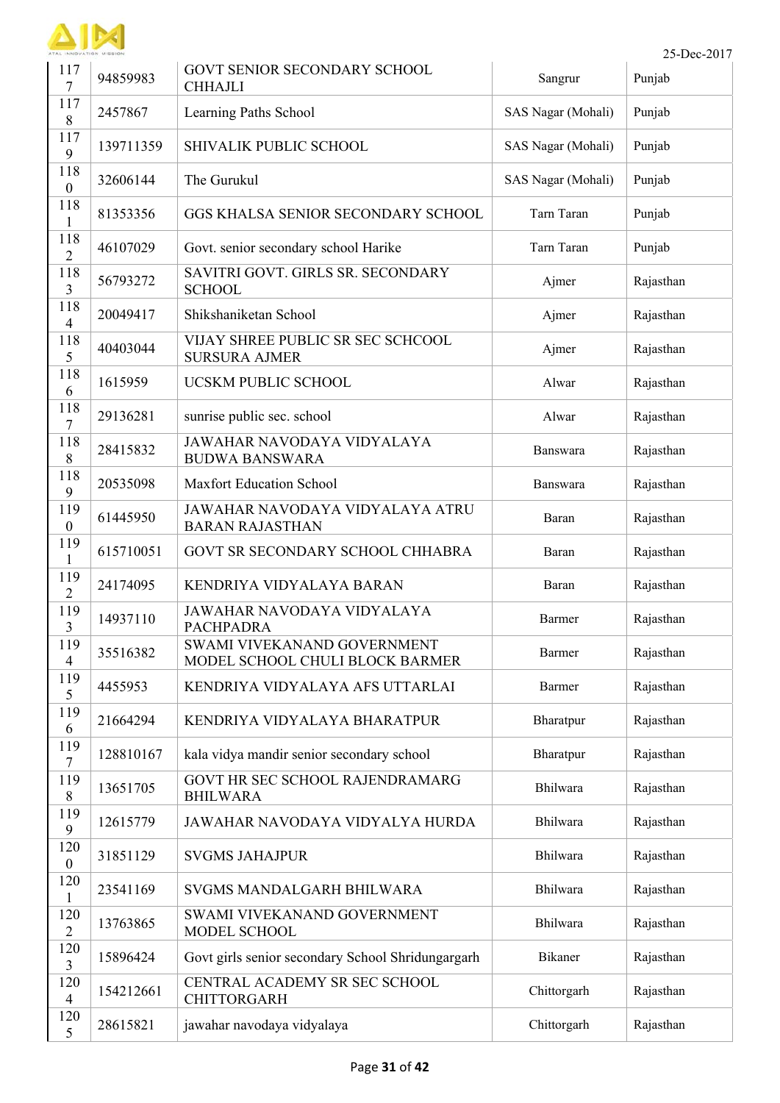

| 117<br>7                | 94859983  | GOVT SENIOR SECONDARY SCHOOL<br><b>CHHAJLI</b>                 | Sangrur            | Punjab    |
|-------------------------|-----------|----------------------------------------------------------------|--------------------|-----------|
| 117<br>8                | 2457867   | Learning Paths School                                          | SAS Nagar (Mohali) | Punjab    |
| 117<br>9                | 139711359 | SHIVALIK PUBLIC SCHOOL                                         | SAS Nagar (Mohali) | Punjab    |
| 118<br>$\boldsymbol{0}$ | 32606144  | The Gurukul                                                    | SAS Nagar (Mohali) | Punjab    |
| 118<br>$\mathbf{1}$     | 81353356  | GGS KHALSA SENIOR SECONDARY SCHOOL                             | Tarn Taran         | Punjab    |
| 118<br>$\overline{2}$   | 46107029  | Govt. senior secondary school Harike                           | Tarn Taran         | Punjab    |
| 118<br>3                | 56793272  | SAVITRI GOVT. GIRLS SR. SECONDARY<br><b>SCHOOL</b>             | Ajmer              | Rajasthan |
| 118<br>$\overline{4}$   | 20049417  | Shikshaniketan School                                          | Ajmer              | Rajasthan |
| 118<br>5                | 40403044  | VIJAY SHREE PUBLIC SR SEC SCHCOOL<br><b>SURSURA AJMER</b>      | Ajmer              | Rajasthan |
| 118<br>6                | 1615959   | UCSKM PUBLIC SCHOOL                                            | Alwar              | Rajasthan |
| 118<br>7                | 29136281  | sunrise public sec. school                                     | Alwar              | Rajasthan |
| 118<br>8                | 28415832  | JAWAHAR NAVODAYA VIDYALAYA<br><b>BUDWA BANSWARA</b>            | Banswara           | Rajasthan |
| 118<br>9                | 20535098  | <b>Maxfort Education School</b>                                | Banswara           | Rajasthan |
| 119<br>$\boldsymbol{0}$ | 61445950  | JAWAHAR NAVODAYA VIDYALAYA ATRU<br><b>BARAN RAJASTHAN</b>      | Baran              | Rajasthan |
| 119<br>$\mathbf{1}$     | 615710051 | GOVT SR SECONDARY SCHOOL CHHABRA                               | Baran              | Rajasthan |
| 119<br>$\overline{2}$   | 24174095  | KENDRIYA VIDYALAYA BARAN                                       | Baran              | Rajasthan |
| 119<br>3                | 14937110  | JAWAHAR NAVODAYA VIDYALAYA<br><b>PACHPADRA</b>                 | Barmer             | Rajasthan |
| 119<br>$\overline{4}$   | 35516382  | SWAMI VIVEKANAND GOVERNMENT<br>MODEL SCHOOL CHULI BLOCK BARMER | Barmer             | Rajasthan |
| 119<br>5                | 4455953   | KENDRIYA VIDYALAYA AFS UTTARLAI                                | Barmer             | Rajasthan |
| 119<br>6                | 21664294  | KENDRIYA VIDYALAYA BHARATPUR                                   | Bharatpur          | Rajasthan |
| 119<br>$\tau$           | 128810167 | kala vidya mandir senior secondary school                      | Bharatpur          | Rajasthan |
| 119<br>$\,8\,$          | 13651705  | GOVT HR SEC SCHOOL RAJENDRAMARG<br><b>BHILWARA</b>             | Bhilwara           | Rajasthan |
| 119<br>9                | 12615779  | JAWAHAR NAVODAYA VIDYALYA HURDA                                | Bhilwara           | Rajasthan |
| 120<br>$\boldsymbol{0}$ | 31851129  | <b>SVGMS JAHAJPUR</b>                                          | Bhilwara           | Rajasthan |
| 120<br>$\mathbf{1}$     | 23541169  | SVGMS MANDALGARH BHILWARA                                      | Bhilwara           | Rajasthan |
| 120<br>$\overline{2}$   | 13763865  | SWAMI VIVEKANAND GOVERNMENT<br>MODEL SCHOOL                    | Bhilwara           | Rajasthan |
| 120<br>3                | 15896424  | Govt girls senior secondary School Shridungargarh              | Bikaner            | Rajasthan |
| 120<br>$\overline{4}$   | 154212661 | CENTRAL ACADEMY SR SEC SCHOOL<br><b>CHITTORGARH</b>            | Chittorgarh        | Rajasthan |
| 120<br>5                | 28615821  | jawahar navodaya vidyalaya                                     | Chittorgarh        | Rajasthan |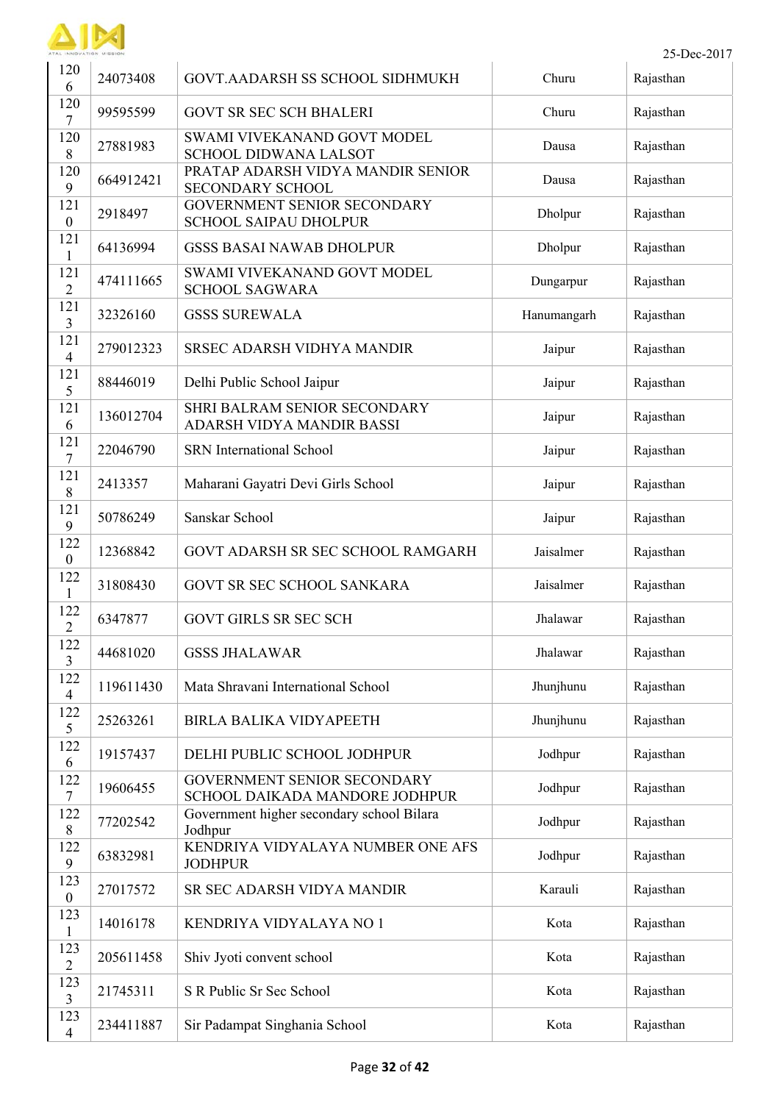

| 25-Dec-2017<br>TAL INNOVATION MISSION |           |                                                                      |             |           |
|---------------------------------------|-----------|----------------------------------------------------------------------|-------------|-----------|
| 120<br>6                              | 24073408  | <b>GOVT.AADARSH SS SCHOOL SIDHMUKH</b>                               | Churu       | Rajasthan |
| 120<br>7                              | 99595599  | <b>GOVT SR SEC SCH BHALERI</b>                                       | Churu       | Rajasthan |
| 120<br>8                              | 27881983  | SWAMI VIVEKANAND GOVT MODEL<br>SCHOOL DIDWANA LALSOT                 | Dausa       | Rajasthan |
| 120<br>9                              | 664912421 | PRATAP ADARSH VIDYA MANDIR SENIOR<br><b>SECONDARY SCHOOL</b>         | Dausa       | Rajasthan |
| 121<br>$\boldsymbol{0}$               | 2918497   | <b>GOVERNMENT SENIOR SECONDARY</b><br><b>SCHOOL SAIPAU DHOLPUR</b>   | Dholpur     | Rajasthan |
| 121<br>1                              | 64136994  | <b>GSSS BASAI NAWAB DHOLPUR</b>                                      | Dholpur     | Rajasthan |
| 121<br>$\overline{2}$                 | 474111665 | SWAMI VIVEKANAND GOVT MODEL<br><b>SCHOOL SAGWARA</b>                 | Dungarpur   | Rajasthan |
| 121<br>3                              | 32326160  | <b>GSSS SUREWALA</b>                                                 | Hanumangarh | Rajasthan |
| 121<br>$\overline{\mathcal{A}}$       | 279012323 | <b>SRSEC ADARSH VIDHYA MANDIR</b>                                    | Jaipur      | Rajasthan |
| 121<br>5                              | 88446019  | Delhi Public School Jaipur                                           | Jaipur      | Rajasthan |
| 121<br>6                              | 136012704 | SHRI BALRAM SENIOR SECONDARY<br>ADARSH VIDYA MANDIR BASSI            | Jaipur      | Rajasthan |
| 121<br>7                              | 22046790  | <b>SRN</b> International School                                      | Jaipur      | Rajasthan |
| 121<br>8                              | 2413357   | Maharani Gayatri Devi Girls School                                   | Jaipur      | Rajasthan |
| 121<br>9                              | 50786249  | Sanskar School                                                       | Jaipur      | Rajasthan |
| 122<br>$\boldsymbol{0}$               | 12368842  | GOVT ADARSH SR SEC SCHOOL RAMGARH                                    | Jaisalmer   | Rajasthan |
| 122<br>1                              | 31808430  | GOVT SR SEC SCHOOL SANKARA                                           | Jaisalmer   | Rajasthan |
| 122<br>$\boldsymbol{2}$               | 6347877   | <b>GOVT GIRLS SR SEC SCH</b>                                         | Jhalawar    | Rajasthan |
| 122<br>$\overline{3}$                 | 44681020  | <b>GSSS JHALAWAR</b>                                                 | Jhalawar    | Rajasthan |
| 122<br>$\overline{4}$                 | 119611430 | Mata Shravani International School                                   | Jhunjhunu   | Rajasthan |
| 122<br>5                              | 25263261  | BIRLA BALIKA VIDYAPEETH                                              | Jhunjhunu   | Rajasthan |
| 122<br>6                              | 19157437  | DELHI PUBLIC SCHOOL JODHPUR                                          | Jodhpur     | Rajasthan |
| 122<br>$\tau$                         | 19606455  | <b>GOVERNMENT SENIOR SECONDARY</b><br>SCHOOL DAIKADA MANDORE JODHPUR | Jodhpur     | Rajasthan |
| 122<br>8                              | 77202542  | Government higher secondary school Bilara<br>Jodhpur                 | Jodhpur     | Rajasthan |
| 122<br>9                              | 63832981  | KENDRIYA VIDYALAYA NUMBER ONE AFS<br><b>JODHPUR</b>                  | Jodhpur     | Rajasthan |
| 123<br>$\boldsymbol{0}$               | 27017572  | SR SEC ADARSH VIDYA MANDIR                                           | Karauli     | Rajasthan |
| 123<br>$\mathbf{1}$                   | 14016178  | KENDRIYA VIDYALAYA NO 1                                              | Kota        | Rajasthan |
| 123<br>$\overline{2}$                 | 205611458 | Shiv Jyoti convent school                                            | Kota        | Rajasthan |
| 123<br>$\overline{3}$                 | 21745311  | S R Public Sr Sec School                                             | Kota        | Rajasthan |
| 123<br>$\overline{4}$                 | 234411887 | Sir Padampat Singhania School                                        | Kota        | Rajasthan |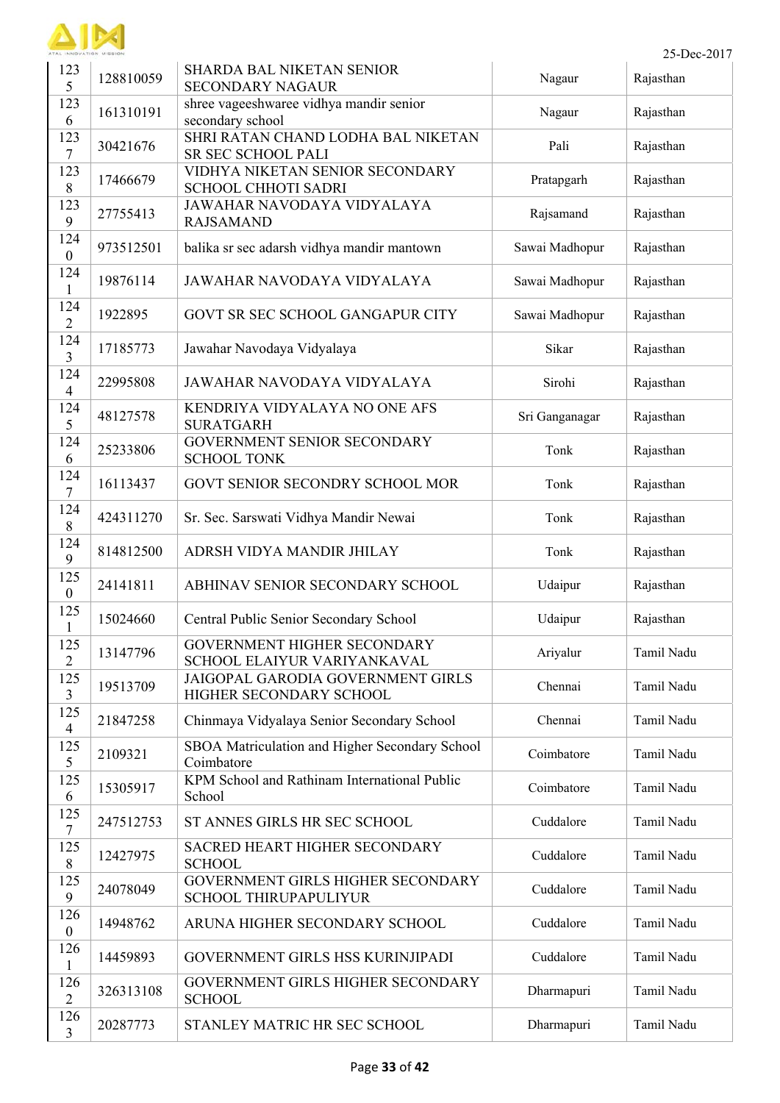

| 123<br>5                | 128810059 | SHARDA BAL NIKETAN SENIOR<br><b>SECONDARY NAGAUR</b>              | Nagaur         | Rajasthan  |
|-------------------------|-----------|-------------------------------------------------------------------|----------------|------------|
| 123<br>6                | 161310191 | shree vageeshwaree vidhya mandir senior<br>secondary school       | Nagaur         | Rajasthan  |
| 123<br>7                | 30421676  | SHRI RATAN CHAND LODHA BAL NIKETAN<br>SR SEC SCHOOL PALI          | Pali           | Rajasthan  |
| 123<br>8                | 17466679  | VIDHYA NIKETAN SENIOR SECONDARY<br><b>SCHOOL CHHOTI SADRI</b>     | Pratapgarh     | Rajasthan  |
| 123<br>9                | 27755413  | JAWAHAR NAVODAYA VIDYALAYA<br><b>RAJSAMAND</b>                    | Rajsamand      | Rajasthan  |
| 124<br>$\boldsymbol{0}$ | 973512501 | balika sr sec adarsh vidhya mandir mantown                        | Sawai Madhopur | Rajasthan  |
| 124<br>$\mathbf{1}$     | 19876114  | JAWAHAR NAVODAYA VIDYALAYA                                        | Sawai Madhopur | Rajasthan  |
| 124<br>$\overline{2}$   | 1922895   | GOVT SR SEC SCHOOL GANGAPUR CITY                                  | Sawai Madhopur | Rajasthan  |
| 124<br>3                | 17185773  | Jawahar Navodaya Vidyalaya                                        | Sikar          | Rajasthan  |
| 124<br>$\overline{4}$   | 22995808  | JAWAHAR NAVODAYA VIDYALAYA                                        | Sirohi         | Rajasthan  |
| 124<br>5                | 48127578  | KENDRIYA VIDYALAYA NO ONE AFS<br><b>SURATGARH</b>                 | Sri Ganganagar | Rajasthan  |
| 124<br>6                | 25233806  | GOVERNMENT SENIOR SECONDARY<br><b>SCHOOL TONK</b>                 | Tonk           | Rajasthan  |
| 124<br>7                | 16113437  | GOVT SENIOR SECONDRY SCHOOL MOR                                   | Tonk           | Rajasthan  |
| 124<br>8                | 424311270 | Sr. Sec. Sarswati Vidhya Mandir Newai                             | Tonk           | Rajasthan  |
| 124<br>9                | 814812500 | ADRSH VIDYA MANDIR JHILAY                                         | Tonk           | Rajasthan  |
| 125<br>$\overline{0}$   | 24141811  | ABHINAV SENIOR SECONDARY SCHOOL                                   | Udaipur        | Rajasthan  |
| 125<br>1                | 15024660  | Central Public Senior Secondary School                            | Udaipur        | Rajasthan  |
| 125<br>$\overline{2}$   | 13147796  | GOVERNMENT HIGHER SECONDARY<br>SCHOOL ELAIYUR VARIYANKAVAL        | Ariyalur       | Tamil Nadu |
| 125<br>3                | 19513709  | JAIGOPAL GARODIA GOVERNMENT GIRLS<br>HIGHER SECONDARY SCHOOL      | Chennai        | Tamil Nadu |
| 125<br>$\overline{4}$   | 21847258  | Chinmaya Vidyalaya Senior Secondary School                        | Chennai        | Tamil Nadu |
| 125<br>5                | 2109321   | SBOA Matriculation and Higher Secondary School<br>Coimbatore      | Coimbatore     | Tamil Nadu |
| 125<br>6                | 15305917  | KPM School and Rathinam International Public<br>School            | Coimbatore     | Tamil Nadu |
| 125<br>7                | 247512753 | ST ANNES GIRLS HR SEC SCHOOL                                      | Cuddalore      | Tamil Nadu |
| 125<br>8                | 12427975  | SACRED HEART HIGHER SECONDARY<br><b>SCHOOL</b>                    | Cuddalore      | Tamil Nadu |
| 125<br>9                | 24078049  | GOVERNMENT GIRLS HIGHER SECONDARY<br><b>SCHOOL THIRUPAPULIYUR</b> | Cuddalore      | Tamil Nadu |
| 126<br>$\boldsymbol{0}$ | 14948762  | ARUNA HIGHER SECONDARY SCHOOL                                     | Cuddalore      | Tamil Nadu |
| 126<br>$\mathbf{1}$     | 14459893  | GOVERNMENT GIRLS HSS KURINJIPADI                                  | Cuddalore      | Tamil Nadu |
| 126<br>$\overline{2}$   | 326313108 | GOVERNMENT GIRLS HIGHER SECONDARY<br><b>SCHOOL</b>                | Dharmapuri     | Tamil Nadu |
| 126<br>3                | 20287773  | STANLEY MATRIC HR SEC SCHOOL                                      | Dharmapuri     | Tamil Nadu |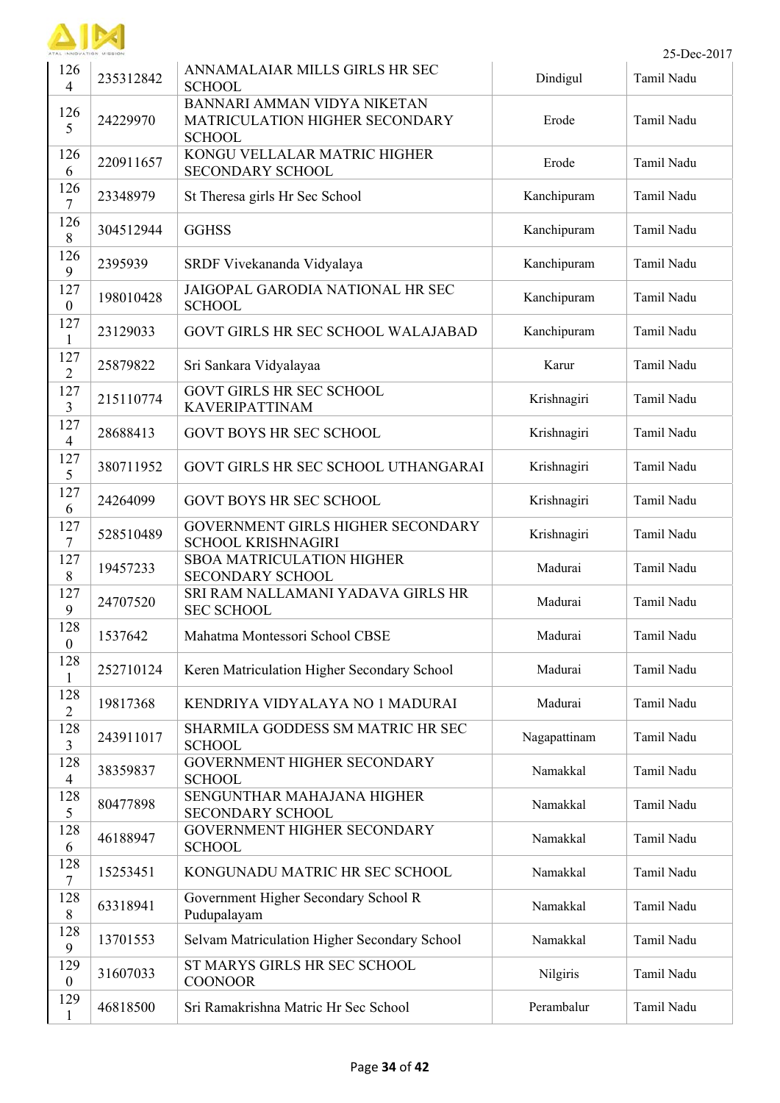

|                         | 25-Dec-2017 |                                                                                |              |            |  |
|-------------------------|-------------|--------------------------------------------------------------------------------|--------------|------------|--|
| 126<br>$\overline{4}$   | 235312842   | ANNAMALAIAR MILLS GIRLS HR SEC<br><b>SCHOOL</b>                                | Dindigul     | Tamil Nadu |  |
| 126<br>5                | 24229970    | BANNARI AMMAN VIDYA NIKETAN<br>MATRICULATION HIGHER SECONDARY<br><b>SCHOOL</b> | Erode        | Tamil Nadu |  |
| 126<br>6                | 220911657   | KONGU VELLALAR MATRIC HIGHER<br><b>SECONDARY SCHOOL</b>                        | Erode        | Tamil Nadu |  |
| 126<br>7                | 23348979    | St Theresa girls Hr Sec School                                                 | Kanchipuram  | Tamil Nadu |  |
| 126<br>$8\,$            | 304512944   | <b>GGHSS</b>                                                                   | Kanchipuram  | Tamil Nadu |  |
| 126<br>9                | 2395939     | SRDF Vivekananda Vidyalaya                                                     | Kanchipuram  | Tamil Nadu |  |
| 127<br>$\mathbf{0}$     | 198010428   | JAIGOPAL GARODIA NATIONAL HR SEC<br><b>SCHOOL</b>                              | Kanchipuram  | Tamil Nadu |  |
| 127<br>$\mathbf{1}$     | 23129033    | GOVT GIRLS HR SEC SCHOOL WALAJABAD                                             | Kanchipuram  | Tamil Nadu |  |
| 127<br>$\overline{2}$   | 25879822    | Sri Sankara Vidyalayaa                                                         | Karur        | Tamil Nadu |  |
| 127<br>$\overline{3}$   | 215110774   | <b>GOVT GIRLS HR SEC SCHOOL</b><br><b>KAVERIPATTINAM</b>                       | Krishnagiri  | Tamil Nadu |  |
| 127<br>$\overline{4}$   | 28688413    | <b>GOVT BOYS HR SEC SCHOOL</b>                                                 | Krishnagiri  | Tamil Nadu |  |
| 127<br>5                | 380711952   | GOVT GIRLS HR SEC SCHOOL UTHANGARAI                                            | Krishnagiri  | Tamil Nadu |  |
| 127<br>6                | 24264099    | <b>GOVT BOYS HR SEC SCHOOL</b>                                                 | Krishnagiri  | Tamil Nadu |  |
| 127<br>7                | 528510489   | GOVERNMENT GIRLS HIGHER SECONDARY<br><b>SCHOOL KRISHNAGIRI</b>                 | Krishnagiri  | Tamil Nadu |  |
| 127<br>8                | 19457233    | <b>SBOA MATRICULATION HIGHER</b><br>SECONDARY SCHOOL                           | Madurai      | Tamil Nadu |  |
| 127<br>9                | 24707520    | SRI RAM NALLAMANI YADAVA GIRLS HR<br><b>SEC SCHOOL</b>                         | Madurai      | Tamil Nadu |  |
| 128<br>$\mathbf{0}$     | 1537642     | Mahatma Montessori School CBSE                                                 | Madurai      | Tamil Nadu |  |
| 128<br>$\mathbf{1}$     | 252710124   | Keren Matriculation Higher Secondary School                                    | Madurai      | Tamil Nadu |  |
| 128<br>$\overline{2}$   | 19817368    | KENDRIYA VIDYALAYA NO 1 MADURAI                                                | Madurai      | Tamil Nadu |  |
| 128<br>$\overline{3}$   | 243911017   | SHARMILA GODDESS SM MATRIC HR SEC<br><b>SCHOOL</b>                             | Nagapattinam | Tamil Nadu |  |
| 128<br>$\overline{4}$   | 38359837    | GOVERNMENT HIGHER SECONDARY<br><b>SCHOOL</b>                                   | Namakkal     | Tamil Nadu |  |
| 128<br>5                | 80477898    | SENGUNTHAR MAHAJANA HIGHER<br><b>SECONDARY SCHOOL</b>                          | Namakkal     | Tamil Nadu |  |
| 128<br>6                | 46188947    | GOVERNMENT HIGHER SECONDARY<br><b>SCHOOL</b>                                   | Namakkal     | Tamil Nadu |  |
| 128<br>$\tau$           | 15253451    | KONGUNADU MATRIC HR SEC SCHOOL                                                 | Namakkal     | Tamil Nadu |  |
| 128<br>$8\,$            | 63318941    | Government Higher Secondary School R<br>Pudupalayam                            | Namakkal     | Tamil Nadu |  |
| 128<br>9                | 13701553    | Selvam Matriculation Higher Secondary School                                   | Namakkal     | Tamil Nadu |  |
| 129<br>$\boldsymbol{0}$ | 31607033    | ST MARYS GIRLS HR SEC SCHOOL<br><b>COONOOR</b>                                 | Nilgiris     | Tamil Nadu |  |
| 129<br>$\mathbf{1}$     | 46818500    | Sri Ramakrishna Matric Hr Sec School                                           | Perambalur   | Tamil Nadu |  |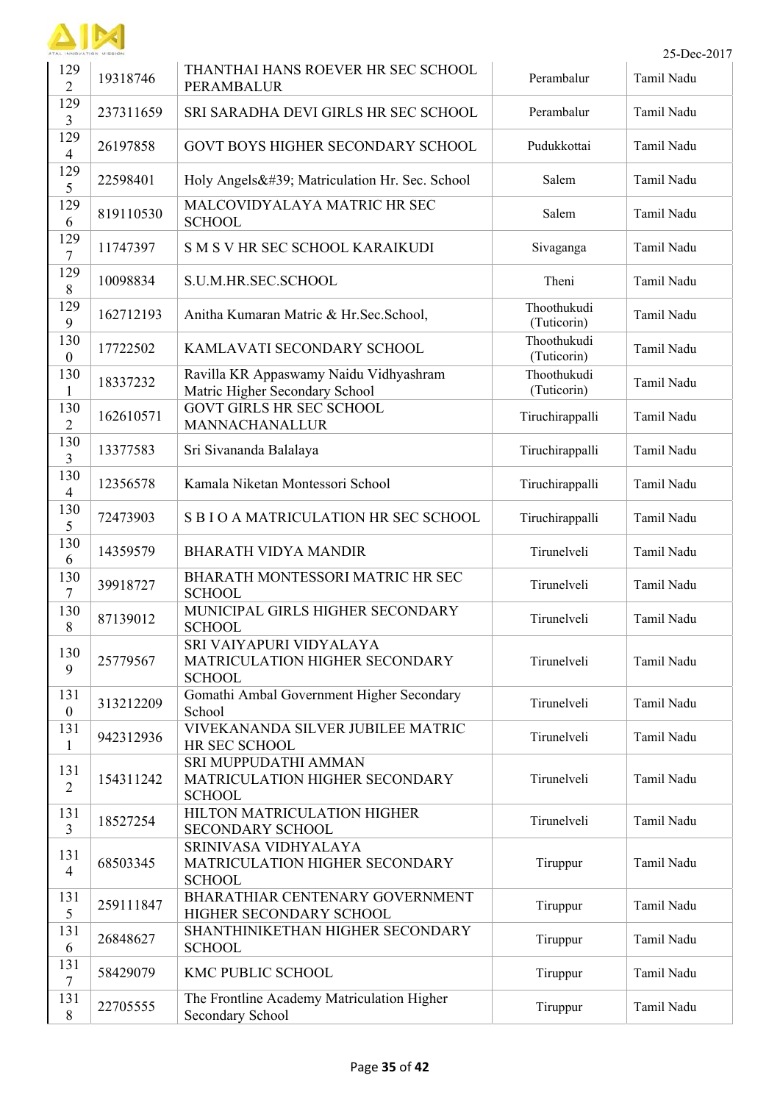

|                         | ATAL INNOVATION MISSION<br>25-Dec-2017 |                                                                            |                            |            |  |  |
|-------------------------|----------------------------------------|----------------------------------------------------------------------------|----------------------------|------------|--|--|
| 129<br>$\overline{2}$   | 19318746                               | THANTHAI HANS ROEVER HR SEC SCHOOL<br>PERAMBALUR                           | Perambalur                 | Tamil Nadu |  |  |
| 129<br>3                | 237311659                              | SRI SARADHA DEVI GIRLS HR SEC SCHOOL                                       | Perambalur                 | Tamil Nadu |  |  |
| 129<br>$\overline{4}$   | 26197858                               | GOVT BOYS HIGHER SECONDARY SCHOOL                                          | Pudukkottai                | Tamil Nadu |  |  |
| 129<br>5                | 22598401                               | Holy Angels' Matriculation Hr. Sec. School                                 | Salem                      | Tamil Nadu |  |  |
| 129<br>6                | 819110530                              | MALCOVIDYALAYA MATRIC HR SEC<br><b>SCHOOL</b>                              | Salem                      | Tamil Nadu |  |  |
| 129<br>$\overline{7}$   | 11747397                               | S M S V HR SEC SCHOOL KARAIKUDI                                            | Sivaganga                  | Tamil Nadu |  |  |
| 129<br>8                | 10098834                               | S.U.M.HR.SEC.SCHOOL                                                        | Theni                      | Tamil Nadu |  |  |
| 129<br>9                | 162712193                              | Anitha Kumaran Matric & Hr.Sec.School,                                     | Thoothukudi<br>(Tuticorin) | Tamil Nadu |  |  |
| 130<br>$\boldsymbol{0}$ | 17722502                               | KAMLAVATI SECONDARY SCHOOL                                                 | Thoothukudi<br>(Tuticorin) | Tamil Nadu |  |  |
| 130<br>1                | 18337232                               | Ravilla KR Appaswamy Naidu Vidhyashram<br>Matric Higher Secondary School   | Thoothukudi<br>(Tuticorin) | Tamil Nadu |  |  |
| 130<br>$\overline{2}$   | 162610571                              | <b>GOVT GIRLS HR SEC SCHOOL</b><br>MANNACHANALLUR                          | Tiruchirappalli            | Tamil Nadu |  |  |
| 130<br>3                | 13377583                               | Sri Sivananda Balalaya                                                     | Tiruchirappalli            | Tamil Nadu |  |  |
| 130<br>$\overline{4}$   | 12356578                               | Kamala Niketan Montessori School                                           | Tiruchirappalli            | Tamil Nadu |  |  |
| 130<br>5                | 72473903                               | S B I O A MATRICULATION HR SEC SCHOOL                                      | Tiruchirappalli            | Tamil Nadu |  |  |
| 130<br>6                | 14359579                               | <b>BHARATH VIDYA MANDIR</b>                                                | Tirunelveli                | Tamil Nadu |  |  |
| 130<br>$\overline{7}$   | 39918727                               | BHARATH MONTESSORI MATRIC HR SEC<br><b>SCHOOL</b>                          | Tirunelveli                | Tamil Nadu |  |  |
| 130<br>$8\,$            | 87139012                               | MUNICIPAL GIRLS HIGHER SECONDARY<br><b>SCHOOL</b>                          | Tirunelveli                | Tamil Nadu |  |  |
| 130<br>9                | 25779567                               | SRI VAIYAPURI VIDYALAYA<br>MATRICULATION HIGHER SECONDARY<br><b>SCHOOL</b> | Tirunelveli                | Tamil Nadu |  |  |
| 131<br>$\boldsymbol{0}$ | 313212209                              | Gomathi Ambal Government Higher Secondary<br>School                        | Tirunelveli                | Tamil Nadu |  |  |
| 131<br>$\mathbf{1}$     | 942312936                              | VIVEKANANDA SILVER JUBILEE MATRIC<br>HR SEC SCHOOL                         | Tirunelveli                | Tamil Nadu |  |  |
| 131<br>$\overline{2}$   | 154311242                              | SRI MUPPUDATHI AMMAN<br>MATRICULATION HIGHER SECONDARY<br><b>SCHOOL</b>    | Tirunelveli                | Tamil Nadu |  |  |
| 131<br>$\overline{3}$   | 18527254                               | HILTON MATRICULATION HIGHER<br>SECONDARY SCHOOL                            | Tirunelveli                | Tamil Nadu |  |  |
| 131<br>$\overline{4}$   | 68503345                               | SRINIVASA VIDHYALAYA<br>MATRICULATION HIGHER SECONDARY<br><b>SCHOOL</b>    | Tiruppur                   | Tamil Nadu |  |  |
| 131<br>5                | 259111847                              | BHARATHIAR CENTENARY GOVERNMENT<br>HIGHER SECONDARY SCHOOL                 | Tiruppur                   | Tamil Nadu |  |  |
| 131<br>6                | 26848627                               | SHANTHINIKETHAN HIGHER SECONDARY<br><b>SCHOOL</b>                          | Tiruppur                   | Tamil Nadu |  |  |
| 131<br>$\tau$           | 58429079                               | KMC PUBLIC SCHOOL                                                          | Tiruppur                   | Tamil Nadu |  |  |
| 131<br>8                | 22705555                               | The Frontline Academy Matriculation Higher<br>Secondary School             | Tiruppur                   | Tamil Nadu |  |  |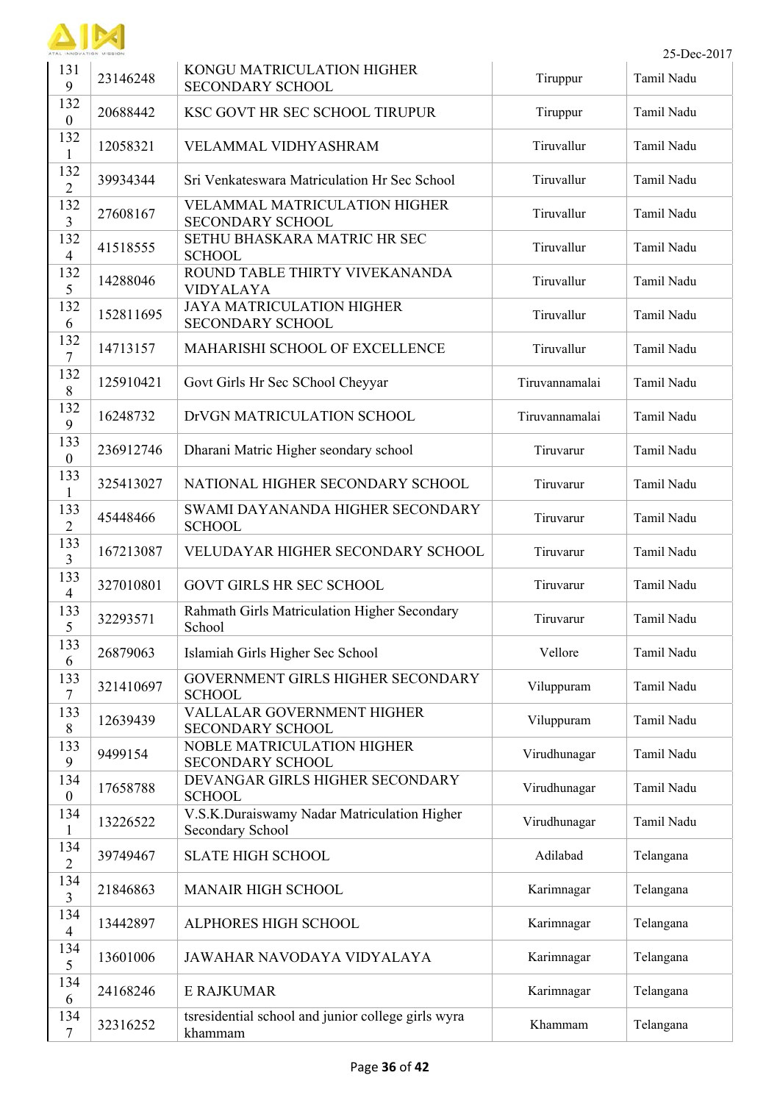

| 131<br>9                | 23146248  | KONGU MATRICULATION HIGHER<br><b>SECONDARY SCHOOL</b>           | Tiruppur       | Tamil Nadu |
|-------------------------|-----------|-----------------------------------------------------------------|----------------|------------|
| 132<br>$\mathbf{0}$     | 20688442  | KSC GOVT HR SEC SCHOOL TIRUPUR                                  | Tiruppur       | Tamil Nadu |
| 132<br>1                | 12058321  | VELAMMAL VIDHYASHRAM                                            | Tiruvallur     | Tamil Nadu |
| 132<br>$\overline{2}$   | 39934344  | Sri Venkateswara Matriculation Hr Sec School                    | Tiruvallur     | Tamil Nadu |
| 132<br>$\overline{3}$   | 27608167  | <b>VELAMMAL MATRICULATION HIGHER</b><br><b>SECONDARY SCHOOL</b> | Tiruvallur     | Tamil Nadu |
| 132<br>$\overline{4}$   | 41518555  | SETHU BHASKARA MATRIC HR SEC<br><b>SCHOOL</b>                   | Tiruvallur     | Tamil Nadu |
| 132<br>5                | 14288046  | ROUND TABLE THIRTY VIVEKANANDA<br><b>VIDYALAYA</b>              | Tiruvallur     | Tamil Nadu |
| 132<br>6                | 152811695 | <b>JAYA MATRICULATION HIGHER</b><br><b>SECONDARY SCHOOL</b>     | Tiruvallur     | Tamil Nadu |
| 132<br>$\overline{7}$   | 14713157  | MAHARISHI SCHOOL OF EXCELLENCE                                  | Tiruvallur     | Tamil Nadu |
| 132<br>$\,8\,$          | 125910421 | Govt Girls Hr Sec SChool Cheyyar                                | Tiruvannamalai | Tamil Nadu |
| 132<br>9                | 16248732  | DrVGN MATRICULATION SCHOOL                                      | Tiruvannamalai | Tamil Nadu |
| 133<br>$\boldsymbol{0}$ | 236912746 | Dharani Matric Higher seondary school                           | Tiruvarur      | Tamil Nadu |
| 133<br>1                | 325413027 | NATIONAL HIGHER SECONDARY SCHOOL                                | Tiruvarur      | Tamil Nadu |
| 133<br>$\overline{2}$   | 45448466  | SWAMI DAYANANDA HIGHER SECONDARY<br><b>SCHOOL</b>               | Tiruvarur      | Tamil Nadu |
| 133<br>3                | 167213087 | VELUDAYAR HIGHER SECONDARY SCHOOL                               | Tiruvarur      | Tamil Nadu |
| 133<br>$\overline{4}$   | 327010801 | <b>GOVT GIRLS HR SEC SCHOOL</b>                                 | Tiruvarur      | Tamil Nadu |
| 133<br>5                | 32293571  | Rahmath Girls Matriculation Higher Secondary<br>School          | Tiruvarur      | Tamil Nadu |
| 133<br>6                | 26879063  | Islamiah Girls Higher Sec School                                | Vellore        | Tamil Nadu |
| 133<br>7                | 321410697 | GOVERNMENT GIRLS HIGHER SECONDARY<br><b>SCHOOL</b>              | Viluppuram     | Tamil Nadu |
| 133<br>8                | 12639439  | VALLALAR GOVERNMENT HIGHER<br><b>SECONDARY SCHOOL</b>           | Viluppuram     | Tamil Nadu |
| 133<br>9                | 9499154   | <b>NOBLE MATRICULATION HIGHER</b><br><b>SECONDARY SCHOOL</b>    | Virudhunagar   | Tamil Nadu |
| 134<br>$\boldsymbol{0}$ | 17658788  | DEVANGAR GIRLS HIGHER SECONDARY<br><b>SCHOOL</b>                | Virudhunagar   | Tamil Nadu |
| 134<br>$\mathbf{1}$     | 13226522  | V.S.K.Duraiswamy Nadar Matriculation Higher<br>Secondary School | Virudhunagar   | Tamil Nadu |
| 134<br>$\overline{2}$   | 39749467  | <b>SLATE HIGH SCHOOL</b>                                        | Adilabad       | Telangana  |
| 134<br>3                | 21846863  | <b>MANAIR HIGH SCHOOL</b>                                       | Karimnagar     | Telangana  |
| 134<br>$\overline{4}$   | 13442897  | ALPHORES HIGH SCHOOL                                            | Karimnagar     | Telangana  |
| 134<br>5                | 13601006  | JAWAHAR NAVODAYA VIDYALAYA                                      | Karimnagar     | Telangana  |
| 134<br>6                | 24168246  | <b>E RAJKUMAR</b>                                               | Karimnagar     | Telangana  |
| 134<br>$\tau$           | 32316252  | tsresidential school and junior college girls wyra<br>khammam   | Khammam        | Telangana  |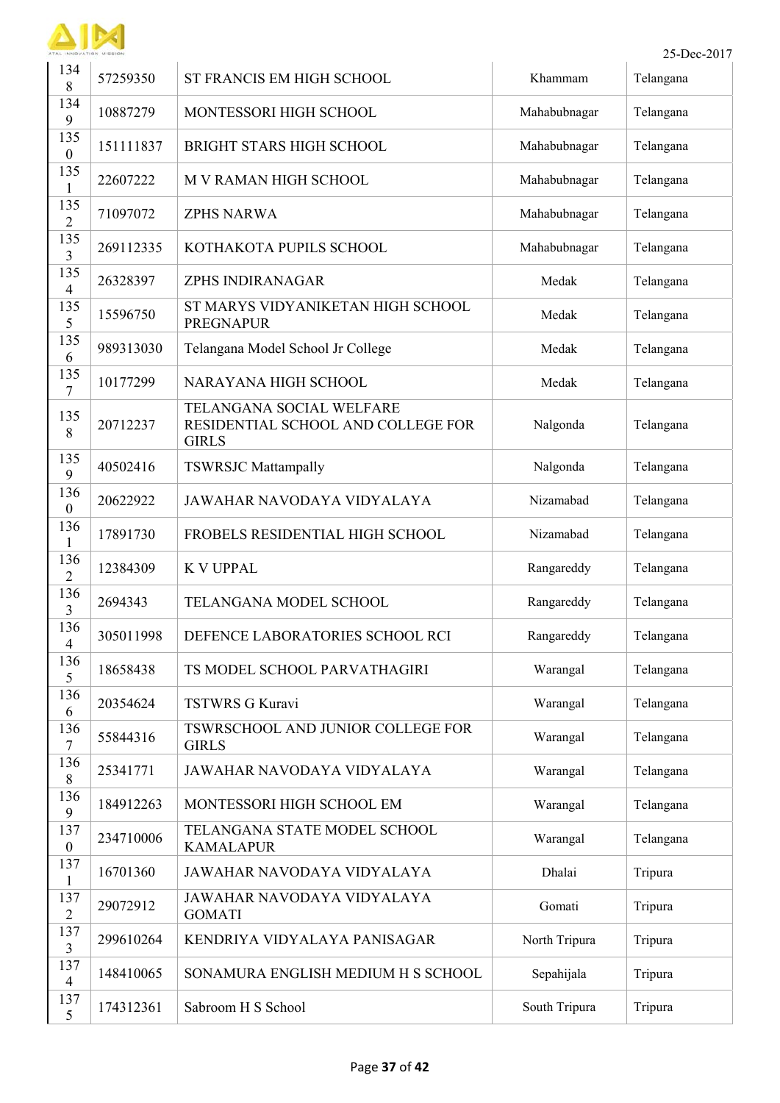

 $\blacksquare$ 

|                         | 25-Dec-2017<br>AL INNOVATION MISSION |                                                                                |               |           |  |
|-------------------------|--------------------------------------|--------------------------------------------------------------------------------|---------------|-----------|--|
| 134<br>8                | 57259350                             | ST FRANCIS EM HIGH SCHOOL                                                      | Khammam       | Telangana |  |
| 134<br>9                | 10887279                             | MONTESSORI HIGH SCHOOL                                                         | Mahabubnagar  | Telangana |  |
| 135<br>$\boldsymbol{0}$ | 151111837                            | <b>BRIGHT STARS HIGH SCHOOL</b>                                                | Mahabubnagar  | Telangana |  |
| 135<br>1                | 22607222                             | M V RAMAN HIGH SCHOOL                                                          | Mahabubnagar  | Telangana |  |
| 135<br>$\overline{2}$   | 71097072                             | <b>ZPHS NARWA</b>                                                              | Mahabubnagar  | Telangana |  |
| 135<br>3                | 269112335                            | KOTHAKOTA PUPILS SCHOOL                                                        | Mahabubnagar  | Telangana |  |
| 135<br>$\overline{4}$   | 26328397                             | ZPHS INDIRANAGAR                                                               | Medak         | Telangana |  |
| 135<br>5                | 15596750                             | ST MARYS VIDYANIKETAN HIGH SCHOOL<br><b>PREGNAPUR</b>                          | Medak         | Telangana |  |
| 135<br>6                | 989313030                            | Telangana Model School Jr College                                              | Medak         | Telangana |  |
| 135<br>$\tau$           | 10177299                             | NARAYANA HIGH SCHOOL                                                           | Medak         | Telangana |  |
| 135<br>8                | 20712237                             | TELANGANA SOCIAL WELFARE<br>RESIDENTIAL SCHOOL AND COLLEGE FOR<br><b>GIRLS</b> | Nalgonda      | Telangana |  |
| 135<br>9                | 40502416                             | <b>TSWRSJC Mattampally</b>                                                     | Nalgonda      | Telangana |  |
| 136<br>$\boldsymbol{0}$ | 20622922                             | <b>JAWAHAR NAVODAYA VIDYALAYA</b>                                              | Nizamabad     | Telangana |  |
| 136<br>1                | 17891730                             | FROBELS RESIDENTIAL HIGH SCHOOL                                                | Nizamabad     | Telangana |  |
| 136<br>$\overline{2}$   | 12384309                             | <b>K V UPPAL</b>                                                               | Rangareddy    | Telangana |  |
| 136<br>3                | 2694343                              | TELANGANA MODEL SCHOOL                                                         | Rangareddy    | Telangana |  |
| 136<br>$\overline{4}$   | 305011998                            | DEFENCE LABORATORIES SCHOOL RCI                                                | Rangareddy    | Telangana |  |
| 136<br>5                | 18658438                             | TS MODEL SCHOOL PARVATHAGIRI                                                   | Warangal      | Telangana |  |
| 136<br>6                | 20354624                             | <b>TSTWRS G Kuravi</b>                                                         | Warangal      | Telangana |  |
| 136<br>$\tau$           | 55844316                             | TSWRSCHOOL AND JUNIOR COLLEGE FOR<br><b>GIRLS</b>                              | Warangal      | Telangana |  |
| 136<br>8                | 25341771                             | JAWAHAR NAVODAYA VIDYALAYA                                                     | Warangal      | Telangana |  |
| 136<br>9                | 184912263                            | MONTESSORI HIGH SCHOOL EM                                                      | Warangal      | Telangana |  |
| 137<br>$\boldsymbol{0}$ | 234710006                            | TELANGANA STATE MODEL SCHOOL<br><b>KAMALAPUR</b>                               | Warangal      | Telangana |  |
| 137<br>1                | 16701360                             | JAWAHAR NAVODAYA VIDYALAYA                                                     | Dhalai        | Tripura   |  |
| 137<br>$\overline{2}$   | 29072912                             | JAWAHAR NAVODAYA VIDYALAYA<br><b>GOMATI</b>                                    | Gomati        | Tripura   |  |
| 137<br>$\overline{3}$   | 299610264                            | KENDRIYA VIDYALAYA PANISAGAR                                                   | North Tripura | Tripura   |  |
| 137<br>$\overline{4}$   | 148410065                            | SONAMURA ENGLISH MEDIUM H S SCHOOL                                             | Sepahijala    | Tripura   |  |
| 137<br>5                | 174312361                            | Sabroom H S School                                                             | South Tripura | Tripura   |  |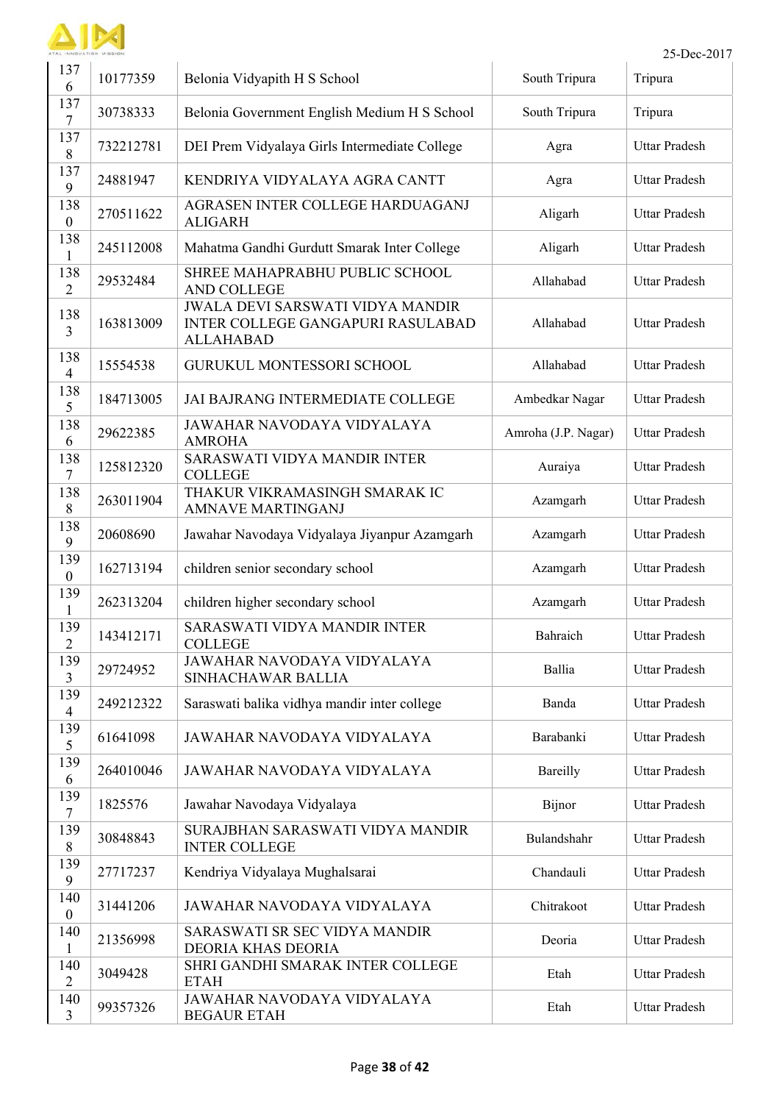

 $\blacksquare$ 

|                         | 25-Dec-2017<br>AL INNOVATION MISSION |                                                                                                  |                     |                      |  |
|-------------------------|--------------------------------------|--------------------------------------------------------------------------------------------------|---------------------|----------------------|--|
| 137<br>6                | 10177359                             | Belonia Vidyapith H S School                                                                     | South Tripura       | Tripura              |  |
| 137<br>$\tau$           | 30738333                             | Belonia Government English Medium H S School                                                     | South Tripura       | Tripura              |  |
| 137<br>$8\,$            | 732212781                            | DEI Prem Vidyalaya Girls Intermediate College                                                    | Agra                | <b>Uttar Pradesh</b> |  |
| 137<br>9                | 24881947                             | KENDRIYA VIDYALAYA AGRA CANTT                                                                    | Agra                | <b>Uttar Pradesh</b> |  |
| 138<br>$\boldsymbol{0}$ | 270511622                            | AGRASEN INTER COLLEGE HARDUAGANJ<br><b>ALIGARH</b>                                               | Aligarh             | <b>Uttar Pradesh</b> |  |
| 138<br>1                | 245112008                            | Mahatma Gandhi Gurdutt Smarak Inter College                                                      | Aligarh             | <b>Uttar Pradesh</b> |  |
| 138<br>$\overline{2}$   | 29532484                             | SHREE MAHAPRABHU PUBLIC SCHOOL<br><b>AND COLLEGE</b>                                             | Allahabad           | <b>Uttar Pradesh</b> |  |
| 138<br>$\overline{3}$   | 163813009                            | JWALA DEVI SARSWATI VIDYA MANDIR<br><b>INTER COLLEGE GANGAPURI RASULABAD</b><br><b>ALLAHABAD</b> | Allahabad           | <b>Uttar Pradesh</b> |  |
| 138<br>$\overline{4}$   | 15554538                             | <b>GURUKUL MONTESSORI SCHOOL</b>                                                                 | Allahabad           | Uttar Pradesh        |  |
| 138<br>5                | 184713005                            | JAI BAJRANG INTERMEDIATE COLLEGE                                                                 | Ambedkar Nagar      | <b>Uttar Pradesh</b> |  |
| 138<br>6                | 29622385                             | JAWAHAR NAVODAYA VIDYALAYA<br><b>AMROHA</b>                                                      | Amroha (J.P. Nagar) | Uttar Pradesh        |  |
| 138<br>$\tau$           | 125812320                            | SARASWATI VIDYA MANDIR INTER<br><b>COLLEGE</b>                                                   | Auraiya             | <b>Uttar Pradesh</b> |  |
| 138<br>8                | 263011904                            | THAKUR VIKRAMASINGH SMARAK IC<br><b>AMNAVE MARTINGANJ</b>                                        | Azamgarh            | <b>Uttar Pradesh</b> |  |
| 138<br>9                | 20608690                             | Jawahar Navodaya Vidyalaya Jiyanpur Azamgarh                                                     | Azamgarh            | <b>Uttar Pradesh</b> |  |
| 139<br>$\boldsymbol{0}$ | 162713194                            | children senior secondary school                                                                 | Azamgarh            | <b>Uttar Pradesh</b> |  |
| 139<br>1                | 262313204                            | children higher secondary school                                                                 | Azamgarh            | <b>Uttar Pradesh</b> |  |
| 139<br>$\overline{2}$   | 143412171                            | SARASWATI VIDYA MANDIR INTER<br><b>COLLEGE</b>                                                   | Bahraich            | <b>Uttar Pradesh</b> |  |
| 139<br>$\mathfrak{Z}$   | 29724952                             | <b>JAWAHAR NAVODAYA VIDYALAYA</b><br>SINHACHAWAR BALLIA                                          | Ballia              | <b>Uttar Pradesh</b> |  |
| 139<br>$\overline{4}$   | 249212322                            | Saraswati balika vidhya mandir inter college                                                     | Banda               | <b>Uttar Pradesh</b> |  |
| 139<br>5                | 61641098                             | JAWAHAR NAVODAYA VIDYALAYA                                                                       | Barabanki           | <b>Uttar Pradesh</b> |  |
| 139<br>6                | 264010046                            | JAWAHAR NAVODAYA VIDYALAYA                                                                       | Bareilly            | <b>Uttar Pradesh</b> |  |
| 139<br>$\tau$           | 1825576                              | Jawahar Navodaya Vidyalaya                                                                       | Bijnor              | Uttar Pradesh        |  |
| 139<br>8                | 30848843                             | SURAJBHAN SARASWATI VIDYA MANDIR<br><b>INTER COLLEGE</b>                                         | Bulandshahr         | <b>Uttar Pradesh</b> |  |
| 139<br>9                | 27717237                             | Kendriya Vidyalaya Mughalsarai                                                                   | Chandauli           | <b>Uttar Pradesh</b> |  |
| 140<br>$\boldsymbol{0}$ | 31441206                             | JAWAHAR NAVODAYA VIDYALAYA                                                                       | Chitrakoot          | <b>Uttar Pradesh</b> |  |
| 140<br>$\mathbf{1}$     | 21356998                             | SARASWATI SR SEC VIDYA MANDIR<br>DEORIA KHAS DEORIA                                              | Deoria              | <b>Uttar Pradesh</b> |  |
| 140<br>$\overline{2}$   | 3049428                              | SHRI GANDHI SMARAK INTER COLLEGE<br><b>ETAH</b>                                                  | Etah                | <b>Uttar Pradesh</b> |  |
| 140<br>$\overline{3}$   | 99357326                             | JAWAHAR NAVODAYA VIDYALAYA<br><b>BEGAUR ETAH</b>                                                 | Etah                | <b>Uttar Pradesh</b> |  |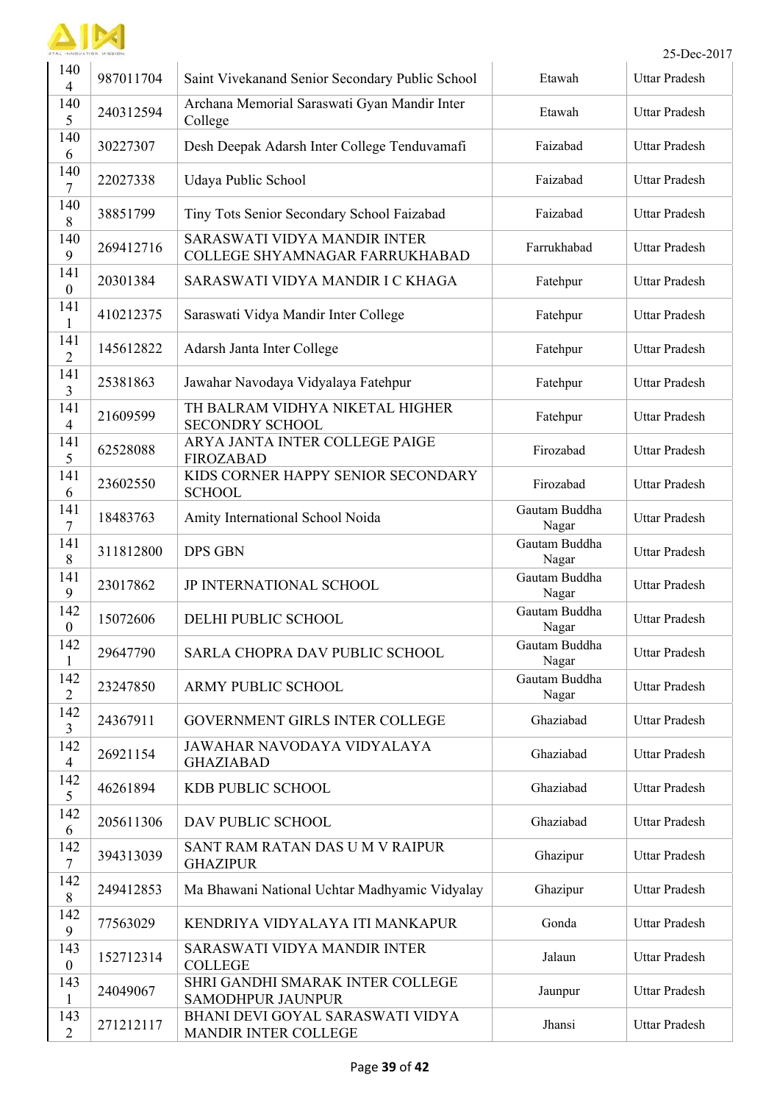

|                         |           |                                                                |                        | 25-Dec-2017          |
|-------------------------|-----------|----------------------------------------------------------------|------------------------|----------------------|
| 140<br>$\overline{4}$   | 987011704 | Saint Vivekanand Senior Secondary Public School                | Etawah                 | <b>Uttar Pradesh</b> |
| 140<br>5                | 240312594 | Archana Memorial Saraswati Gyan Mandir Inter<br>College        | Etawah                 | <b>Uttar Pradesh</b> |
| 140<br>6                | 30227307  | Desh Deepak Adarsh Inter College Tenduvamafi                   | Faizabad               | Uttar Pradesh        |
| 140<br>7                | 22027338  | Udaya Public School                                            | Faizabad               | <b>Uttar Pradesh</b> |
| 140<br>$8\,$            | 38851799  | Tiny Tots Senior Secondary School Faizabad                     | Faizabad               | Uttar Pradesh        |
| 140<br>9                | 269412716 | SARASWATI VIDYA MANDIR INTER<br>COLLEGE SHYAMNAGAR FARRUKHABAD | Farrukhabad            | Uttar Pradesh        |
| 141<br>$\boldsymbol{0}$ | 20301384  | SARASWATI VIDYA MANDIR I C KHAGA                               | Fatehpur               | <b>Uttar Pradesh</b> |
| 141<br>$\mathbf{1}$     | 410212375 | Saraswati Vidya Mandir Inter College                           | Fatehpur               | <b>Uttar Pradesh</b> |
| 141<br>$\overline{2}$   | 145612822 | Adarsh Janta Inter College                                     | Fatehpur               | <b>Uttar Pradesh</b> |
| 141<br>3                | 25381863  | Jawahar Navodaya Vidyalaya Fatehpur                            | Fatehpur               | <b>Uttar Pradesh</b> |
| 141<br>$\overline{4}$   | 21609599  | TH BALRAM VIDHYA NIKETAL HIGHER<br><b>SECONDRY SCHOOL</b>      | Fatehpur               | <b>Uttar Pradesh</b> |
| 141<br>5                | 62528088  | ARYA JANTA INTER COLLEGE PAIGE<br><b>FIROZABAD</b>             | Firozabad              | <b>Uttar Pradesh</b> |
| 141<br>6                | 23602550  | KIDS CORNER HAPPY SENIOR SECONDARY<br><b>SCHOOL</b>            | Firozabad              | <b>Uttar Pradesh</b> |
| 141<br>7                | 18483763  | Amity International School Noida                               | Gautam Buddha<br>Nagar | Uttar Pradesh        |
| 141<br>$8\,$            | 311812800 | <b>DPS GBN</b>                                                 | Gautam Buddha<br>Nagar | <b>Uttar Pradesh</b> |
| 141<br>9                | 23017862  | JP INTERNATIONAL SCHOOL                                        | Gautam Buddha<br>Nagar | <b>Uttar Pradesh</b> |
| 142<br>$\theta$         | 15072606  | DELHI PUBLIC SCHOOL                                            | Gautam Buddha<br>Nagar | Uttar Pradesh        |
| 142<br>$\mathbf{1}$     | 29647790  | SARLA CHOPRA DAV PUBLIC SCHOOL                                 | Gautam Buddha<br>Nagar | Uttar Pradesh        |
| 142<br>$\overline{2}$   | 23247850  | ARMY PUBLIC SCHOOL                                             | Gautam Buddha<br>Nagar | <b>Uttar Pradesh</b> |
| 142<br>$\overline{3}$   | 24367911  | GOVERNMENT GIRLS INTER COLLEGE                                 | Ghaziabad              | <b>Uttar Pradesh</b> |
| 142<br>$\overline{4}$   | 26921154  | JAWAHAR NAVODAYA VIDYALAYA<br><b>GHAZIABAD</b>                 | Ghaziabad              | <b>Uttar Pradesh</b> |
| 142<br>5                | 46261894  | KDB PUBLIC SCHOOL                                              | Ghaziabad              | Uttar Pradesh        |
| 142<br>6                | 205611306 | DAV PUBLIC SCHOOL                                              | Ghaziabad              | <b>Uttar Pradesh</b> |
| 142<br>$\tau$           | 394313039 | SANT RAM RATAN DAS U M V RAIPUR<br><b>GHAZIPUR</b>             | Ghazipur               | <b>Uttar Pradesh</b> |
| 142<br>$8\,$            | 249412853 | Ma Bhawani National Uchtar Madhyamic Vidyalay                  | Ghazipur               | <b>Uttar Pradesh</b> |
| 142<br>9                | 77563029  | KENDRIYA VIDYALAYA ITI MANKAPUR                                | Gonda                  | <b>Uttar Pradesh</b> |
| 143<br>$\boldsymbol{0}$ | 152712314 | SARASWATI VIDYA MANDIR INTER<br><b>COLLEGE</b>                 | Jalaun                 | <b>Uttar Pradesh</b> |
| 143<br>$\mathbf{1}$     | 24049067  | SHRI GANDHI SMARAK INTER COLLEGE<br><b>SAMODHPUR JAUNPUR</b>   | Jaunpur                | <b>Uttar Pradesh</b> |
| 143<br>$\overline{2}$   | 271212117 | BHANI DEVI GOYAL SARASWATI VIDYA<br>MANDIR INTER COLLEGE       | Jhansi                 | <b>Uttar Pradesh</b> |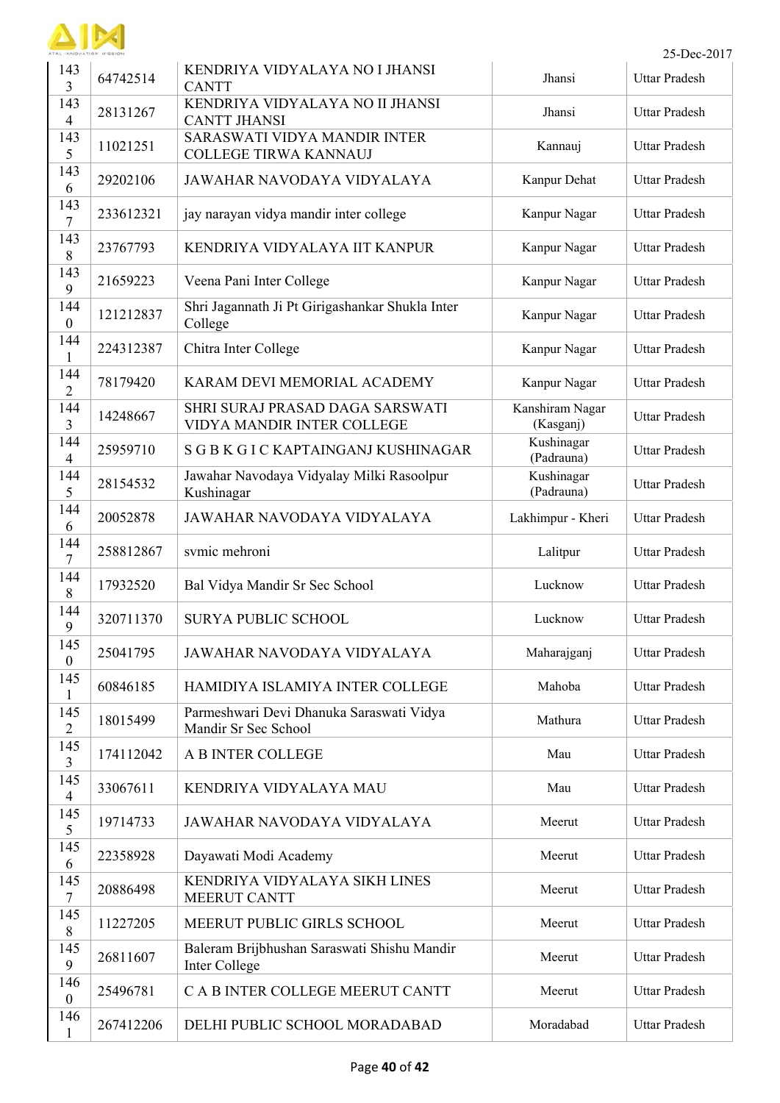

| 143<br>3                | 64742514  | KENDRIYA VIDYALAYA NO I JHANSI<br><b>CANTT</b>                   | Jhansi                       | <b>Uttar Pradesh</b> |
|-------------------------|-----------|------------------------------------------------------------------|------------------------------|----------------------|
| 143<br>$\overline{4}$   | 28131267  | KENDRIYA VIDYALAYA NO II JHANSI<br><b>CANTT JHANSI</b>           | Jhansi                       | <b>Uttar Pradesh</b> |
| 143<br>5                | 11021251  | SARASWATI VIDYA MANDIR INTER<br>COLLEGE TIRWA KANNAUJ            | Kannauj                      | <b>Uttar Pradesh</b> |
| 143<br>6                | 29202106  | JAWAHAR NAVODAYA VIDYALAYA                                       | Kanpur Dehat                 | Uttar Pradesh        |
| 143<br>$\overline{7}$   | 233612321 | jay narayan vidya mandir inter college                           | Kanpur Nagar                 | <b>Uttar Pradesh</b> |
| 143<br>$\,8\,$          | 23767793  | KENDRIYA VIDYALAYA IIT KANPUR                                    | Kanpur Nagar                 | <b>Uttar Pradesh</b> |
| 143<br>9                | 21659223  | Veena Pani Inter College                                         | Kanpur Nagar                 | <b>Uttar Pradesh</b> |
| 144<br>$\boldsymbol{0}$ | 121212837 | Shri Jagannath Ji Pt Girigashankar Shukla Inter<br>College       | Kanpur Nagar                 | <b>Uttar Pradesh</b> |
| 144<br>1                | 224312387 | Chitra Inter College                                             | Kanpur Nagar                 | <b>Uttar Pradesh</b> |
| 144<br>$\overline{2}$   | 78179420  | KARAM DEVI MEMORIAL ACADEMY                                      | Kanpur Nagar                 | <b>Uttar Pradesh</b> |
| 144<br>3                | 14248667  | SHRI SURAJ PRASAD DAGA SARSWATI<br>VIDYA MANDIR INTER COLLEGE    | Kanshiram Nagar<br>(Kasganj) | Uttar Pradesh        |
| 144<br>$\overline{4}$   | 25959710  | S G B K G I C KAPTAINGANJ KUSHINAGAR                             | Kushinagar<br>(Padrauna)     | Uttar Pradesh        |
| 144<br>5                | 28154532  | Jawahar Navodaya Vidyalay Milki Rasoolpur<br>Kushinagar          | Kushinagar<br>(Padrauna)     | <b>Uttar Pradesh</b> |
| 144<br>6                | 20052878  | JAWAHAR NAVODAYA VIDYALAYA                                       | Lakhimpur - Kheri            | <b>Uttar Pradesh</b> |
| 144<br>7                | 258812867 | svmic mehroni                                                    | Lalitpur                     | <b>Uttar Pradesh</b> |
| 144<br>8                | 17932520  | Bal Vidya Mandir Sr Sec School                                   | Lucknow                      | <b>Uttar Pradesh</b> |
| 144<br>9                | 320711370 | <b>SURYA PUBLIC SCHOOL</b>                                       | Lucknow                      | <b>Uttar Pradesh</b> |
| 145<br>$\boldsymbol{0}$ | 25041795  | JAWAHAR NAVODAYA VIDYALAYA                                       | Maharajganj                  | Uttar Pradesh        |
| 145<br>$\mathbf{1}$     | 60846185  | HAMIDIYA ISLAMIYA INTER COLLEGE                                  | Mahoba                       | <b>Uttar Pradesh</b> |
| 145<br>$\overline{2}$   | 18015499  | Parmeshwari Devi Dhanuka Saraswati Vidya<br>Mandir Sr Sec School | Mathura                      | <b>Uttar Pradesh</b> |
| 145<br>$\overline{3}$   | 174112042 | <b>A B INTER COLLEGE</b>                                         | Mau                          | <b>Uttar Pradesh</b> |
| 145<br>$\overline{4}$   | 33067611  | KENDRIYA VIDYALAYA MAU                                           | Mau                          | <b>Uttar Pradesh</b> |
| 145<br>5                | 19714733  | JAWAHAR NAVODAYA VIDYALAYA                                       | Meerut                       | <b>Uttar Pradesh</b> |
| 145<br>6                | 22358928  | Dayawati Modi Academy                                            | Meerut                       | <b>Uttar Pradesh</b> |
| 145<br>$\overline{7}$   | 20886498  | KENDRIYA VIDYALAYA SIKH LINES<br><b>MEERUT CANTT</b>             | Meerut                       | <b>Uttar Pradesh</b> |
| 145<br>$8\,$            | 11227205  | MEERUT PUBLIC GIRLS SCHOOL                                       | Meerut                       | <b>Uttar Pradesh</b> |
| 145<br>9                | 26811607  | Baleram Brijbhushan Saraswati Shishu Mandir<br>Inter College     | Meerut                       | <b>Uttar Pradesh</b> |
| 146<br>$\boldsymbol{0}$ | 25496781  | C A B INTER COLLEGE MEERUT CANTT                                 | Meerut                       | <b>Uttar Pradesh</b> |
| 146<br>$\mathbf{1}$     | 267412206 | DELHI PUBLIC SCHOOL MORADABAD                                    | Moradabad                    | <b>Uttar Pradesh</b> |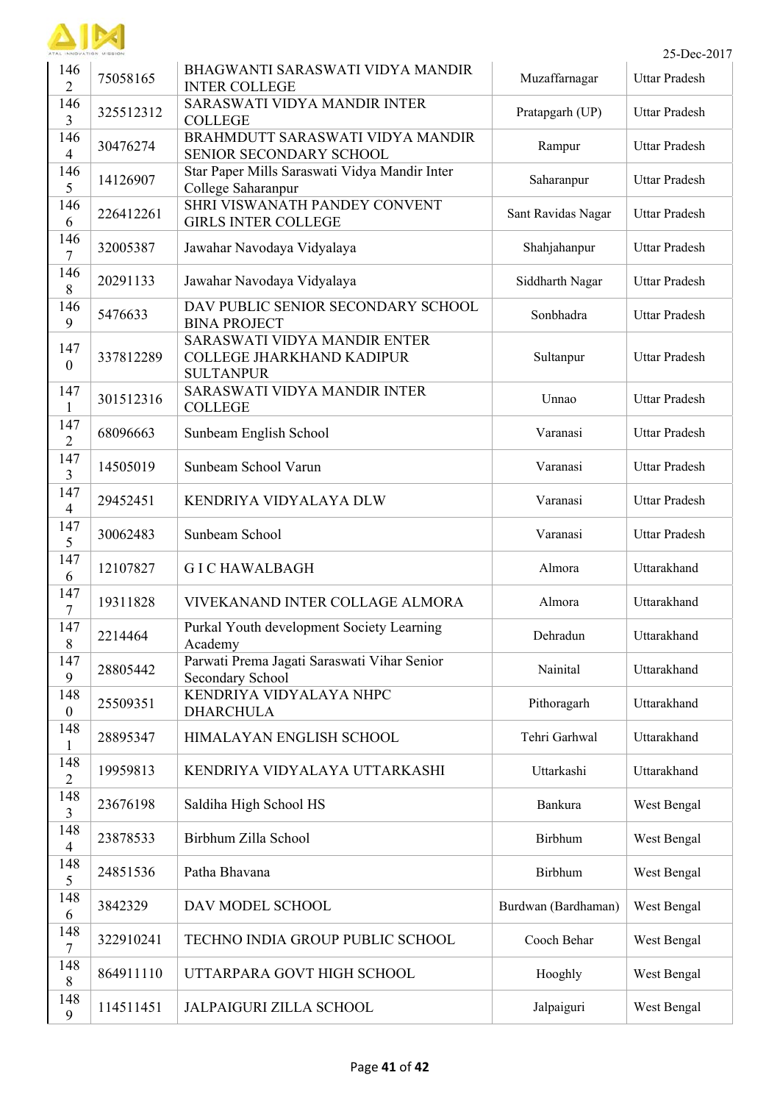

|                         | ATAL INNOVATION MISSION<br>25-Dec-2017 |                                                                               |                     |                      |  |
|-------------------------|----------------------------------------|-------------------------------------------------------------------------------|---------------------|----------------------|--|
| 146<br>$\overline{2}$   | 75058165                               | BHAGWANTI SARASWATI VIDYA MANDIR<br><b>INTER COLLEGE</b>                      | Muzaffarnagar       | <b>Uttar Pradesh</b> |  |
| 146<br>$\overline{3}$   | 325512312                              | SARASWATI VIDYA MANDIR INTER<br><b>COLLEGE</b>                                | Pratapgarh (UP)     | <b>Uttar Pradesh</b> |  |
| 146<br>$\overline{4}$   | 30476274                               | BRAHMDUTT SARASWATI VIDYA MANDIR<br>SENIOR SECONDARY SCHOOL                   | Rampur              | <b>Uttar Pradesh</b> |  |
| 146<br>5                | 14126907                               | Star Paper Mills Saraswati Vidya Mandir Inter<br>College Saharanpur           | Saharanpur          | <b>Uttar Pradesh</b> |  |
| 146<br>6                | 226412261                              | SHRI VISWANATH PANDEY CONVENT<br><b>GIRLS INTER COLLEGE</b>                   | Sant Ravidas Nagar  | <b>Uttar Pradesh</b> |  |
| 146<br>$\overline{7}$   | 32005387                               | Jawahar Navodaya Vidyalaya                                                    | Shahjahanpur        | <b>Uttar Pradesh</b> |  |
| 146<br>8                | 20291133                               | Jawahar Navodaya Vidyalaya                                                    | Siddharth Nagar     | <b>Uttar Pradesh</b> |  |
| 146<br>9                | 5476633                                | DAV PUBLIC SENIOR SECONDARY SCHOOL<br><b>BINA PROJECT</b>                     | Sonbhadra           | <b>Uttar Pradesh</b> |  |
| 147<br>$\boldsymbol{0}$ | 337812289                              | SARASWATI VIDYA MANDIR ENTER<br>COLLEGE JHARKHAND KADIPUR<br><b>SULTANPUR</b> | Sultanpur           | <b>Uttar Pradesh</b> |  |
| 147<br>1                | 301512316                              | SARASWATI VIDYA MANDIR INTER<br><b>COLLEGE</b>                                | Unnao               | <b>Uttar Pradesh</b> |  |
| 147<br>$\overline{2}$   | 68096663                               | Sunbeam English School                                                        | Varanasi            | <b>Uttar Pradesh</b> |  |
| 147<br>$\overline{3}$   | 14505019                               | Sunbeam School Varun                                                          | Varanasi            | <b>Uttar Pradesh</b> |  |
| 147<br>$\overline{4}$   | 29452451                               | KENDRIYA VIDYALAYA DLW                                                        | Varanasi            | <b>Uttar Pradesh</b> |  |
| 147<br>5                | 30062483                               | Sunbeam School                                                                | Varanasi            | <b>Uttar Pradesh</b> |  |
| 147<br>6                | 12107827                               | <b>GICHAWALBAGH</b>                                                           | Almora              | Uttarakhand          |  |
| 147<br>7                | 19311828                               | VIVEKANAND INTER COLLAGE ALMORA                                               | Almora              | Uttarakhand          |  |
| 147<br>8                | 2214464                                | Purkal Youth development Society Learning<br>Academy                          | Dehradun            | Uttarakhand          |  |
| 147<br>9                | 28805442                               | Parwati Prema Jagati Saraswati Vihar Senior<br>Secondary School               | Nainital            | Uttarakhand          |  |
| 148<br>$\boldsymbol{0}$ | 25509351                               | KENDRIYA VIDYALAYA NHPC<br><b>DHARCHULA</b>                                   | Pithoragarh         | Uttarakhand          |  |
| 148<br>$\mathbf{1}$     | 28895347                               | HIMALAYAN ENGLISH SCHOOL                                                      | Tehri Garhwal       | Uttarakhand          |  |
| 148<br>$\overline{2}$   | 19959813                               | KENDRIYA VIDYALAYA UTTARKASHI                                                 | Uttarkashi          | Uttarakhand          |  |
| 148<br>$\overline{3}$   | 23676198                               | Saldiha High School HS                                                        | Bankura             | West Bengal          |  |
| 148<br>$\overline{4}$   | 23878533                               | Birbhum Zilla School                                                          | Birbhum             | West Bengal          |  |
| 148<br>5                | 24851536                               | Patha Bhavana                                                                 | Birbhum             | West Bengal          |  |
| 148<br>6                | 3842329                                | DAV MODEL SCHOOL                                                              | Burdwan (Bardhaman) | West Bengal          |  |
| 148<br>$\tau$           | 322910241                              | TECHNO INDIA GROUP PUBLIC SCHOOL                                              | Cooch Behar         | West Bengal          |  |
| 148<br>$8\,$            | 864911110                              | UTTARPARA GOVT HIGH SCHOOL                                                    | Hooghly             | West Bengal          |  |
| 148<br>9                | 114511451                              | <b>JALPAIGURI ZILLA SCHOOL</b>                                                | Jalpaiguri          | West Bengal          |  |